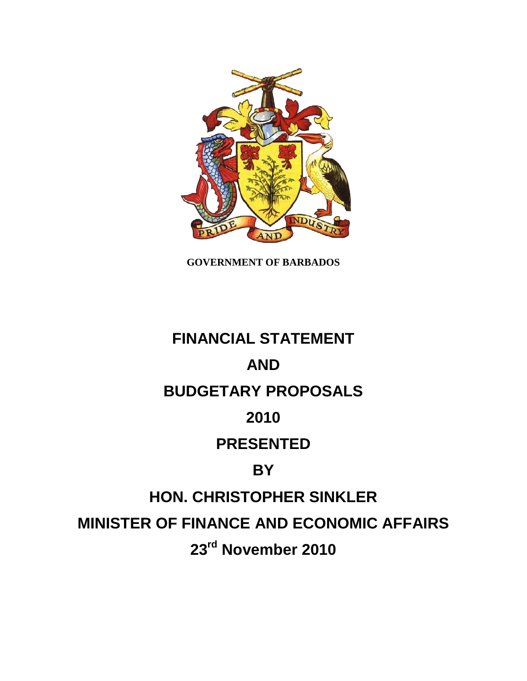

**GOVERNMENT OF BARBADOS**

# **FINANCIAL STATEMENT AND BUDGETARY PROPOSALS 2010 PRESENTED BY HON. CHRISTOPHER SINKLER MINISTER OF FINANCE AND ECONOMIC AFFAIRS 23rd November 2010**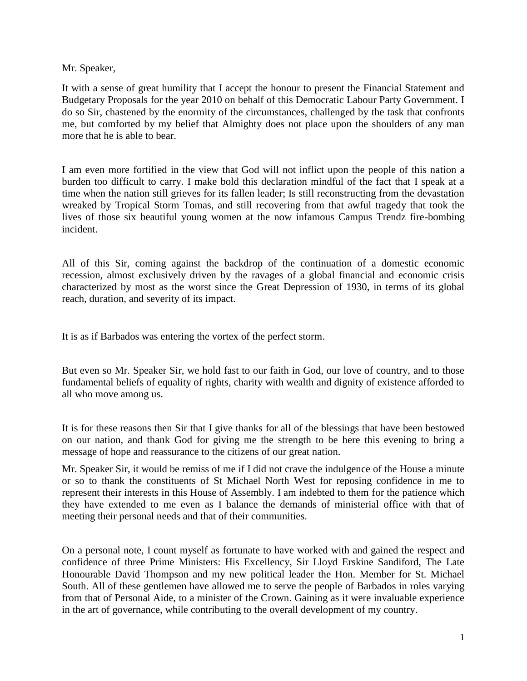#### Mr. Speaker,

It with a sense of great humility that I accept the honour to present the Financial Statement and Budgetary Proposals for the year 2010 on behalf of this Democratic Labour Party Government. I do so Sir, chastened by the enormity of the circumstances, challenged by the task that confronts me, but comforted by my belief that Almighty does not place upon the shoulders of any man more that he is able to bear.

I am even more fortified in the view that God will not inflict upon the people of this nation a burden too difficult to carry. I make bold this declaration mindful of the fact that I speak at a time when the nation still grieves for its fallen leader; Is still reconstructing from the devastation wreaked by Tropical Storm Tomas, and still recovering from that awful tragedy that took the lives of those six beautiful young women at the now infamous Campus Trendz fire-bombing incident.

All of this Sir, coming against the backdrop of the continuation of a domestic economic recession, almost exclusively driven by the ravages of a global financial and economic crisis characterized by most as the worst since the Great Depression of 1930, in terms of its global reach, duration, and severity of its impact.

It is as if Barbados was entering the vortex of the perfect storm.

But even so Mr. Speaker Sir, we hold fast to our faith in God, our love of country, and to those fundamental beliefs of equality of rights, charity with wealth and dignity of existence afforded to all who move among us.

It is for these reasons then Sir that I give thanks for all of the blessings that have been bestowed on our nation, and thank God for giving me the strength to be here this evening to bring a message of hope and reassurance to the citizens of our great nation.

Mr. Speaker Sir, it would be remiss of me if I did not crave the indulgence of the House a minute or so to thank the constituents of St Michael North West for reposing confidence in me to represent their interests in this House of Assembly. I am indebted to them for the patience which they have extended to me even as I balance the demands of ministerial office with that of meeting their personal needs and that of their communities.

On a personal note, I count myself as fortunate to have worked with and gained the respect and confidence of three Prime Ministers: His Excellency, Sir Lloyd Erskine Sandiford, The Late Honourable David Thompson and my new political leader the Hon. Member for St. Michael South. All of these gentlemen have allowed me to serve the people of Barbados in roles varying from that of Personal Aide, to a minister of the Crown. Gaining as it were invaluable experience in the art of governance, while contributing to the overall development of my country.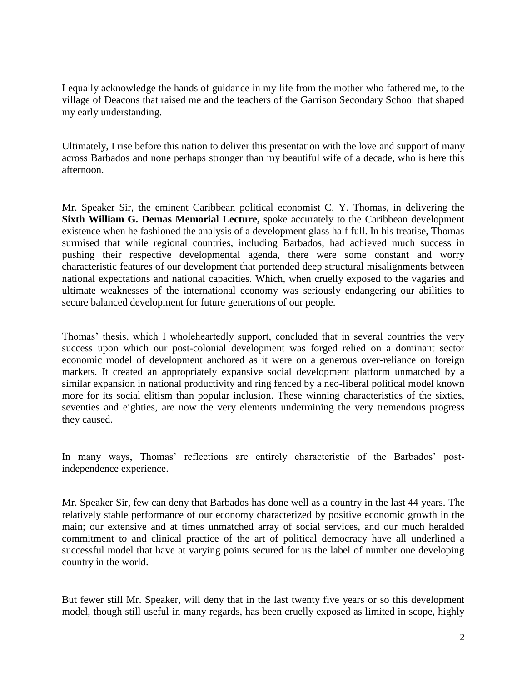I equally acknowledge the hands of guidance in my life from the mother who fathered me, to the village of Deacons that raised me and the teachers of the Garrison Secondary School that shaped my early understanding.

Ultimately, I rise before this nation to deliver this presentation with the love and support of many across Barbados and none perhaps stronger than my beautiful wife of a decade, who is here this afternoon.

Mr. Speaker Sir, the eminent Caribbean political economist C. Y. Thomas, in delivering the **Sixth William G. Demas Memorial Lecture,** spoke accurately to the Caribbean development existence when he fashioned the analysis of a development glass half full. In his treatise, Thomas surmised that while regional countries, including Barbados, had achieved much success in pushing their respective developmental agenda, there were some constant and worry characteristic features of our development that portended deep structural misalignments between national expectations and national capacities. Which, when cruelly exposed to the vagaries and ultimate weaknesses of the international economy was seriously endangering our abilities to secure balanced development for future generations of our people.

Thomas' thesis, which I wholeheartedly support, concluded that in several countries the very success upon which our post-colonial development was forged relied on a dominant sector economic model of development anchored as it were on a generous over-reliance on foreign markets. It created an appropriately expansive social development platform unmatched by a similar expansion in national productivity and ring fenced by a neo-liberal political model known more for its social elitism than popular inclusion. These winning characteristics of the sixties, seventies and eighties, are now the very elements undermining the very tremendous progress they caused.

In many ways, Thomas' reflections are entirely characteristic of the Barbados' postindependence experience.

Mr. Speaker Sir, few can deny that Barbados has done well as a country in the last 44 years. The relatively stable performance of our economy characterized by positive economic growth in the main; our extensive and at times unmatched array of social services, and our much heralded commitment to and clinical practice of the art of political democracy have all underlined a successful model that have at varying points secured for us the label of number one developing country in the world.

But fewer still Mr. Speaker, will deny that in the last twenty five years or so this development model, though still useful in many regards, has been cruelly exposed as limited in scope, highly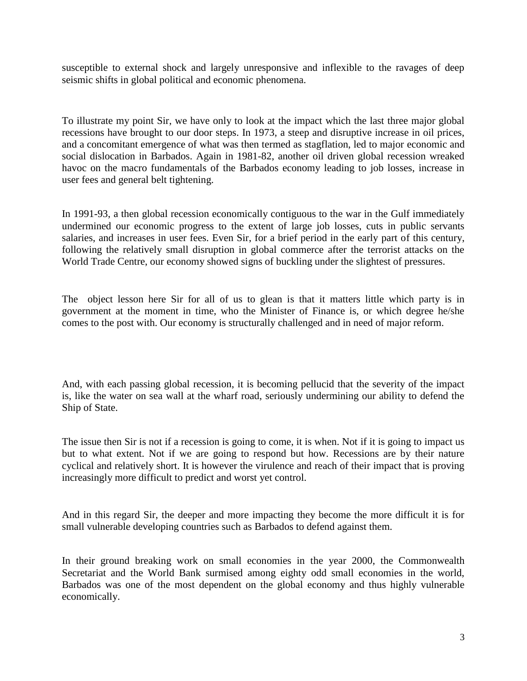susceptible to external shock and largely unresponsive and inflexible to the ravages of deep seismic shifts in global political and economic phenomena.

To illustrate my point Sir, we have only to look at the impact which the last three major global recessions have brought to our door steps. In 1973, a steep and disruptive increase in oil prices, and a concomitant emergence of what was then termed as stagflation, led to major economic and social dislocation in Barbados. Again in 1981-82, another oil driven global recession wreaked havoc on the macro fundamentals of the Barbados economy leading to job losses, increase in user fees and general belt tightening.

In 1991-93, a then global recession economically contiguous to the war in the Gulf immediately undermined our economic progress to the extent of large job losses, cuts in public servants salaries, and increases in user fees. Even Sir, for a brief period in the early part of this century, following the relatively small disruption in global commerce after the terrorist attacks on the World Trade Centre, our economy showed signs of buckling under the slightest of pressures.

The object lesson here Sir for all of us to glean is that it matters little which party is in government at the moment in time, who the Minister of Finance is, or which degree he/she comes to the post with. Our economy is structurally challenged and in need of major reform.

And, with each passing global recession, it is becoming pellucid that the severity of the impact is, like the water on sea wall at the wharf road, seriously undermining our ability to defend the Ship of State.

The issue then Sir is not if a recession is going to come, it is when. Not if it is going to impact us but to what extent. Not if we are going to respond but how. Recessions are by their nature cyclical and relatively short. It is however the virulence and reach of their impact that is proving increasingly more difficult to predict and worst yet control.

And in this regard Sir, the deeper and more impacting they become the more difficult it is for small vulnerable developing countries such as Barbados to defend against them.

In their ground breaking work on small economies in the year 2000, the Commonwealth Secretariat and the World Bank surmised among eighty odd small economies in the world, Barbados was one of the most dependent on the global economy and thus highly vulnerable economically.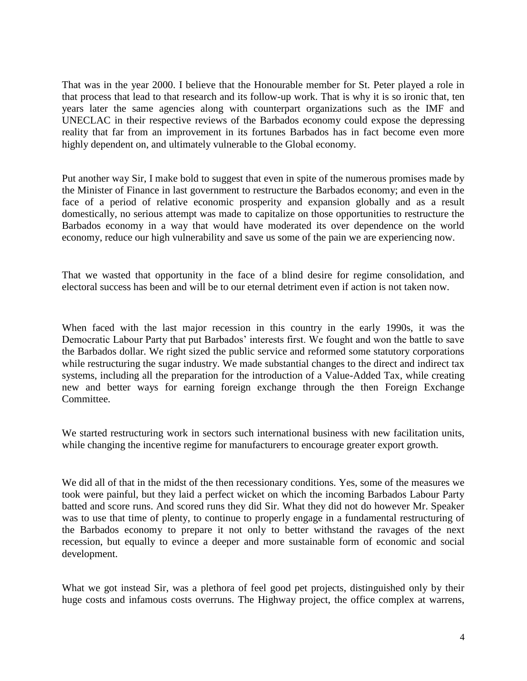That was in the year 2000. I believe that the Honourable member for St. Peter played a role in that process that lead to that research and its follow-up work. That is why it is so ironic that, ten years later the same agencies along with counterpart organizations such as the IMF and UNECLAC in their respective reviews of the Barbados economy could expose the depressing reality that far from an improvement in its fortunes Barbados has in fact become even more highly dependent on, and ultimately vulnerable to the Global economy.

Put another way Sir, I make bold to suggest that even in spite of the numerous promises made by the Minister of Finance in last government to restructure the Barbados economy; and even in the face of a period of relative economic prosperity and expansion globally and as a result domestically, no serious attempt was made to capitalize on those opportunities to restructure the Barbados economy in a way that would have moderated its over dependence on the world economy, reduce our high vulnerability and save us some of the pain we are experiencing now.

That we wasted that opportunity in the face of a blind desire for regime consolidation, and electoral success has been and will be to our eternal detriment even if action is not taken now.

When faced with the last major recession in this country in the early 1990s, it was the Democratic Labour Party that put Barbados' interests first. We fought and won the battle to save the Barbados dollar. We right sized the public service and reformed some statutory corporations while restructuring the sugar industry. We made substantial changes to the direct and indirect tax systems, including all the preparation for the introduction of a Value-Added Tax, while creating new and better ways for earning foreign exchange through the then Foreign Exchange Committee.

We started restructuring work in sectors such international business with new facilitation units, while changing the incentive regime for manufacturers to encourage greater export growth.

We did all of that in the midst of the then recessionary conditions. Yes, some of the measures we took were painful, but they laid a perfect wicket on which the incoming Barbados Labour Party batted and score runs. And scored runs they did Sir. What they did not do however Mr. Speaker was to use that time of plenty, to continue to properly engage in a fundamental restructuring of the Barbados economy to prepare it not only to better withstand the ravages of the next recession, but equally to evince a deeper and more sustainable form of economic and social development.

What we got instead Sir, was a plethora of feel good pet projects, distinguished only by their huge costs and infamous costs overruns. The Highway project, the office complex at warrens,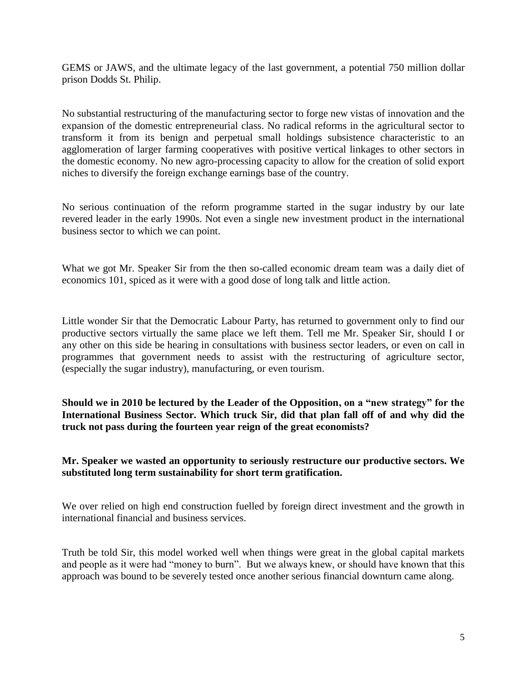GEMS or JAWS, and the ultimate legacy of the last government, a potential 750 million dollar prison Dodds St. Philip.

No substantial restructuring of the manufacturing sector to forge new vistas of innovation and the expansion of the domestic entrepreneurial class. No radical reforms in the agricultural sector to transform it from its benign and perpetual small holdings subsistence characteristic to an agglomeration of larger farming cooperatives with positive vertical linkages to other sectors in the domestic economy. No new agro-processing capacity to allow for the creation of solid export niches to diversify the foreign exchange earnings base of the country.

No serious continuation of the reform programme started in the sugar industry by our late revered leader in the early 1990s. Not even a single new investment product in the international business sector to which we can point.

What we got Mr. Speaker Sir from the then so-called economic dream team was a daily diet of economics 101, spiced as it were with a good dose of long talk and little action.

Little wonder Sir that the Democratic Labour Party, has returned to government only to find our productive sectors virtually the same place we left them. Tell me Mr. Speaker Sir, should I or any other on this side be hearing in consultations with business sector leaders, or even on call in programmes that government needs to assist with the restructuring of agriculture sector, (especially the sugar industry), manufacturing, or even tourism.

**Should we in 2010 be lectured by the Leader of the Opposition, on a "new strategy" for the International Business Sector. Which truck Sir, did that plan fall off of and why did the truck not pass during the fourteen year reign of the great economists?**

#### **Mr. Speaker we wasted an opportunity to seriously restructure our productive sectors. We substituted long term sustainability for short term gratification.**

We over relied on high end construction fuelled by foreign direct investment and the growth in international financial and business services.

Truth be told Sir, this model worked well when things were great in the global capital markets and people as it were had "money to burn". But we always knew, or should have known that this approach was bound to be severely tested once another serious financial downturn came along.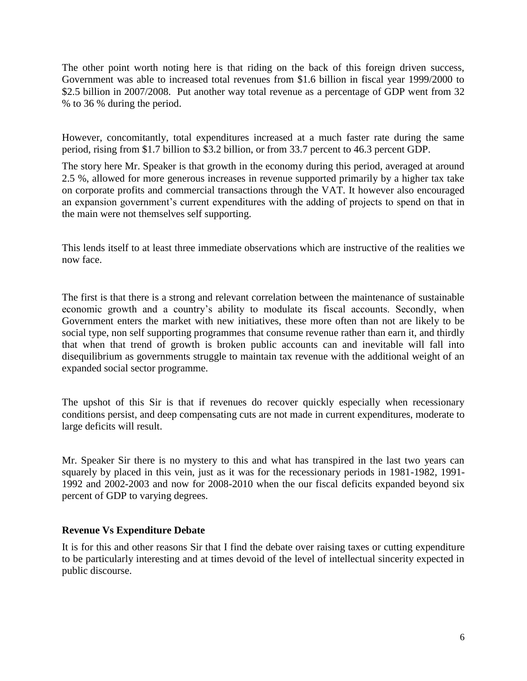The other point worth noting here is that riding on the back of this foreign driven success, Government was able to increased total revenues from \$1.6 billion in fiscal year 1999/2000 to \$2.5 billion in 2007/2008. Put another way total revenue as a percentage of GDP went from 32 % to 36 % during the period.

However, concomitantly, total expenditures increased at a much faster rate during the same period, rising from \$1.7 billion to \$3.2 billion, or from 33.7 percent to 46.3 percent GDP.

The story here Mr. Speaker is that growth in the economy during this period, averaged at around 2.5 %, allowed for more generous increases in revenue supported primarily by a higher tax take on corporate profits and commercial transactions through the VAT. It however also encouraged an expansion government's current expenditures with the adding of projects to spend on that in the main were not themselves self supporting.

This lends itself to at least three immediate observations which are instructive of the realities we now face.

The first is that there is a strong and relevant correlation between the maintenance of sustainable economic growth and a country's ability to modulate its fiscal accounts. Secondly, when Government enters the market with new initiatives, these more often than not are likely to be social type, non self supporting programmes that consume revenue rather than earn it, and thirdly that when that trend of growth is broken public accounts can and inevitable will fall into disequilibrium as governments struggle to maintain tax revenue with the additional weight of an expanded social sector programme.

The upshot of this Sir is that if revenues do recover quickly especially when recessionary conditions persist, and deep compensating cuts are not made in current expenditures, moderate to large deficits will result.

Mr. Speaker Sir there is no mystery to this and what has transpired in the last two years can squarely by placed in this vein, just as it was for the recessionary periods in 1981-1982, 1991- 1992 and 2002-2003 and now for 2008-2010 when the our fiscal deficits expanded beyond six percent of GDP to varying degrees.

# **Revenue Vs Expenditure Debate**

It is for this and other reasons Sir that I find the debate over raising taxes or cutting expenditure to be particularly interesting and at times devoid of the level of intellectual sincerity expected in public discourse.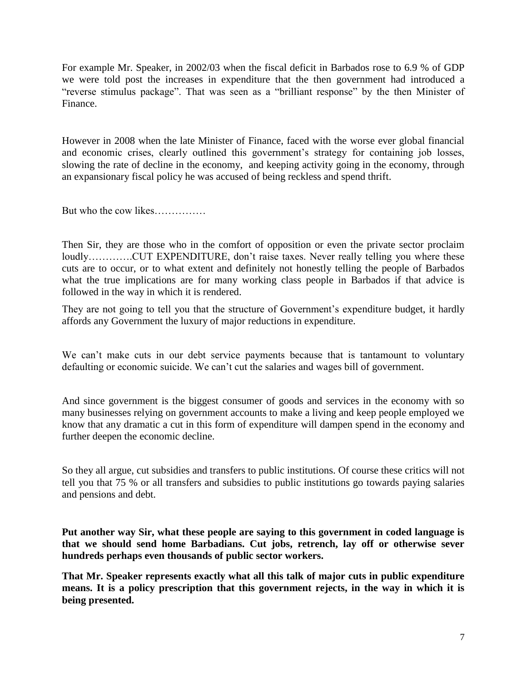For example Mr. Speaker, in 2002/03 when the fiscal deficit in Barbados rose to 6.9 % of GDP we were told post the increases in expenditure that the then government had introduced a "reverse stimulus package". That was seen as a "brilliant response" by the then Minister of Finance.

However in 2008 when the late Minister of Finance, faced with the worse ever global financial and economic crises, clearly outlined this government's strategy for containing job losses, slowing the rate of decline in the economy, and keeping activity going in the economy, through an expansionary fiscal policy he was accused of being reckless and spend thrift.

But who the cow likes……………

Then Sir, they are those who in the comfort of opposition or even the private sector proclaim loudly………….CUT EXPENDITURE, don't raise taxes. Never really telling you where these cuts are to occur, or to what extent and definitely not honestly telling the people of Barbados what the true implications are for many working class people in Barbados if that advice is followed in the way in which it is rendered.

They are not going to tell you that the structure of Government's expenditure budget, it hardly affords any Government the luxury of major reductions in expenditure.

We can't make cuts in our debt service payments because that is tantamount to voluntary defaulting or economic suicide. We can't cut the salaries and wages bill of government.

And since government is the biggest consumer of goods and services in the economy with so many businesses relying on government accounts to make a living and keep people employed we know that any dramatic a cut in this form of expenditure will dampen spend in the economy and further deepen the economic decline.

So they all argue, cut subsidies and transfers to public institutions. Of course these critics will not tell you that 75 % or all transfers and subsidies to public institutions go towards paying salaries and pensions and debt.

**Put another way Sir, what these people are saying to this government in coded language is that we should send home Barbadians. Cut jobs, retrench, lay off or otherwise sever hundreds perhaps even thousands of public sector workers.**

**That Mr. Speaker represents exactly what all this talk of major cuts in public expenditure means. It is a policy prescription that this government rejects, in the way in which it is being presented.**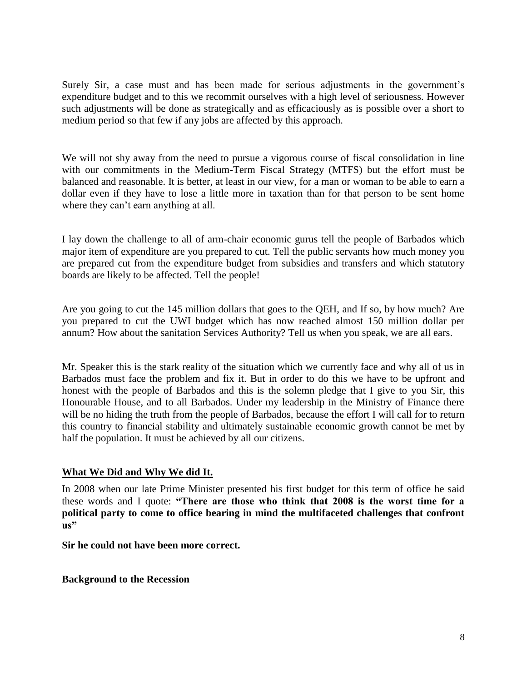Surely Sir, a case must and has been made for serious adjustments in the government's expenditure budget and to this we recommit ourselves with a high level of seriousness. However such adjustments will be done as strategically and as efficaciously as is possible over a short to medium period so that few if any jobs are affected by this approach.

We will not shy away from the need to pursue a vigorous course of fiscal consolidation in line with our commitments in the Medium-Term Fiscal Strategy (MTFS) but the effort must be balanced and reasonable. It is better, at least in our view, for a man or woman to be able to earn a dollar even if they have to lose a little more in taxation than for that person to be sent home where they can't earn anything at all.

I lay down the challenge to all of arm-chair economic gurus tell the people of Barbados which major item of expenditure are you prepared to cut. Tell the public servants how much money you are prepared cut from the expenditure budget from subsidies and transfers and which statutory boards are likely to be affected. Tell the people!

Are you going to cut the 145 million dollars that goes to the QEH, and If so, by how much? Are you prepared to cut the UWI budget which has now reached almost 150 million dollar per annum? How about the sanitation Services Authority? Tell us when you speak, we are all ears.

Mr. Speaker this is the stark reality of the situation which we currently face and why all of us in Barbados must face the problem and fix it. But in order to do this we have to be upfront and honest with the people of Barbados and this is the solemn pledge that I give to you Sir, this Honourable House, and to all Barbados. Under my leadership in the Ministry of Finance there will be no hiding the truth from the people of Barbados, because the effort I will call for to return this country to financial stability and ultimately sustainable economic growth cannot be met by half the population. It must be achieved by all our citizens.

# **What We Did and Why We did It.**

In 2008 when our late Prime Minister presented his first budget for this term of office he said these words and I quote: **"There are those who think that 2008 is the worst time for a political party to come to office bearing in mind the multifaceted challenges that confront us"**

**Sir he could not have been more correct.**

**Background to the Recession**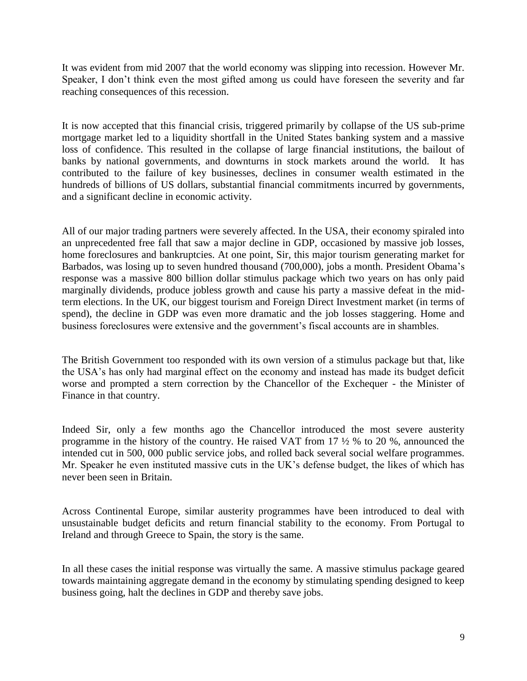It was evident from mid 2007 that the world economy was slipping into recession. However Mr. Speaker, I don't think even the most gifted among us could have foreseen the severity and far reaching consequences of this recession.

It is now accepted that this financial crisis, triggered primarily by collapse of the US sub-prime mortgage market led to a liquidity shortfall in the United States banking system and a massive loss of confidence. This resulted in the collapse of large financial institutions, the bailout of banks by national governments, and downturns in stock markets around the world. It has contributed to the failure of key businesses, declines in consumer wealth estimated in the hundreds of billions of US dollars, substantial financial commitments incurred by governments, and a significant decline in economic activity.

All of our major trading partners were severely affected. In the USA, their economy spiraled into an unprecedented free fall that saw a major decline in GDP, occasioned by massive job losses, home foreclosures and bankruptcies. At one point, Sir, this major tourism generating market for Barbados, was losing up to seven hundred thousand (700,000), jobs a month. President Obama's response was a massive 800 billion dollar stimulus package which two years on has only paid marginally dividends, produce jobless growth and cause his party a massive defeat in the midterm elections. In the UK, our biggest tourism and Foreign Direct Investment market (in terms of spend), the decline in GDP was even more dramatic and the job losses staggering. Home and business foreclosures were extensive and the government's fiscal accounts are in shambles.

The British Government too responded with its own version of a stimulus package but that, like the USA's has only had marginal effect on the economy and instead has made its budget deficit worse and prompted a stern correction by the Chancellor of the Exchequer - the Minister of Finance in that country.

Indeed Sir, only a few months ago the Chancellor introduced the most severe austerity programme in the history of the country. He raised VAT from 17 ½ % to 20 %, announced the intended cut in 500, 000 public service jobs, and rolled back several social welfare programmes. Mr. Speaker he even instituted massive cuts in the UK's defense budget, the likes of which has never been seen in Britain.

Across Continental Europe, similar austerity programmes have been introduced to deal with unsustainable budget deficits and return financial stability to the economy. From Portugal to Ireland and through Greece to Spain, the story is the same.

In all these cases the initial response was virtually the same. A massive stimulus package geared towards maintaining aggregate demand in the economy by stimulating spending designed to keep business going, halt the declines in GDP and thereby save jobs.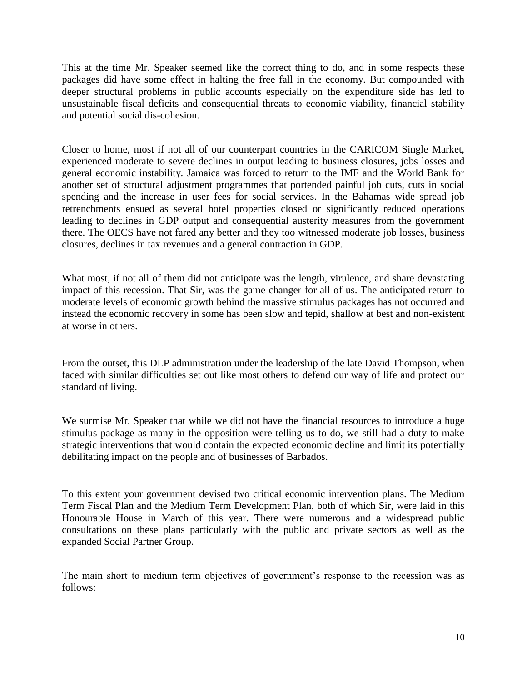This at the time Mr. Speaker seemed like the correct thing to do, and in some respects these packages did have some effect in halting the free fall in the economy. But compounded with deeper structural problems in public accounts especially on the expenditure side has led to unsustainable fiscal deficits and consequential threats to economic viability, financial stability and potential social dis-cohesion.

Closer to home, most if not all of our counterpart countries in the CARICOM Single Market, experienced moderate to severe declines in output leading to business closures, jobs losses and general economic instability. Jamaica was forced to return to the IMF and the World Bank for another set of structural adjustment programmes that portended painful job cuts, cuts in social spending and the increase in user fees for social services. In the Bahamas wide spread job retrenchments ensued as several hotel properties closed or significantly reduced operations leading to declines in GDP output and consequential austerity measures from the government there. The OECS have not fared any better and they too witnessed moderate job losses, business closures, declines in tax revenues and a general contraction in GDP.

What most, if not all of them did not anticipate was the length, virulence, and share devastating impact of this recession. That Sir, was the game changer for all of us. The anticipated return to moderate levels of economic growth behind the massive stimulus packages has not occurred and instead the economic recovery in some has been slow and tepid, shallow at best and non-existent at worse in others.

From the outset, this DLP administration under the leadership of the late David Thompson, when faced with similar difficulties set out like most others to defend our way of life and protect our standard of living.

We surmise Mr. Speaker that while we did not have the financial resources to introduce a huge stimulus package as many in the opposition were telling us to do, we still had a duty to make strategic interventions that would contain the expected economic decline and limit its potentially debilitating impact on the people and of businesses of Barbados.

To this extent your government devised two critical economic intervention plans. The Medium Term Fiscal Plan and the Medium Term Development Plan, both of which Sir, were laid in this Honourable House in March of this year. There were numerous and a widespread public consultations on these plans particularly with the public and private sectors as well as the expanded Social Partner Group.

The main short to medium term objectives of government's response to the recession was as follows: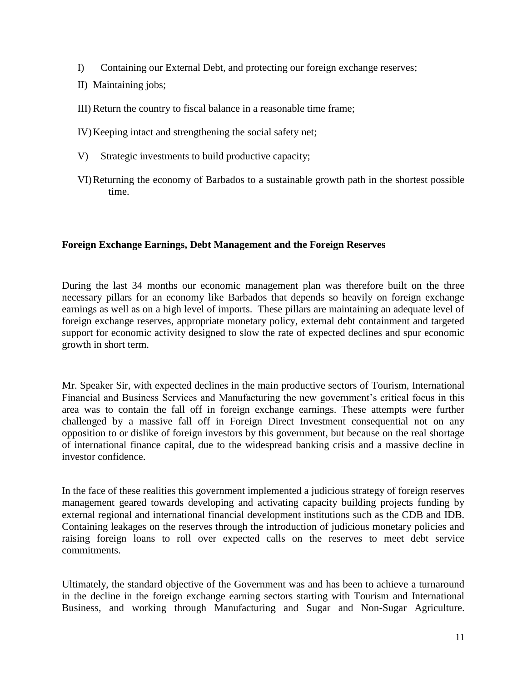- I) Containing our External Debt, and protecting our foreign exchange reserves;
- II) Maintaining jobs;
- III) Return the country to fiscal balance in a reasonable time frame;
- IV)Keeping intact and strengthening the social safety net;
- V) Strategic investments to build productive capacity;
- VI)Returning the economy of Barbados to a sustainable growth path in the shortest possible time.

#### **Foreign Exchange Earnings, Debt Management and the Foreign Reserves**

During the last 34 months our economic management plan was therefore built on the three necessary pillars for an economy like Barbados that depends so heavily on foreign exchange earnings as well as on a high level of imports. These pillars are maintaining an adequate level of foreign exchange reserves, appropriate monetary policy, external debt containment and targeted support for economic activity designed to slow the rate of expected declines and spur economic growth in short term.

Mr. Speaker Sir, with expected declines in the main productive sectors of Tourism, International Financial and Business Services and Manufacturing the new government's critical focus in this area was to contain the fall off in foreign exchange earnings. These attempts were further challenged by a massive fall off in Foreign Direct Investment consequential not on any opposition to or dislike of foreign investors by this government, but because on the real shortage of international finance capital, due to the widespread banking crisis and a massive decline in investor confidence.

In the face of these realities this government implemented a judicious strategy of foreign reserves management geared towards developing and activating capacity building projects funding by external regional and international financial development institutions such as the CDB and IDB. Containing leakages on the reserves through the introduction of judicious monetary policies and raising foreign loans to roll over expected calls on the reserves to meet debt service commitments.

Ultimately, the standard objective of the Government was and has been to achieve a turnaround in the decline in the foreign exchange earning sectors starting with Tourism and International Business, and working through Manufacturing and Sugar and Non-Sugar Agriculture.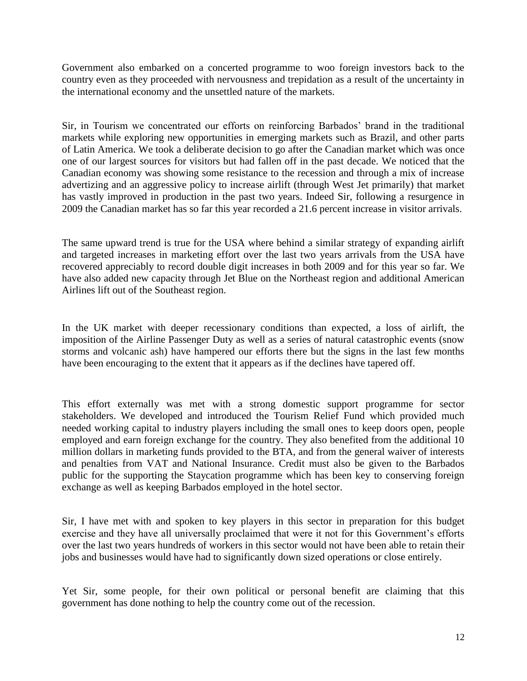Government also embarked on a concerted programme to woo foreign investors back to the country even as they proceeded with nervousness and trepidation as a result of the uncertainty in the international economy and the unsettled nature of the markets.

Sir, in Tourism we concentrated our efforts on reinforcing Barbados' brand in the traditional markets while exploring new opportunities in emerging markets such as Brazil, and other parts of Latin America. We took a deliberate decision to go after the Canadian market which was once one of our largest sources for visitors but had fallen off in the past decade. We noticed that the Canadian economy was showing some resistance to the recession and through a mix of increase advertizing and an aggressive policy to increase airlift (through West Jet primarily) that market has vastly improved in production in the past two years. Indeed Sir, following a resurgence in 2009 the Canadian market has so far this year recorded a 21.6 percent increase in visitor arrivals.

The same upward trend is true for the USA where behind a similar strategy of expanding airlift and targeted increases in marketing effort over the last two years arrivals from the USA have recovered appreciably to record double digit increases in both 2009 and for this year so far. We have also added new capacity through Jet Blue on the Northeast region and additional American Airlines lift out of the Southeast region.

In the UK market with deeper recessionary conditions than expected, a loss of airlift, the imposition of the Airline Passenger Duty as well as a series of natural catastrophic events (snow storms and volcanic ash) have hampered our efforts there but the signs in the last few months have been encouraging to the extent that it appears as if the declines have tapered off.

This effort externally was met with a strong domestic support programme for sector stakeholders. We developed and introduced the Tourism Relief Fund which provided much needed working capital to industry players including the small ones to keep doors open, people employed and earn foreign exchange for the country. They also benefited from the additional 10 million dollars in marketing funds provided to the BTA, and from the general waiver of interests and penalties from VAT and National Insurance. Credit must also be given to the Barbados public for the supporting the Staycation programme which has been key to conserving foreign exchange as well as keeping Barbados employed in the hotel sector.

Sir, I have met with and spoken to key players in this sector in preparation for this budget exercise and they have all universally proclaimed that were it not for this Government's efforts over the last two years hundreds of workers in this sector would not have been able to retain their jobs and businesses would have had to significantly down sized operations or close entirely.

Yet Sir, some people, for their own political or personal benefit are claiming that this government has done nothing to help the country come out of the recession.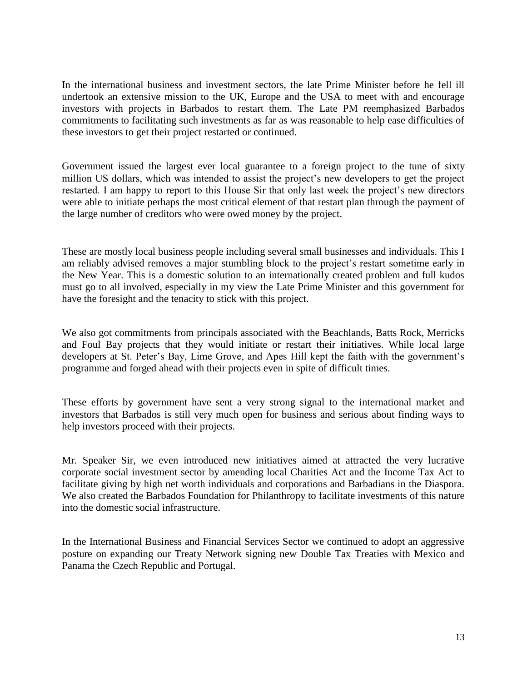In the international business and investment sectors, the late Prime Minister before he fell ill undertook an extensive mission to the UK, Europe and the USA to meet with and encourage investors with projects in Barbados to restart them. The Late PM reemphasized Barbados commitments to facilitating such investments as far as was reasonable to help ease difficulties of these investors to get their project restarted or continued.

Government issued the largest ever local guarantee to a foreign project to the tune of sixty million US dollars, which was intended to assist the project's new developers to get the project restarted. I am happy to report to this House Sir that only last week the project's new directors were able to initiate perhaps the most critical element of that restart plan through the payment of the large number of creditors who were owed money by the project.

These are mostly local business people including several small businesses and individuals. This I am reliably advised removes a major stumbling block to the project's restart sometime early in the New Year. This is a domestic solution to an internationally created problem and full kudos must go to all involved, especially in my view the Late Prime Minister and this government for have the foresight and the tenacity to stick with this project.

We also got commitments from principals associated with the Beachlands, Batts Rock, Merricks and Foul Bay projects that they would initiate or restart their initiatives. While local large developers at St. Peter's Bay, Lime Grove, and Apes Hill kept the faith with the government's programme and forged ahead with their projects even in spite of difficult times.

These efforts by government have sent a very strong signal to the international market and investors that Barbados is still very much open for business and serious about finding ways to help investors proceed with their projects.

Mr. Speaker Sir, we even introduced new initiatives aimed at attracted the very lucrative corporate social investment sector by amending local Charities Act and the Income Tax Act to facilitate giving by high net worth individuals and corporations and Barbadians in the Diaspora. We also created the Barbados Foundation for Philanthropy to facilitate investments of this nature into the domestic social infrastructure.

In the International Business and Financial Services Sector we continued to adopt an aggressive posture on expanding our Treaty Network signing new Double Tax Treaties with Mexico and Panama the Czech Republic and Portugal.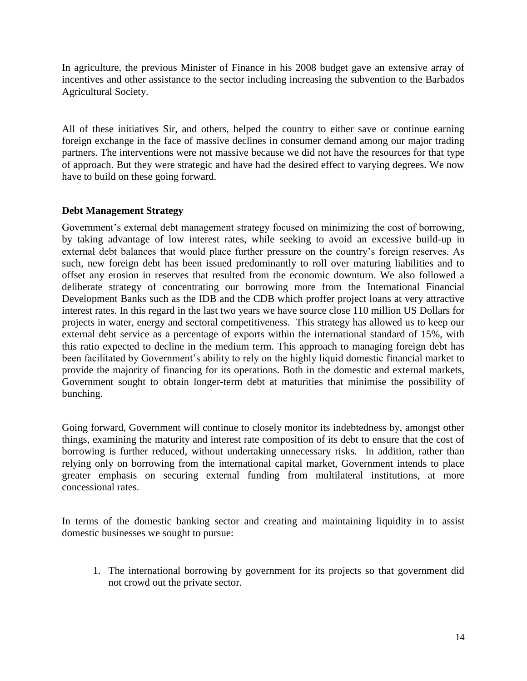In agriculture, the previous Minister of Finance in his 2008 budget gave an extensive array of incentives and other assistance to the sector including increasing the subvention to the Barbados Agricultural Society.

All of these initiatives Sir, and others, helped the country to either save or continue earning foreign exchange in the face of massive declines in consumer demand among our major trading partners. The interventions were not massive because we did not have the resources for that type of approach. But they were strategic and have had the desired effect to varying degrees. We now have to build on these going forward.

#### **Debt Management Strategy**

Government's external debt management strategy focused on minimizing the cost of borrowing, by taking advantage of low interest rates, while seeking to avoid an excessive build-up in external debt balances that would place further pressure on the country's foreign reserves. As such, new foreign debt has been issued predominantly to roll over maturing liabilities and to offset any erosion in reserves that resulted from the economic downturn. We also followed a deliberate strategy of concentrating our borrowing more from the International Financial Development Banks such as the IDB and the CDB which proffer project loans at very attractive interest rates. In this regard in the last two years we have source close 110 million US Dollars for projects in water, energy and sectoral competitiveness. This strategy has allowed us to keep our external debt service as a percentage of exports within the international standard of 15%, with this ratio expected to decline in the medium term. This approach to managing foreign debt has been facilitated by Government's ability to rely on the highly liquid domestic financial market to provide the majority of financing for its operations. Both in the domestic and external markets, Government sought to obtain longer-term debt at maturities that minimise the possibility of bunching.

Going forward, Government will continue to closely monitor its indebtedness by, amongst other things, examining the maturity and interest rate composition of its debt to ensure that the cost of borrowing is further reduced, without undertaking unnecessary risks. In addition, rather than relying only on borrowing from the international capital market, Government intends to place greater emphasis on securing external funding from multilateral institutions, at more concessional rates.

In terms of the domestic banking sector and creating and maintaining liquidity in to assist domestic businesses we sought to pursue:

1. The international borrowing by government for its projects so that government did not crowd out the private sector.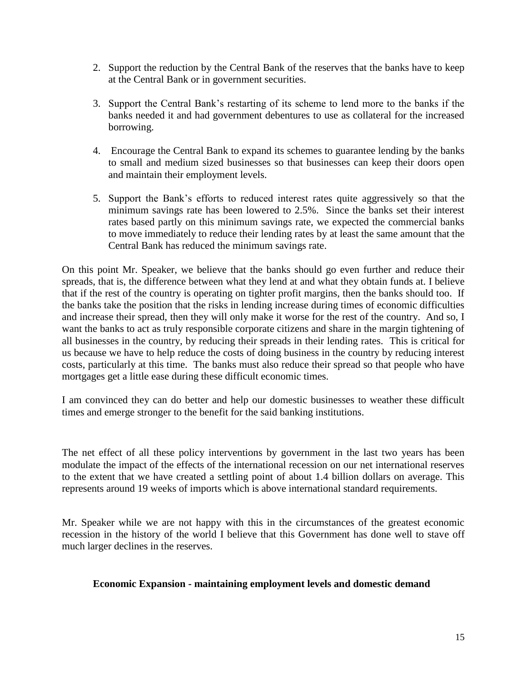- 2. Support the reduction by the Central Bank of the reserves that the banks have to keep at the Central Bank or in government securities.
- 3. Support the Central Bank's restarting of its scheme to lend more to the banks if the banks needed it and had government debentures to use as collateral for the increased borrowing.
- 4. Encourage the Central Bank to expand its schemes to guarantee lending by the banks to small and medium sized businesses so that businesses can keep their doors open and maintain their employment levels.
- 5. Support the Bank's efforts to reduced interest rates quite aggressively so that the minimum savings rate has been lowered to 2.5%. Since the banks set their interest rates based partly on this minimum savings rate, we expected the commercial banks to move immediately to reduce their lending rates by at least the same amount that the Central Bank has reduced the minimum savings rate.

On this point Mr. Speaker, we believe that the banks should go even further and reduce their spreads, that is, the difference between what they lend at and what they obtain funds at. I believe that if the rest of the country is operating on tighter profit margins, then the banks should too. If the banks take the position that the risks in lending increase during times of economic difficulties and increase their spread, then they will only make it worse for the rest of the country. And so, I want the banks to act as truly responsible corporate citizens and share in the margin tightening of all businesses in the country, by reducing their spreads in their lending rates. This is critical for us because we have to help reduce the costs of doing business in the country by reducing interest costs, particularly at this time. The banks must also reduce their spread so that people who have mortgages get a little ease during these difficult economic times.

I am convinced they can do better and help our domestic businesses to weather these difficult times and emerge stronger to the benefit for the said banking institutions.

The net effect of all these policy interventions by government in the last two years has been modulate the impact of the effects of the international recession on our net international reserves to the extent that we have created a settling point of about 1.4 billion dollars on average. This represents around 19 weeks of imports which is above international standard requirements.

Mr. Speaker while we are not happy with this in the circumstances of the greatest economic recession in the history of the world I believe that this Government has done well to stave off much larger declines in the reserves.

#### **Economic Expansion - maintaining employment levels and domestic demand**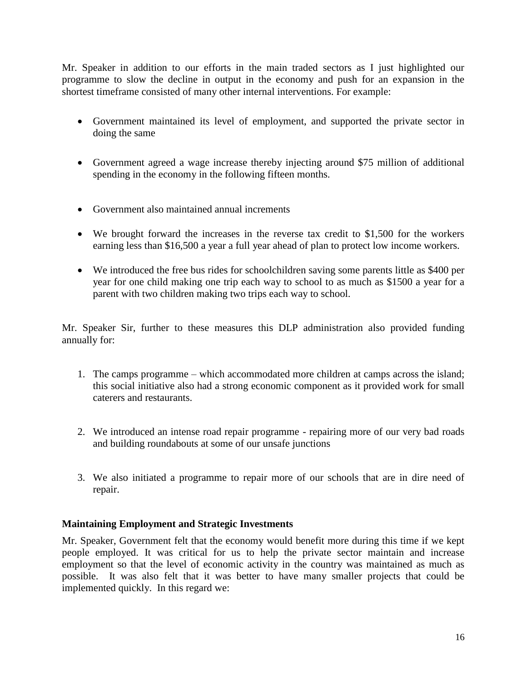Mr. Speaker in addition to our efforts in the main traded sectors as I just highlighted our programme to slow the decline in output in the economy and push for an expansion in the shortest timeframe consisted of many other internal interventions. For example:

- Government maintained its level of employment, and supported the private sector in doing the same
- Government agreed a wage increase thereby injecting around \$75 million of additional spending in the economy in the following fifteen months.
- Government also maintained annual increments
- We brought forward the increases in the reverse tax credit to \$1,500 for the workers earning less than \$16,500 a year a full year ahead of plan to protect low income workers.
- We introduced the free bus rides for schoolchildren saving some parents little as \$400 per year for one child making one trip each way to school to as much as \$1500 a year for a parent with two children making two trips each way to school.

Mr. Speaker Sir, further to these measures this DLP administration also provided funding annually for:

- 1. The camps programme which accommodated more children at camps across the island; this social initiative also had a strong economic component as it provided work for small caterers and restaurants.
- 2. We introduced an intense road repair programme repairing more of our very bad roads and building roundabouts at some of our unsafe junctions
- 3. We also initiated a programme to repair more of our schools that are in dire need of repair.

# **Maintaining Employment and Strategic Investments**

Mr. Speaker, Government felt that the economy would benefit more during this time if we kept people employed. It was critical for us to help the private sector maintain and increase employment so that the level of economic activity in the country was maintained as much as possible. It was also felt that it was better to have many smaller projects that could be implemented quickly. In this regard we: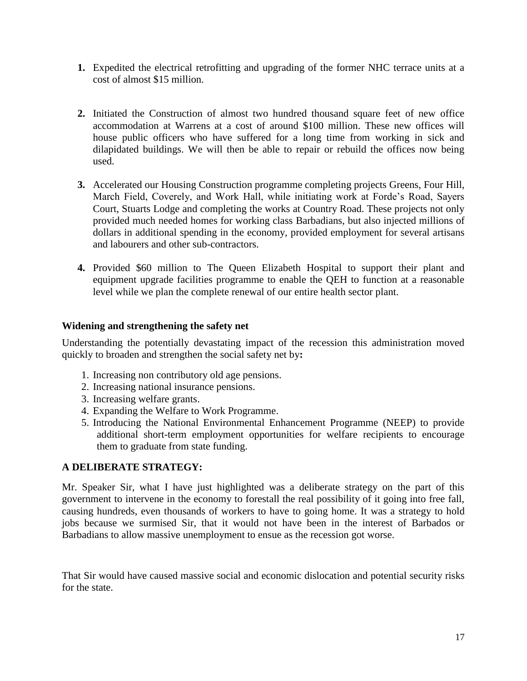- **1.** Expedited the electrical retrofitting and upgrading of the former NHC terrace units at a cost of almost \$15 million.
- **2.** Initiated the Construction of almost two hundred thousand square feet of new office accommodation at Warrens at a cost of around \$100 million. These new offices will house public officers who have suffered for a long time from working in sick and dilapidated buildings. We will then be able to repair or rebuild the offices now being used.
- **3.** Accelerated our Housing Construction programme completing projects Greens, Four Hill, March Field, Coverely, and Work Hall, while initiating work at Forde's Road, Sayers Court, Stuarts Lodge and completing the works at Country Road. These projects not only provided much needed homes for working class Barbadians, but also injected millions of dollars in additional spending in the economy, provided employment for several artisans and labourers and other sub-contractors.
- **4.** Provided \$60 million to The Queen Elizabeth Hospital to support their plant and equipment upgrade facilities programme to enable the QEH to function at a reasonable level while we plan the complete renewal of our entire health sector plant.

#### **Widening and strengthening the safety net**

Understanding the potentially devastating impact of the recession this administration moved quickly to broaden and strengthen the social safety net by**:**

- 1. Increasing non contributory old age pensions.
- 2. Increasing national insurance pensions.
- 3. Increasing welfare grants.
- 4. Expanding the Welfare to Work Programme.
- 5. Introducing the National Environmental Enhancement Programme (NEEP) to provide additional short-term employment opportunities for welfare recipients to encourage them to graduate from state funding.

# **A DELIBERATE STRATEGY:**

Mr. Speaker Sir, what I have just highlighted was a deliberate strategy on the part of this government to intervene in the economy to forestall the real possibility of it going into free fall, causing hundreds, even thousands of workers to have to going home. It was a strategy to hold jobs because we surmised Sir, that it would not have been in the interest of Barbados or Barbadians to allow massive unemployment to ensue as the recession got worse.

That Sir would have caused massive social and economic dislocation and potential security risks for the state.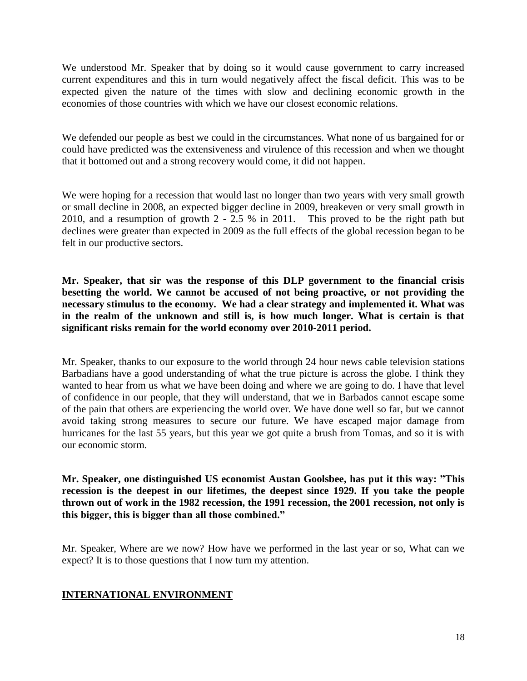We understood Mr. Speaker that by doing so it would cause government to carry increased current expenditures and this in turn would negatively affect the fiscal deficit. This was to be expected given the nature of the times with slow and declining economic growth in the economies of those countries with which we have our closest economic relations.

We defended our people as best we could in the circumstances. What none of us bargained for or could have predicted was the extensiveness and virulence of this recession and when we thought that it bottomed out and a strong recovery would come, it did not happen.

We were hoping for a recession that would last no longer than two years with very small growth or small decline in 2008, an expected bigger decline in 2009, breakeven or very small growth in 2010, and a resumption of growth 2 - 2.5 % in 2011. This proved to be the right path but declines were greater than expected in 2009 as the full effects of the global recession began to be felt in our productive sectors.

**Mr. Speaker, that sir was the response of this DLP government to the financial crisis besetting the world. We cannot be accused of not being proactive, or not providing the necessary stimulus to the economy. We had a clear strategy and implemented it. What was in the realm of the unknown and still is, is how much longer. What is certain is that significant risks remain for the world economy over 2010-2011 period.**

Mr. Speaker, thanks to our exposure to the world through 24 hour news cable television stations Barbadians have a good understanding of what the true picture is across the globe. I think they wanted to hear from us what we have been doing and where we are going to do. I have that level of confidence in our people, that they will understand, that we in Barbados cannot escape some of the pain that others are experiencing the world over. We have done well so far, but we cannot avoid taking strong measures to secure our future. We have escaped major damage from hurricanes for the last 55 years, but this year we got quite a brush from Tomas, and so it is with our economic storm.

**Mr. Speaker, one distinguished US economist Austan Goolsbee, has put it this way: "This recession is the deepest in our lifetimes, the deepest since 1929. If you take the people thrown out of work in the 1982 recession, the 1991 recession, the 2001 recession, not only is this bigger, this is bigger than all those combined."** 

Mr. Speaker, Where are we now? How have we performed in the last year or so, What can we expect? It is to those questions that I now turn my attention.

# **INTERNATIONAL ENVIRONMENT**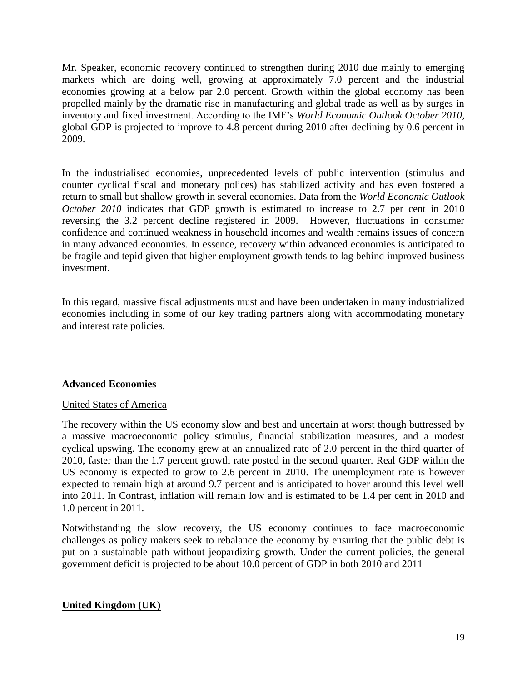Mr. Speaker, economic recovery continued to strengthen during 2010 due mainly to emerging markets which are doing well, growing at approximately 7.0 percent and the industrial economies growing at a below par 2.0 percent. Growth within the global economy has been propelled mainly by the dramatic rise in manufacturing and global trade as well as by surges in inventory and fixed investment. According to the IMF's *World Economic Outlook October 2010*, global GDP is projected to improve to 4.8 percent during 2010 after declining by 0.6 percent in 2009.

In the industrialised economies, unprecedented levels of public intervention (stimulus and counter cyclical fiscal and monetary polices) has stabilized activity and has even fostered a return to small but shallow growth in several economies. Data from the *World Economic Outlook October 2010* indicates that GDP growth is estimated to increase to 2.7 per cent in 2010 reversing the 3.2 percent decline registered in 2009. However, fluctuations in consumer confidence and continued weakness in household incomes and wealth remains issues of concern in many advanced economies. In essence, recovery within advanced economies is anticipated to be fragile and tepid given that higher employment growth tends to lag behind improved business investment.

In this regard, massive fiscal adjustments must and have been undertaken in many industrialized economies including in some of our key trading partners along with accommodating monetary and interest rate policies.

# **Advanced Economies**

#### United States of America

The recovery within the US economy slow and best and uncertain at worst though buttressed by a massive macroeconomic policy stimulus, financial stabilization measures, and a modest cyclical upswing. The economy grew at an annualized rate of 2.0 percent in the third quarter of 2010, faster than the 1.7 percent growth rate posted in the second quarter. Real GDP within the US economy is expected to grow to 2.6 percent in 2010. The unemployment rate is however expected to remain high at around 9.7 percent and is anticipated to hover around this level well into 2011. In Contrast, inflation will remain low and is estimated to be 1.4 per cent in 2010 and 1.0 percent in 2011.

Notwithstanding the slow recovery, the US economy continues to face macroeconomic challenges as policy makers seek to rebalance the economy by ensuring that the public debt is put on a sustainable path without jeopardizing growth. Under the current policies, the general government deficit is projected to be about 10.0 percent of GDP in both 2010 and 2011

#### **United Kingdom (UK)**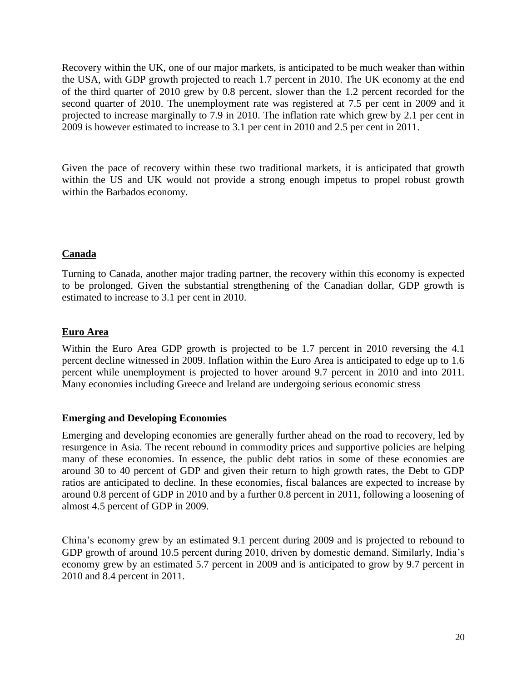Recovery within the UK, one of our major markets, is anticipated to be much weaker than within the USA, with GDP growth projected to reach 1.7 percent in 2010. The UK economy at the end of the third quarter of 2010 grew by 0.8 percent, slower than the 1.2 percent recorded for the second quarter of 2010. The unemployment rate was registered at 7.5 per cent in 2009 and it projected to increase marginally to 7.9 in 2010. The inflation rate which grew by 2.1 per cent in 2009 is however estimated to increase to 3.1 per cent in 2010 and 2.5 per cent in 2011.

Given the pace of recovery within these two traditional markets, it is anticipated that growth within the US and UK would not provide a strong enough impetus to propel robust growth within the Barbados economy.

# **Canada**

Turning to Canada, another major trading partner, the recovery within this economy is expected to be prolonged. Given the substantial strengthening of the Canadian dollar, GDP growth is estimated to increase to 3.1 per cent in 2010.

# **Euro Area**

Within the Euro Area GDP growth is projected to be 1.7 percent in 2010 reversing the 4.1 percent decline witnessed in 2009. Inflation within the Euro Area is anticipated to edge up to 1.6 percent while unemployment is projected to hover around 9.7 percent in 2010 and into 2011. Many economies including Greece and Ireland are undergoing serious economic stress

# **Emerging and Developing Economies**

Emerging and developing economies are generally further ahead on the road to recovery, led by resurgence in Asia. The recent rebound in commodity prices and supportive policies are helping many of these economies. In essence, the public debt ratios in some of these economies are around 30 to 40 percent of GDP and given their return to high growth rates, the Debt to GDP ratios are anticipated to decline. In these economies, fiscal balances are expected to increase by around 0.8 percent of GDP in 2010 and by a further 0.8 percent in 2011, following a loosening of almost 4.5 percent of GDP in 2009.

China's economy grew by an estimated 9.1 percent during 2009 and is projected to rebound to GDP growth of around 10.5 percent during 2010, driven by domestic demand. Similarly, India's economy grew by an estimated 5.7 percent in 2009 and is anticipated to grow by 9.7 percent in 2010 and 8.4 percent in 2011.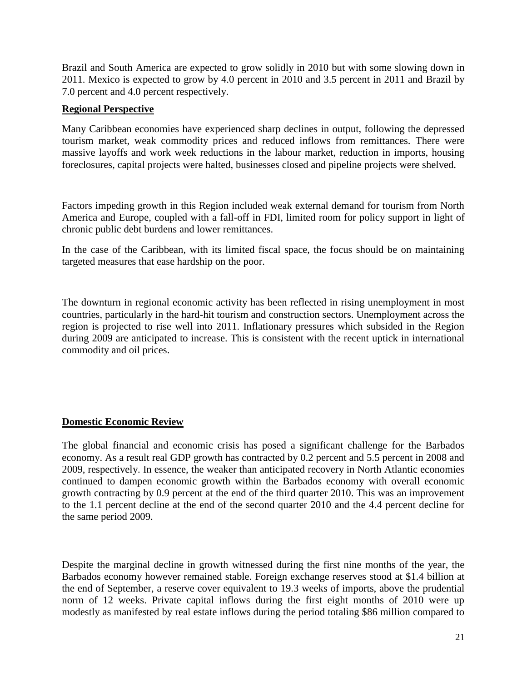Brazil and South America are expected to grow solidly in 2010 but with some slowing down in 2011. Mexico is expected to grow by 4.0 percent in 2010 and 3.5 percent in 2011 and Brazil by 7.0 percent and 4.0 percent respectively.

## **Regional Perspective**

Many Caribbean economies have experienced sharp declines in output, following the depressed tourism market, weak commodity prices and reduced inflows from remittances. There were massive layoffs and work week reductions in the labour market, reduction in imports, housing foreclosures, capital projects were halted, businesses closed and pipeline projects were shelved.

Factors impeding growth in this Region included weak external demand for tourism from North America and Europe, coupled with a fall-off in FDI, limited room for policy support in light of chronic public debt burdens and lower remittances.

In the case of the Caribbean, with its limited fiscal space, the focus should be on maintaining targeted measures that ease hardship on the poor.

The downturn in regional economic activity has been reflected in rising unemployment in most countries, particularly in the hard-hit tourism and construction sectors. Unemployment across the region is projected to rise well into 2011. Inflationary pressures which subsided in the Region during 2009 are anticipated to increase. This is consistent with the recent uptick in international commodity and oil prices.

#### **Domestic Economic Review**

The global financial and economic crisis has posed a significant challenge for the Barbados economy. As a result real GDP growth has contracted by 0.2 percent and 5.5 percent in 2008 and 2009, respectively. In essence, the weaker than anticipated recovery in North Atlantic economies continued to dampen economic growth within the Barbados economy with overall economic growth contracting by 0.9 percent at the end of the third quarter 2010. This was an improvement to the 1.1 percent decline at the end of the second quarter 2010 and the 4.4 percent decline for the same period 2009.

Despite the marginal decline in growth witnessed during the first nine months of the year, the Barbados economy however remained stable. Foreign exchange reserves stood at \$1.4 billion at the end of September, a reserve cover equivalent to 19.3 weeks of imports, above the prudential norm of 12 weeks. Private capital inflows during the first eight months of 2010 were up modestly as manifested by real estate inflows during the period totaling \$86 million compared to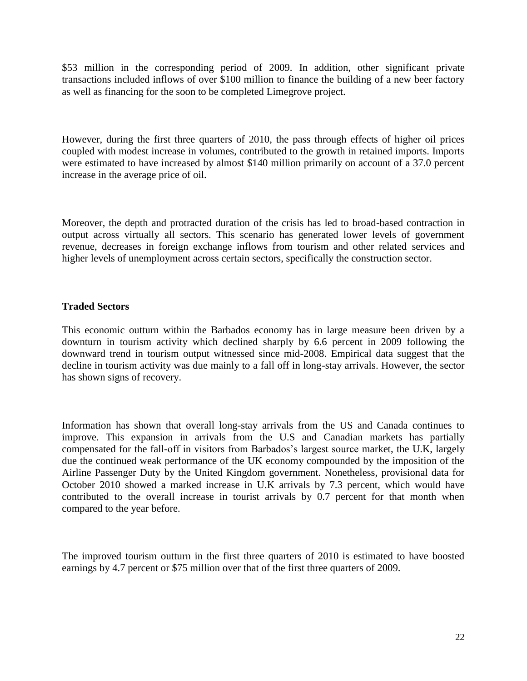\$53 million in the corresponding period of 2009. In addition, other significant private transactions included inflows of over \$100 million to finance the building of a new beer factory as well as financing for the soon to be completed Limegrove project.

However, during the first three quarters of 2010, the pass through effects of higher oil prices coupled with modest increase in volumes, contributed to the growth in retained imports. Imports were estimated to have increased by almost \$140 million primarily on account of a 37.0 percent increase in the average price of oil.

Moreover, the depth and protracted duration of the crisis has led to broad-based contraction in output across virtually all sectors. This scenario has generated lower levels of government revenue, decreases in foreign exchange inflows from tourism and other related services and higher levels of unemployment across certain sectors, specifically the construction sector.

#### **Traded Sectors**

This economic outturn within the Barbados economy has in large measure been driven by a downturn in tourism activity which declined sharply by 6.6 percent in 2009 following the downward trend in tourism output witnessed since mid-2008. Empirical data suggest that the decline in tourism activity was due mainly to a fall off in long-stay arrivals. However, the sector has shown signs of recovery.

Information has shown that overall long-stay arrivals from the US and Canada continues to improve. This expansion in arrivals from the U.S and Canadian markets has partially compensated for the fall-off in visitors from Barbados's largest source market, the U.K, largely due the continued weak performance of the UK economy compounded by the imposition of the Airline Passenger Duty by the United Kingdom government. Nonetheless, provisional data for October 2010 showed a marked increase in U.K arrivals by 7.3 percent, which would have contributed to the overall increase in tourist arrivals by 0.7 percent for that month when compared to the year before.

The improved tourism outturn in the first three quarters of 2010 is estimated to have boosted earnings by 4.7 percent or \$75 million over that of the first three quarters of 2009.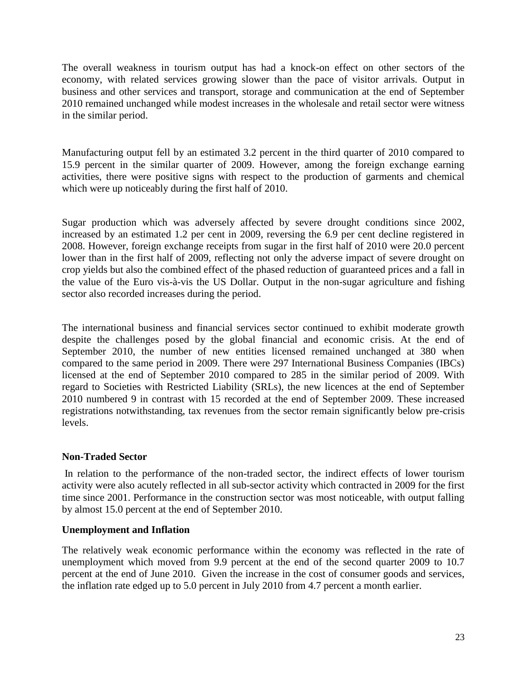The overall weakness in tourism output has had a knock-on effect on other sectors of the economy, with related services growing slower than the pace of visitor arrivals. Output in business and other services and transport, storage and communication at the end of September 2010 remained unchanged while modest increases in the wholesale and retail sector were witness in the similar period.

Manufacturing output fell by an estimated 3.2 percent in the third quarter of 2010 compared to 15.9 percent in the similar quarter of 2009. However, among the foreign exchange earning activities, there were positive signs with respect to the production of garments and chemical which were up noticeably during the first half of 2010.

Sugar production which was adversely affected by severe drought conditions since 2002, increased by an estimated 1.2 per cent in 2009, reversing the 6.9 per cent decline registered in 2008. However, foreign exchange receipts from sugar in the first half of 2010 were 20.0 percent lower than in the first half of 2009, reflecting not only the adverse impact of severe drought on crop yields but also the combined effect of the phased reduction of guaranteed prices and a fall in the value of the Euro vis-à-vis the US Dollar. Output in the non-sugar agriculture and fishing sector also recorded increases during the period.

The international business and financial services sector continued to exhibit moderate growth despite the challenges posed by the global financial and economic crisis. At the end of September 2010, the number of new entities licensed remained unchanged at 380 when compared to the same period in 2009. There were 297 International Business Companies (IBCs) licensed at the end of September 2010 compared to 285 in the similar period of 2009. With regard to Societies with Restricted Liability (SRLs), the new licences at the end of September 2010 numbered 9 in contrast with 15 recorded at the end of September 2009. These increased registrations notwithstanding, tax revenues from the sector remain significantly below pre-crisis levels.

# **Non-Traded Sector**

In relation to the performance of the non-traded sector, the indirect effects of lower tourism activity were also acutely reflected in all sub-sector activity which contracted in 2009 for the first time since 2001. Performance in the construction sector was most noticeable, with output falling by almost 15.0 percent at the end of September 2010.

# **Unemployment and Inflation**

The relatively weak economic performance within the economy was reflected in the rate of unemployment which moved from 9.9 percent at the end of the second quarter 2009 to 10.7 percent at the end of June 2010. Given the increase in the cost of consumer goods and services, the inflation rate edged up to 5.0 percent in July 2010 from 4.7 percent a month earlier.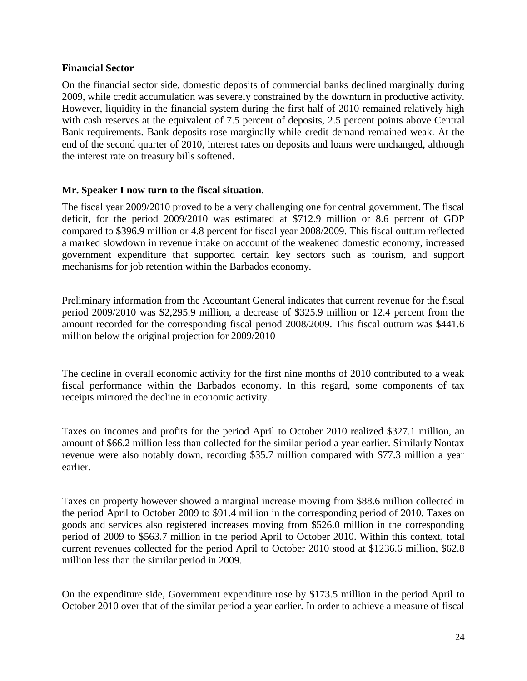#### **Financial Sector**

On the financial sector side, domestic deposits of commercial banks declined marginally during 2009, while credit accumulation was severely constrained by the downturn in productive activity. However, liquidity in the financial system during the first half of 2010 remained relatively high with cash reserves at the equivalent of 7.5 percent of deposits, 2.5 percent points above Central Bank requirements. Bank deposits rose marginally while credit demand remained weak. At the end of the second quarter of 2010, interest rates on deposits and loans were unchanged, although the interest rate on treasury bills softened.

#### **Mr. Speaker I now turn to the fiscal situation.**

The fiscal year 2009/2010 proved to be a very challenging one for central government. The fiscal deficit, for the period 2009/2010 was estimated at \$712.9 million or 8.6 percent of GDP compared to \$396.9 million or 4.8 percent for fiscal year 2008/2009. This fiscal outturn reflected a marked slowdown in revenue intake on account of the weakened domestic economy, increased government expenditure that supported certain key sectors such as tourism, and support mechanisms for job retention within the Barbados economy.

Preliminary information from the Accountant General indicates that current revenue for the fiscal period 2009/2010 was \$2,295.9 million, a decrease of \$325.9 million or 12.4 percent from the amount recorded for the corresponding fiscal period 2008/2009. This fiscal outturn was \$441.6 million below the original projection for 2009/2010

The decline in overall economic activity for the first nine months of 2010 contributed to a weak fiscal performance within the Barbados economy. In this regard, some components of tax receipts mirrored the decline in economic activity.

Taxes on incomes and profits for the period April to October 2010 realized \$327.1 million, an amount of \$66.2 million less than collected for the similar period a year earlier. Similarly Nontax revenue were also notably down, recording \$35.7 million compared with \$77.3 million a year earlier.

Taxes on property however showed a marginal increase moving from \$88.6 million collected in the period April to October 2009 to \$91.4 million in the corresponding period of 2010. Taxes on goods and services also registered increases moving from \$526.0 million in the corresponding period of 2009 to \$563.7 million in the period April to October 2010. Within this context, total current revenues collected for the period April to October 2010 stood at \$1236.6 million, \$62.8 million less than the similar period in 2009.

On the expenditure side, Government expenditure rose by \$173.5 million in the period April to October 2010 over that of the similar period a year earlier. In order to achieve a measure of fiscal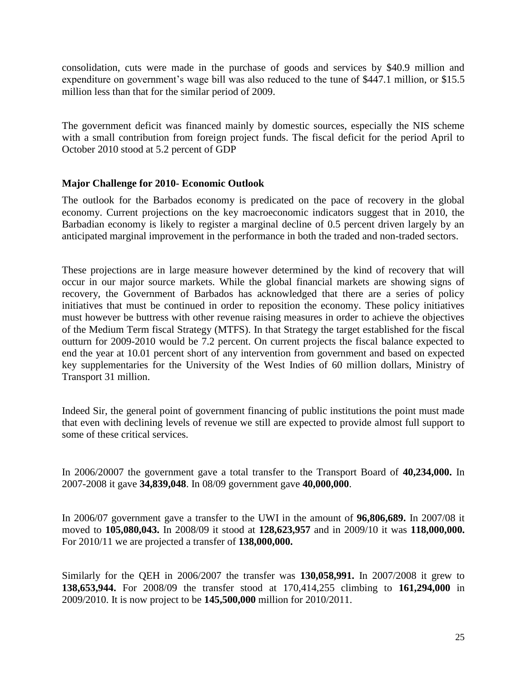consolidation, cuts were made in the purchase of goods and services by \$40.9 million and expenditure on government's wage bill was also reduced to the tune of \$447.1 million, or \$15.5 million less than that for the similar period of 2009.

The government deficit was financed mainly by domestic sources, especially the NIS scheme with a small contribution from foreign project funds. The fiscal deficit for the period April to October 2010 stood at 5.2 percent of GDP

#### **Major Challenge for 2010- Economic Outlook**

The outlook for the Barbados economy is predicated on the pace of recovery in the global economy. Current projections on the key macroeconomic indicators suggest that in 2010, the Barbadian economy is likely to register a marginal decline of 0.5 percent driven largely by an anticipated marginal improvement in the performance in both the traded and non-traded sectors.

These projections are in large measure however determined by the kind of recovery that will occur in our major source markets. While the global financial markets are showing signs of recovery, the Government of Barbados has acknowledged that there are a series of policy initiatives that must be continued in order to reposition the economy. These policy initiatives must however be buttress with other revenue raising measures in order to achieve the objectives of the Medium Term fiscal Strategy (MTFS). In that Strategy the target established for the fiscal outturn for 2009-2010 would be 7.2 percent. On current projects the fiscal balance expected to end the year at 10.01 percent short of any intervention from government and based on expected key supplementaries for the University of the West Indies of 60 million dollars, Ministry of Transport 31 million.

Indeed Sir, the general point of government financing of public institutions the point must made that even with declining levels of revenue we still are expected to provide almost full support to some of these critical services.

In 2006/20007 the government gave a total transfer to the Transport Board of **40,234,000.** In 2007-2008 it gave **34,839,048**. In 08/09 government gave **40,000,000**.

In 2006/07 government gave a transfer to the UWI in the amount of **96,806,689.** In 2007/08 it moved to **105,080,043.** In 2008/09 it stood at **128,623,957** and in 2009/10 it was **118,000,000.** For 2010/11 we are projected a transfer of **138,000,000.**

Similarly for the QEH in 2006/2007 the transfer was **130,058,991.** In 2007/2008 it grew to **138,653,944.** For 2008/09 the transfer stood at 170,414,255 climbing to **161,294,000** in 2009/2010. It is now project to be **145,500,000** million for 2010/2011.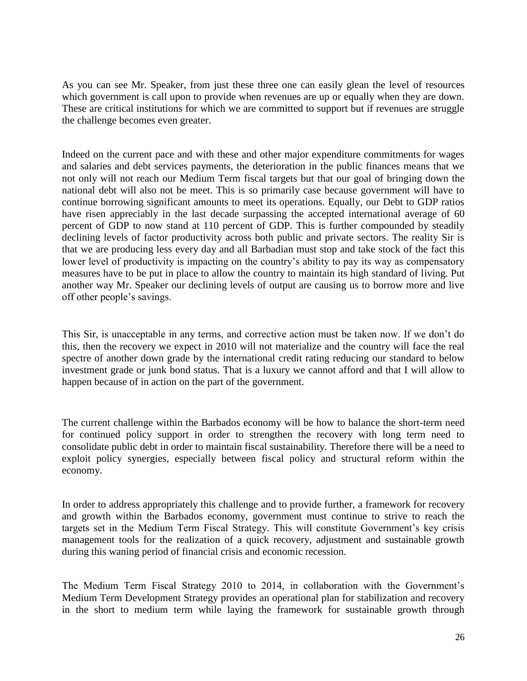As you can see Mr. Speaker, from just these three one can easily glean the level of resources which government is call upon to provide when revenues are up or equally when they are down. These are critical institutions for which we are committed to support but if revenues are struggle the challenge becomes even greater.

Indeed on the current pace and with these and other major expenditure commitments for wages and salaries and debt services payments, the deterioration in the public finances means that we not only will not reach our Medium Term fiscal targets but that our goal of bringing down the national debt will also not be meet. This is so primarily case because government will have to continue borrowing significant amounts to meet its operations. Equally, our Debt to GDP ratios have risen appreciably in the last decade surpassing the accepted international average of 60 percent of GDP to now stand at 110 percent of GDP. This is further compounded by steadily declining levels of factor productivity across both public and private sectors. The reality Sir is that we are producing less every day and all Barbadian must stop and take stock of the fact this lower level of productivity is impacting on the country's ability to pay its way as compensatory measures have to be put in place to allow the country to maintain its high standard of living. Put another way Mr. Speaker our declining levels of output are causing us to borrow more and live off other people's savings.

This Sir, is unacceptable in any terms, and corrective action must be taken now. If we don't do this, then the recovery we expect in 2010 will not materialize and the country will face the real spectre of another down grade by the international credit rating reducing our standard to below investment grade or junk bond status. That is a luxury we cannot afford and that I will allow to happen because of in action on the part of the government.

The current challenge within the Barbados economy will be how to balance the short-term need for continued policy support in order to strengthen the recovery with long term need to consolidate public debt in order to maintain fiscal sustainability. Therefore there will be a need to exploit policy synergies, especially between fiscal policy and structural reform within the economy.

In order to address appropriately this challenge and to provide further, a framework for recovery and growth within the Barbados economy, government must continue to strive to reach the targets set in the Medium Term Fiscal Strategy. This will constitute Government's key crisis management tools for the realization of a quick recovery, adjustment and sustainable growth during this waning period of financial crisis and economic recession.

The Medium Term Fiscal Strategy 2010 to 2014, in collaboration with the Government's Medium Term Development Strategy provides an operational plan for stabilization and recovery in the short to medium term while laying the framework for sustainable growth through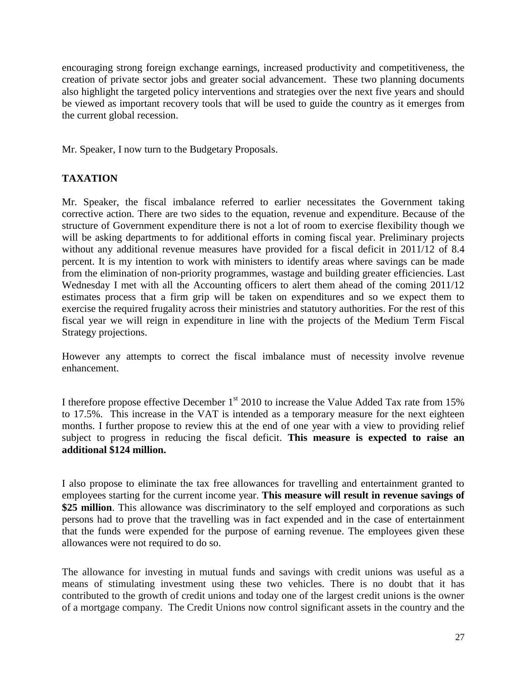encouraging strong foreign exchange earnings, increased productivity and competitiveness, the creation of private sector jobs and greater social advancement. These two planning documents also highlight the targeted policy interventions and strategies over the next five years and should be viewed as important recovery tools that will be used to guide the country as it emerges from the current global recession.

Mr. Speaker, I now turn to the Budgetary Proposals.

# **TAXATION**

Mr. Speaker, the fiscal imbalance referred to earlier necessitates the Government taking corrective action. There are two sides to the equation, revenue and expenditure. Because of the structure of Government expenditure there is not a lot of room to exercise flexibility though we will be asking departments to for additional efforts in coming fiscal year. Preliminary projects without any additional revenue measures have provided for a fiscal deficit in 2011/12 of 8.4 percent. It is my intention to work with ministers to identify areas where savings can be made from the elimination of non-priority programmes, wastage and building greater efficiencies. Last Wednesday I met with all the Accounting officers to alert them ahead of the coming 2011/12 estimates process that a firm grip will be taken on expenditures and so we expect them to exercise the required frugality across their ministries and statutory authorities. For the rest of this fiscal year we will reign in expenditure in line with the projects of the Medium Term Fiscal Strategy projections.

However any attempts to correct the fiscal imbalance must of necessity involve revenue enhancement.

I therefore propose effective December  $1<sup>st</sup>$  2010 to increase the Value Added Tax rate from 15% to 17.5%. This increase in the VAT is intended as a temporary measure for the next eighteen months. I further propose to review this at the end of one year with a view to providing relief subject to progress in reducing the fiscal deficit. **This measure is expected to raise an additional \$124 million.**

I also propose to eliminate the tax free allowances for travelling and entertainment granted to employees starting for the current income year. **This measure will result in revenue savings of \$25 million**. This allowance was discriminatory to the self employed and corporations as such persons had to prove that the travelling was in fact expended and in the case of entertainment that the funds were expended for the purpose of earning revenue. The employees given these allowances were not required to do so.

The allowance for investing in mutual funds and savings with credit unions was useful as a means of stimulating investment using these two vehicles. There is no doubt that it has contributed to the growth of credit unions and today one of the largest credit unions is the owner of a mortgage company. The Credit Unions now control significant assets in the country and the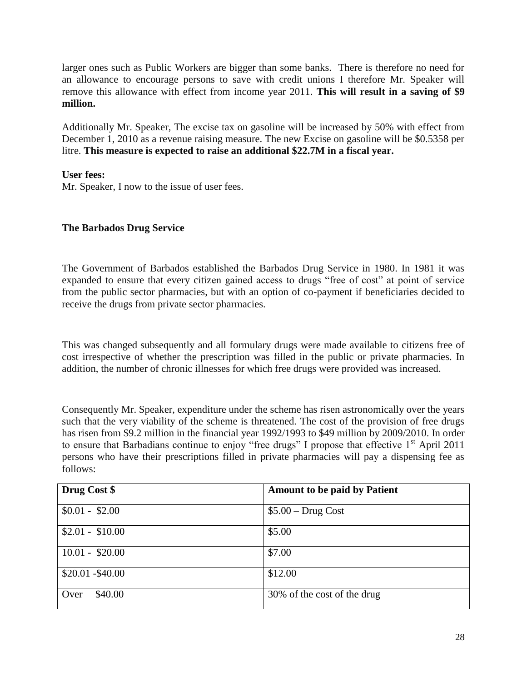larger ones such as Public Workers are bigger than some banks. There is therefore no need for an allowance to encourage persons to save with credit unions I therefore Mr. Speaker will remove this allowance with effect from income year 2011. **This will result in a saving of \$9 million.** 

Additionally Mr. Speaker, The excise tax on gasoline will be increased by 50% with effect from December 1, 2010 as a revenue raising measure. The new Excise on gasoline will be \$0.5358 per litre. **This measure is expected to raise an additional \$22.7M in a fiscal year.**

**User fees:**

Mr. Speaker, I now to the issue of user fees.

# **The Barbados Drug Service**

The Government of Barbados established the Barbados Drug Service in 1980. In 1981 it was expanded to ensure that every citizen gained access to drugs "free of cost" at point of service from the public sector pharmacies, but with an option of co-payment if beneficiaries decided to receive the drugs from private sector pharmacies.

This was changed subsequently and all formulary drugs were made available to citizens free of cost irrespective of whether the prescription was filled in the public or private pharmacies. In addition, the number of chronic illnesses for which free drugs were provided was increased.

Consequently Mr. Speaker, expenditure under the scheme has risen astronomically over the years such that the very viability of the scheme is threatened. The cost of the provision of free drugs has risen from \$9.2 million in the financial year 1992/1993 to \$49 million by 2009/2010. In order to ensure that Barbadians continue to enjoy "free drugs" I propose that effective 1<sup>st</sup> April 2011 persons who have their prescriptions filled in private pharmacies will pay a dispensing fee as follows:

| Drug Cost \$      | <b>Amount to be paid by Patient</b> |
|-------------------|-------------------------------------|
| $$0.01 - $2.00$   | $$5.00 - Drug Cost$                 |
| $$2.01 - $10.00$  | \$5.00                              |
| $10.01 - $20.00$  | \$7.00                              |
| $$20.01 - $40.00$ | \$12.00                             |
| \$40.00<br>Over   | 30% of the cost of the drug         |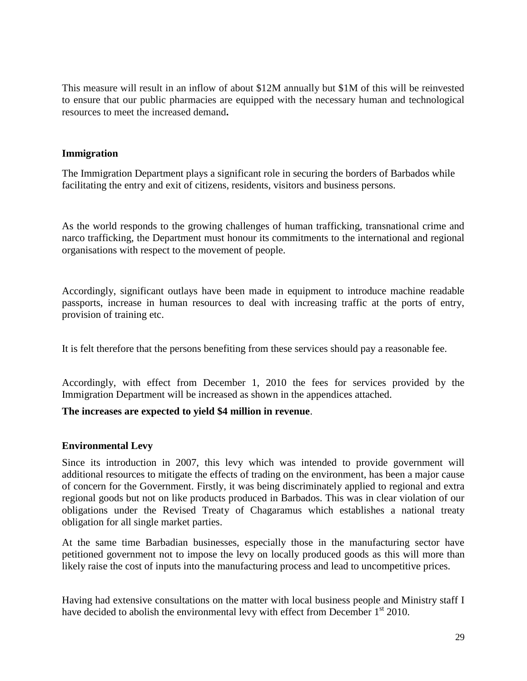This measure will result in an inflow of about \$12M annually but \$1M of this will be reinvested to ensure that our public pharmacies are equipped with the necessary human and technological resources to meet the increased demand**.**

#### **Immigration**

The Immigration Department plays a significant role in securing the borders of Barbados while facilitating the entry and exit of citizens, residents, visitors and business persons.

As the world responds to the growing challenges of human trafficking, transnational crime and narco trafficking, the Department must honour its commitments to the international and regional organisations with respect to the movement of people.

Accordingly, significant outlays have been made in equipment to introduce machine readable passports, increase in human resources to deal with increasing traffic at the ports of entry, provision of training etc.

It is felt therefore that the persons benefiting from these services should pay a reasonable fee.

Accordingly, with effect from December 1, 2010 the fees for services provided by the Immigration Department will be increased as shown in the appendices attached.

# **The increases are expected to yield \$4 million in revenue**.

# **Environmental Levy**

Since its introduction in 2007, this levy which was intended to provide government will additional resources to mitigate the effects of trading on the environment, has been a major cause of concern for the Government. Firstly, it was being discriminately applied to regional and extra regional goods but not on like products produced in Barbados. This was in clear violation of our obligations under the Revised Treaty of Chagaramus which establishes a national treaty obligation for all single market parties.

At the same time Barbadian businesses, especially those in the manufacturing sector have petitioned government not to impose the levy on locally produced goods as this will more than likely raise the cost of inputs into the manufacturing process and lead to uncompetitive prices.

Having had extensive consultations on the matter with local business people and Ministry staff I have decided to abolish the environmental levy with effect from December  $1<sup>st</sup>$  2010.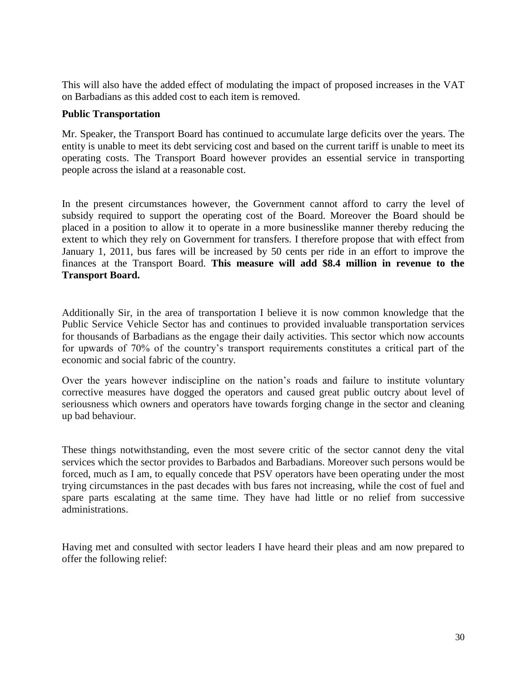This will also have the added effect of modulating the impact of proposed increases in the VAT on Barbadians as this added cost to each item is removed.

#### **Public Transportation**

Mr. Speaker, the Transport Board has continued to accumulate large deficits over the years. The entity is unable to meet its debt servicing cost and based on the current tariff is unable to meet its operating costs. The Transport Board however provides an essential service in transporting people across the island at a reasonable cost.

In the present circumstances however, the Government cannot afford to carry the level of subsidy required to support the operating cost of the Board. Moreover the Board should be placed in a position to allow it to operate in a more businesslike manner thereby reducing the extent to which they rely on Government for transfers. I therefore propose that with effect from January 1, 2011, bus fares will be increased by 50 cents per ride in an effort to improve the finances at the Transport Board. **This measure will add \$8.4 million in revenue to the Transport Board.** 

Additionally Sir, in the area of transportation I believe it is now common knowledge that the Public Service Vehicle Sector has and continues to provided invaluable transportation services for thousands of Barbadians as the engage their daily activities. This sector which now accounts for upwards of 70% of the country's transport requirements constitutes a critical part of the economic and social fabric of the country.

Over the years however indiscipline on the nation's roads and failure to institute voluntary corrective measures have dogged the operators and caused great public outcry about level of seriousness which owners and operators have towards forging change in the sector and cleaning up bad behaviour.

These things notwithstanding, even the most severe critic of the sector cannot deny the vital services which the sector provides to Barbados and Barbadians. Moreover such persons would be forced, much as I am, to equally concede that PSV operators have been operating under the most trying circumstances in the past decades with bus fares not increasing, while the cost of fuel and spare parts escalating at the same time. They have had little or no relief from successive administrations.

Having met and consulted with sector leaders I have heard their pleas and am now prepared to offer the following relief: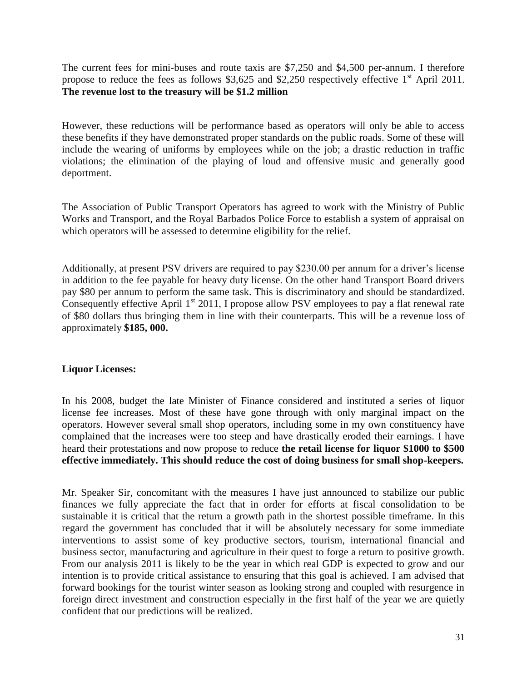The current fees for mini-buses and route taxis are \$7,250 and \$4,500 per-annum. I therefore propose to reduce the fees as follows \$3,625 and \$2,250 respectively effective  $1<sup>st</sup>$  April 2011. **The revenue lost to the treasury will be \$1.2 million**

However, these reductions will be performance based as operators will only be able to access these benefits if they have demonstrated proper standards on the public roads. Some of these will include the wearing of uniforms by employees while on the job; a drastic reduction in traffic violations; the elimination of the playing of loud and offensive music and generally good deportment.

The Association of Public Transport Operators has agreed to work with the Ministry of Public Works and Transport, and the Royal Barbados Police Force to establish a system of appraisal on which operators will be assessed to determine eligibility for the relief.

Additionally, at present PSV drivers are required to pay \$230.00 per annum for a driver's license in addition to the fee payable for heavy duty license. On the other hand Transport Board drivers pay \$80 per annum to perform the same task. This is discriminatory and should be standardized. Consequently effective April 1<sup>st</sup> 2011, I propose allow PSV employees to pay a flat renewal rate of \$80 dollars thus bringing them in line with their counterparts. This will be a revenue loss of approximately **\$185, 000.**

#### **Liquor Licenses:**

In his 2008, budget the late Minister of Finance considered and instituted a series of liquor license fee increases. Most of these have gone through with only marginal impact on the operators. However several small shop operators, including some in my own constituency have complained that the increases were too steep and have drastically eroded their earnings. I have heard their protestations and now propose to reduce **the retail license for liquor \$1000 to \$500 effective immediately. This should reduce the cost of doing business for small shop-keepers.**

Mr. Speaker Sir, concomitant with the measures I have just announced to stabilize our public finances we fully appreciate the fact that in order for efforts at fiscal consolidation to be sustainable it is critical that the return a growth path in the shortest possible timeframe. In this regard the government has concluded that it will be absolutely necessary for some immediate interventions to assist some of key productive sectors, tourism, international financial and business sector, manufacturing and agriculture in their quest to forge a return to positive growth. From our analysis 2011 is likely to be the year in which real GDP is expected to grow and our intention is to provide critical assistance to ensuring that this goal is achieved. I am advised that forward bookings for the tourist winter season as looking strong and coupled with resurgence in foreign direct investment and construction especially in the first half of the year we are quietly confident that our predictions will be realized.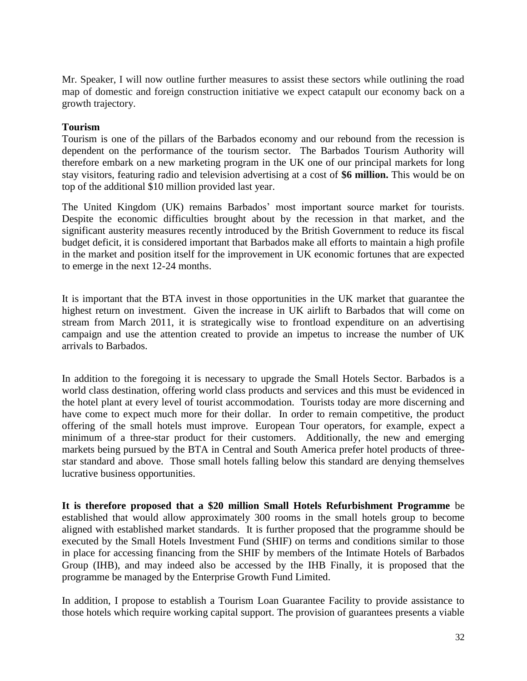Mr. Speaker, I will now outline further measures to assist these sectors while outlining the road map of domestic and foreign construction initiative we expect catapult our economy back on a growth trajectory.

## **Tourism**

Tourism is one of the pillars of the Barbados economy and our rebound from the recession is dependent on the performance of the tourism sector. The Barbados Tourism Authority will therefore embark on a new marketing program in the UK one of our principal markets for long stay visitors, featuring radio and television advertising at a cost of **\$6 million.** This would be on top of the additional \$10 million provided last year.

The United Kingdom (UK) remains Barbados' most important source market for tourists. Despite the economic difficulties brought about by the recession in that market, and the significant austerity measures recently introduced by the British Government to reduce its fiscal budget deficit, it is considered important that Barbados make all efforts to maintain a high profile in the market and position itself for the improvement in UK economic fortunes that are expected to emerge in the next 12-24 months.

It is important that the BTA invest in those opportunities in the UK market that guarantee the highest return on investment. Given the increase in UK airlift to Barbados that will come on stream from March 2011, it is strategically wise to frontload expenditure on an advertising campaign and use the attention created to provide an impetus to increase the number of UK arrivals to Barbados.

In addition to the foregoing it is necessary to upgrade the Small Hotels Sector. Barbados is a world class destination, offering world class products and services and this must be evidenced in the hotel plant at every level of tourist accommodation. Tourists today are more discerning and have come to expect much more for their dollar. In order to remain competitive, the product offering of the small hotels must improve. European Tour operators, for example, expect a minimum of a three-star product for their customers. Additionally, the new and emerging markets being pursued by the BTA in Central and South America prefer hotel products of threestar standard and above. Those small hotels falling below this standard are denying themselves lucrative business opportunities.

**It is therefore proposed that a \$20 million Small Hotels Refurbishment Programme** be established that would allow approximately 300 rooms in the small hotels group to become aligned with established market standards. It is further proposed that the programme should be executed by the Small Hotels Investment Fund (SHIF) on terms and conditions similar to those in place for accessing financing from the SHIF by members of the Intimate Hotels of Barbados Group (IHB), and may indeed also be accessed by the IHB Finally, it is proposed that the programme be managed by the Enterprise Growth Fund Limited.

In addition, I propose to establish a Tourism Loan Guarantee Facility to provide assistance to those hotels which require working capital support. The provision of guarantees presents a viable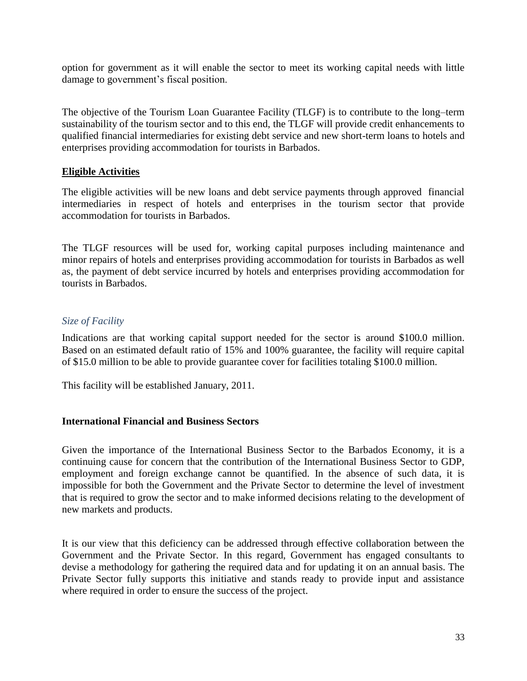option for government as it will enable the sector to meet its working capital needs with little damage to government's fiscal position.

The objective of the Tourism Loan Guarantee Facility (TLGF) is to contribute to the long–term sustainability of the tourism sector and to this end, the TLGF will provide credit enhancements to qualified financial intermediaries for existing debt service and new short-term loans to hotels and enterprises providing accommodation for tourists in Barbados.

#### **Eligible Activities**

The eligible activities will be new loans and debt service payments through approved financial intermediaries in respect of hotels and enterprises in the tourism sector that provide accommodation for tourists in Barbados.

The TLGF resources will be used for, working capital purposes including maintenance and minor repairs of hotels and enterprises providing accommodation for tourists in Barbados as well as, the payment of debt service incurred by hotels and enterprises providing accommodation for tourists in Barbados.

# *Size of Facility*

Indications are that working capital support needed for the sector is around \$100.0 million. Based on an estimated default ratio of 15% and 100% guarantee, the facility will require capital of \$15.0 million to be able to provide guarantee cover for facilities totaling \$100.0 million.

This facility will be established January, 2011.

# **International Financial and Business Sectors**

Given the importance of the International Business Sector to the Barbados Economy, it is a continuing cause for concern that the contribution of the International Business Sector to GDP, employment and foreign exchange cannot be quantified. In the absence of such data, it is impossible for both the Government and the Private Sector to determine the level of investment that is required to grow the sector and to make informed decisions relating to the development of new markets and products.

It is our view that this deficiency can be addressed through effective collaboration between the Government and the Private Sector. In this regard, Government has engaged consultants to devise a methodology for gathering the required data and for updating it on an annual basis. The Private Sector fully supports this initiative and stands ready to provide input and assistance where required in order to ensure the success of the project.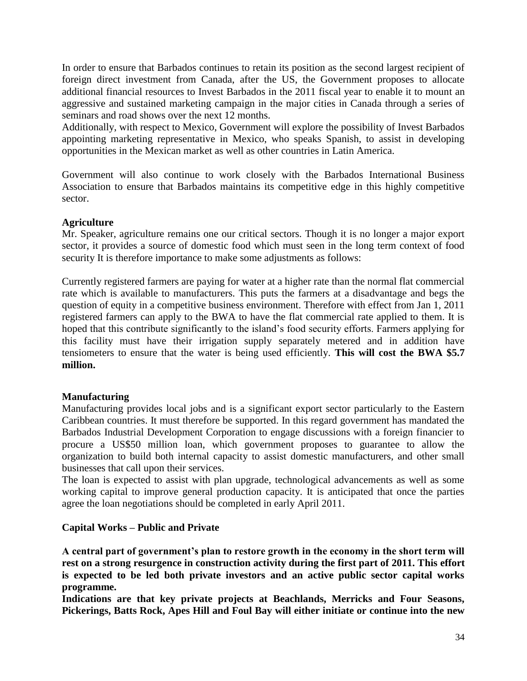In order to ensure that Barbados continues to retain its position as the second largest recipient of foreign direct investment from Canada, after the US, the Government proposes to allocate additional financial resources to Invest Barbados in the 2011 fiscal year to enable it to mount an aggressive and sustained marketing campaign in the major cities in Canada through a series of seminars and road shows over the next 12 months.

Additionally, with respect to Mexico, Government will explore the possibility of Invest Barbados appointing marketing representative in Mexico, who speaks Spanish, to assist in developing opportunities in the Mexican market as well as other countries in Latin America.

Government will also continue to work closely with the Barbados International Business Association to ensure that Barbados maintains its competitive edge in this highly competitive sector.

# **Agriculture**

Mr. Speaker, agriculture remains one our critical sectors. Though it is no longer a major export sector, it provides a source of domestic food which must seen in the long term context of food security It is therefore importance to make some adjustments as follows:

Currently registered farmers are paying for water at a higher rate than the normal flat commercial rate which is available to manufacturers. This puts the farmers at a disadvantage and begs the question of equity in a competitive business environment. Therefore with effect from Jan 1, 2011 registered farmers can apply to the BWA to have the flat commercial rate applied to them. It is hoped that this contribute significantly to the island's food security efforts. Farmers applying for this facility must have their irrigation supply separately metered and in addition have tensiometers to ensure that the water is being used efficiently. **This will cost the BWA \$5.7 million.** 

# **Manufacturing**

Manufacturing provides local jobs and is a significant export sector particularly to the Eastern Caribbean countries. It must therefore be supported. In this regard government has mandated the Barbados Industrial Development Corporation to engage discussions with a foreign financier to procure a US\$50 million loan, which government proposes to guarantee to allow the organization to build both internal capacity to assist domestic manufacturers, and other small businesses that call upon their services.

The loan is expected to assist with plan upgrade, technological advancements as well as some working capital to improve general production capacity. It is anticipated that once the parties agree the loan negotiations should be completed in early April 2011.

# **Capital Works – Public and Private**

**A central part of government's plan to restore growth in the economy in the short term will rest on a strong resurgence in construction activity during the first part of 2011. This effort is expected to be led both private investors and an active public sector capital works programme.**

**Indications are that key private projects at Beachlands, Merricks and Four Seasons, Pickerings, Batts Rock, Apes Hill and Foul Bay will either initiate or continue into the new**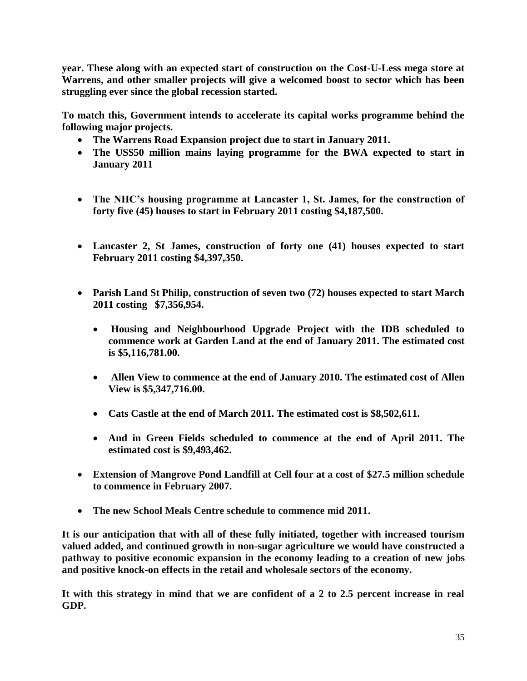**year. These along with an expected start of construction on the Cost-U-Less mega store at Warrens, and other smaller projects will give a welcomed boost to sector which has been struggling ever since the global recession started.**

**To match this, Government intends to accelerate its capital works programme behind the following major projects.**

- **The Warrens Road Expansion project due to start in January 2011.**
- **The US\$50 million mains laying programme for the BWA expected to start in January 2011**
- **The NHC's housing programme at Lancaster 1, St. James, for the construction of forty five (45) houses to start in February 2011 costing \$4,187,500.**
- **Lancaster 2, St James, construction of forty one (41) houses expected to start February 2011 costing \$4,397,350.**
- **Parish Land St Philip, construction of seven two (72) houses expected to start March 2011 costing \$7,356,954.** 
	- **Housing and Neighbourhood Upgrade Project with the IDB scheduled to commence work at Garden Land at the end of January 2011. The estimated cost is \$5,116,781.00.**
	- **Allen View to commence at the end of January 2010. The estimated cost of Allen View is \$5,347,716.00.**
	- **Cats Castle at the end of March 2011. The estimated cost is \$8,502,611.**
	- **And in Green Fields scheduled to commence at the end of April 2011. The estimated cost is \$9,493,462.**
- **Extension of Mangrove Pond Landfill at Cell four at a cost of \$27.5 million schedule to commence in February 2007.**
- **The new School Meals Centre schedule to commence mid 2011.**

**It is our anticipation that with all of these fully initiated, together with increased tourism valued added, and continued growth in non-sugar agriculture we would have constructed a pathway to positive economic expansion in the economy leading to a creation of new jobs and positive knock-on effects in the retail and wholesale sectors of the economy.** 

**It with this strategy in mind that we are confident of a 2 to 2.5 percent increase in real GDP.**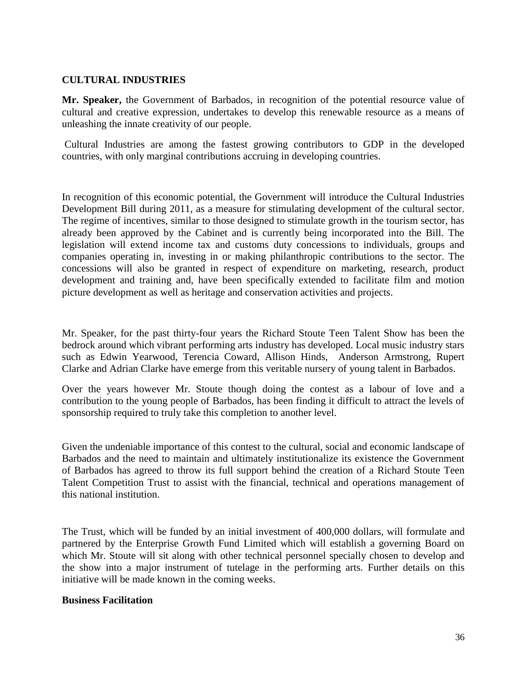#### **CULTURAL INDUSTRIES**

**Mr. Speaker,** the Government of Barbados, in recognition of the potential resource value of cultural and creative expression, undertakes to develop this renewable resource as a means of unleashing the innate creativity of our people.

Cultural Industries are among the fastest growing contributors to GDP in the developed countries, with only marginal contributions accruing in developing countries.

In recognition of this economic potential, the Government will introduce the Cultural Industries Development Bill during 2011, as a measure for stimulating development of the cultural sector. The regime of incentives, similar to those designed to stimulate growth in the tourism sector, has already been approved by the Cabinet and is currently being incorporated into the Bill. The legislation will extend income tax and customs duty concessions to individuals, groups and companies operating in, investing in or making philanthropic contributions to the sector. The concessions will also be granted in respect of expenditure on marketing, research, product development and training and, have been specifically extended to facilitate film and motion picture development as well as heritage and conservation activities and projects.

Mr. Speaker, for the past thirty-four years the Richard Stoute Teen Talent Show has been the bedrock around which vibrant performing arts industry has developed. Local music industry stars such as Edwin Yearwood, Terencia Coward, Allison Hinds, Anderson Armstrong, Rupert Clarke and Adrian Clarke have emerge from this veritable nursery of young talent in Barbados.

Over the years however Mr. Stoute though doing the contest as a labour of love and a contribution to the young people of Barbados, has been finding it difficult to attract the levels of sponsorship required to truly take this completion to another level.

Given the undeniable importance of this contest to the cultural, social and economic landscape of Barbados and the need to maintain and ultimately institutionalize its existence the Government of Barbados has agreed to throw its full support behind the creation of a Richard Stoute Teen Talent Competition Trust to assist with the financial, technical and operations management of this national institution.

The Trust, which will be funded by an initial investment of 400,000 dollars, will formulate and partnered by the Enterprise Growth Fund Limited which will establish a governing Board on which Mr. Stoute will sit along with other technical personnel specially chosen to develop and the show into a major instrument of tutelage in the performing arts. Further details on this initiative will be made known in the coming weeks.

#### **Business Facilitation**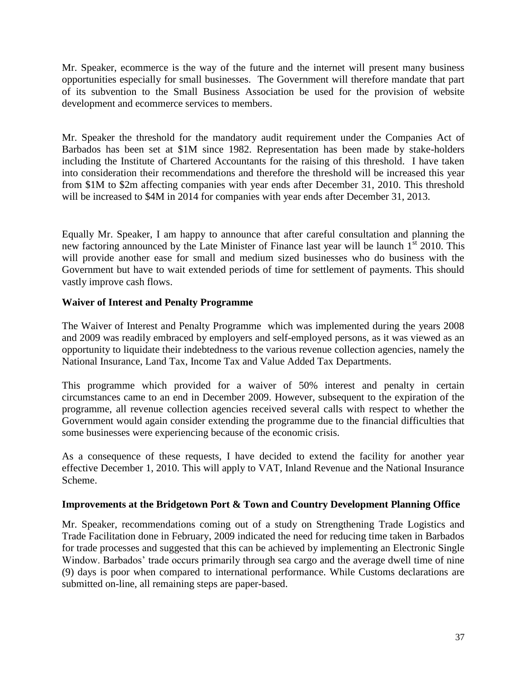Mr. Speaker, ecommerce is the way of the future and the internet will present many business opportunities especially for small businesses. The Government will therefore mandate that part of its subvention to the Small Business Association be used for the provision of website development and ecommerce services to members.

Mr. Speaker the threshold for the mandatory audit requirement under the Companies Act of Barbados has been set at \$1M since 1982. Representation has been made by stake-holders including the Institute of Chartered Accountants for the raising of this threshold. I have taken into consideration their recommendations and therefore the threshold will be increased this year from \$1M to \$2m affecting companies with year ends after December 31, 2010. This threshold will be increased to \$4M in 2014 for companies with year ends after December 31, 2013.

Equally Mr. Speaker, I am happy to announce that after careful consultation and planning the new factoring announced by the Late Minister of Finance last year will be launch  $1<sup>st</sup>$  2010. This will provide another ease for small and medium sized businesses who do business with the Government but have to wait extended periods of time for settlement of payments. This should vastly improve cash flows.

#### **Waiver of Interest and Penalty Programme**

The Waiver of Interest and Penalty Programme which was implemented during the years 2008 and 2009 was readily embraced by employers and self-employed persons, as it was viewed as an opportunity to liquidate their indebtedness to the various revenue collection agencies, namely the National Insurance, Land Tax, Income Tax and Value Added Tax Departments.

This programme which provided for a waiver of 50% interest and penalty in certain circumstances came to an end in December 2009. However, subsequent to the expiration of the programme, all revenue collection agencies received several calls with respect to whether the Government would again consider extending the programme due to the financial difficulties that some businesses were experiencing because of the economic crisis.

As a consequence of these requests, I have decided to extend the facility for another year effective December 1, 2010. This will apply to VAT, Inland Revenue and the National Insurance Scheme.

#### **Improvements at the Bridgetown Port & Town and Country Development Planning Office**

Mr. Speaker, recommendations coming out of a study on Strengthening Trade Logistics and Trade Facilitation done in February, 2009 indicated the need for reducing time taken in Barbados for trade processes and suggested that this can be achieved by implementing an Electronic Single Window. Barbados' trade occurs primarily through sea cargo and the average dwell time of nine (9) days is poor when compared to international performance. While Customs declarations are submitted on-line, all remaining steps are paper-based.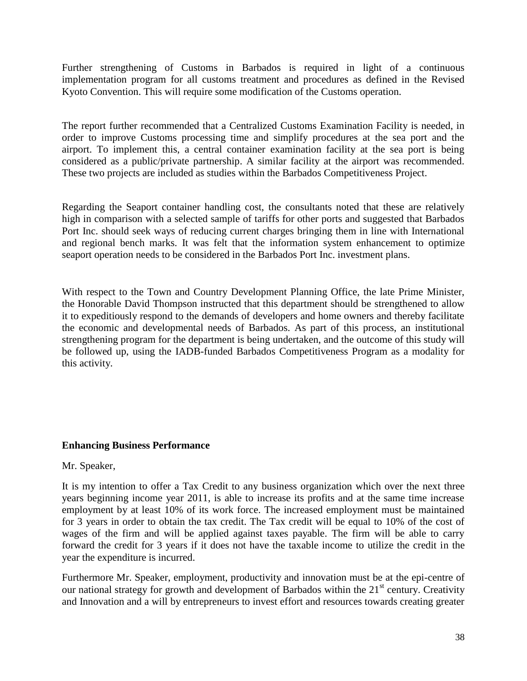Further strengthening of Customs in Barbados is required in light of a continuous implementation program for all customs treatment and procedures as defined in the Revised Kyoto Convention. This will require some modification of the Customs operation.

The report further recommended that a Centralized Customs Examination Facility is needed, in order to improve Customs processing time and simplify procedures at the sea port and the airport. To implement this, a central container examination facility at the sea port is being considered as a public/private partnership. A similar facility at the airport was recommended. These two projects are included as studies within the Barbados Competitiveness Project.

Regarding the Seaport container handling cost, the consultants noted that these are relatively high in comparison with a selected sample of tariffs for other ports and suggested that Barbados Port Inc. should seek ways of reducing current charges bringing them in line with International and regional bench marks. It was felt that the information system enhancement to optimize seaport operation needs to be considered in the Barbados Port Inc. investment plans.

With respect to the Town and Country Development Planning Office, the late Prime Minister, the Honorable David Thompson instructed that this department should be strengthened to allow it to expeditiously respond to the demands of developers and home owners and thereby facilitate the economic and developmental needs of Barbados. As part of this process, an institutional strengthening program for the department is being undertaken, and the outcome of this study will be followed up, using the IADB-funded Barbados Competitiveness Program as a modality for this activity.

# **Enhancing Business Performance**

#### Mr. Speaker,

It is my intention to offer a Tax Credit to any business organization which over the next three years beginning income year 2011, is able to increase its profits and at the same time increase employment by at least 10% of its work force. The increased employment must be maintained for 3 years in order to obtain the tax credit. The Tax credit will be equal to 10% of the cost of wages of the firm and will be applied against taxes payable. The firm will be able to carry forward the credit for 3 years if it does not have the taxable income to utilize the credit in the year the expenditure is incurred.

Furthermore Mr. Speaker, employment, productivity and innovation must be at the epi-centre of our national strategy for growth and development of Barbados within the  $21<sup>st</sup>$  century. Creativity and Innovation and a will by entrepreneurs to invest effort and resources towards creating greater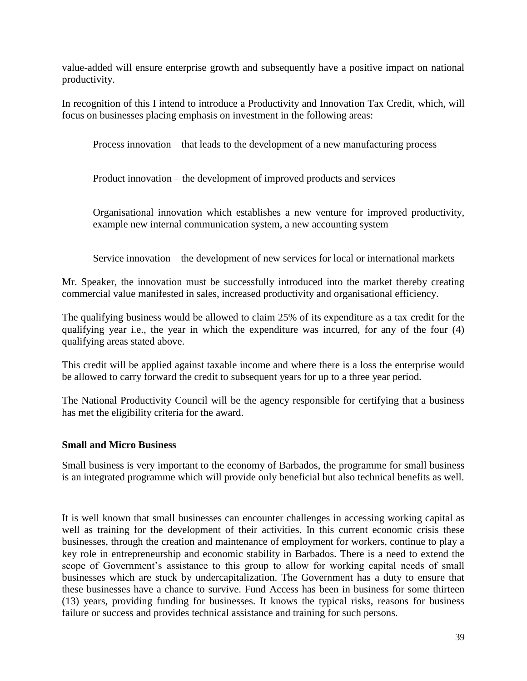value-added will ensure enterprise growth and subsequently have a positive impact on national productivity.

In recognition of this I intend to introduce a Productivity and Innovation Tax Credit, which, will focus on businesses placing emphasis on investment in the following areas:

Process innovation – that leads to the development of a new manufacturing process

Product innovation – the development of improved products and services

Organisational innovation which establishes a new venture for improved productivity, example new internal communication system, a new accounting system

Service innovation – the development of new services for local or international markets

Mr. Speaker, the innovation must be successfully introduced into the market thereby creating commercial value manifested in sales, increased productivity and organisational efficiency.

The qualifying business would be allowed to claim 25% of its expenditure as a tax credit for the qualifying year i.e., the year in which the expenditure was incurred, for any of the four (4) qualifying areas stated above.

This credit will be applied against taxable income and where there is a loss the enterprise would be allowed to carry forward the credit to subsequent years for up to a three year period.

The National Productivity Council will be the agency responsible for certifying that a business has met the eligibility criteria for the award.

# **Small and Micro Business**

Small business is very important to the economy of Barbados, the programme for small business is an integrated programme which will provide only beneficial but also technical benefits as well.

It is well known that small businesses can encounter challenges in accessing working capital as well as training for the development of their activities. In this current economic crisis these businesses, through the creation and maintenance of employment for workers, continue to play a key role in entrepreneurship and economic stability in Barbados. There is a need to extend the scope of Government's assistance to this group to allow for working capital needs of small businesses which are stuck by undercapitalization. The Government has a duty to ensure that these businesses have a chance to survive. Fund Access has been in business for some thirteen (13) years, providing funding for businesses. It knows the typical risks, reasons for business failure or success and provides technical assistance and training for such persons.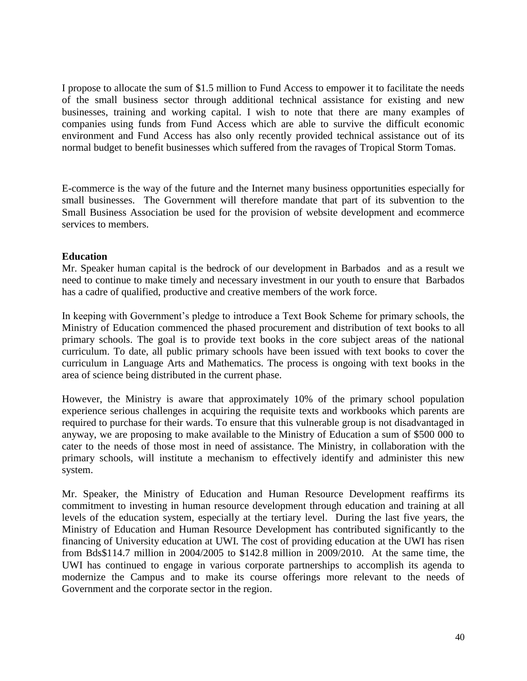I propose to allocate the sum of \$1.5 million to Fund Access to empower it to facilitate the needs of the small business sector through additional technical assistance for existing and new businesses, training and working capital. I wish to note that there are many examples of companies using funds from Fund Access which are able to survive the difficult economic environment and Fund Access has also only recently provided technical assistance out of its normal budget to benefit businesses which suffered from the ravages of Tropical Storm Tomas.

E-commerce is the way of the future and the Internet many business opportunities especially for small businesses. The Government will therefore mandate that part of its subvention to the Small Business Association be used for the provision of website development and ecommerce services to members.

#### **Education**

Mr. Speaker human capital is the bedrock of our development in Barbados and as a result we need to continue to make timely and necessary investment in our youth to ensure that Barbados has a cadre of qualified, productive and creative members of the work force.

In keeping with Government's pledge to introduce a Text Book Scheme for primary schools, the Ministry of Education commenced the phased procurement and distribution of text books to all primary schools. The goal is to provide text books in the core subject areas of the national curriculum. To date, all public primary schools have been issued with text books to cover the curriculum in Language Arts and Mathematics. The process is ongoing with text books in the area of science being distributed in the current phase.

However, the Ministry is aware that approximately 10% of the primary school population experience serious challenges in acquiring the requisite texts and workbooks which parents are required to purchase for their wards. To ensure that this vulnerable group is not disadvantaged in anyway, we are proposing to make available to the Ministry of Education a sum of \$500 000 to cater to the needs of those most in need of assistance. The Ministry, in collaboration with the primary schools, will institute a mechanism to effectively identify and administer this new system.

Mr. Speaker, the Ministry of Education and Human Resource Development reaffirms its commitment to investing in human resource development through education and training at all levels of the education system, especially at the tertiary level. During the last five years, the Ministry of Education and Human Resource Development has contributed significantly to the financing of University education at UWI. The cost of providing education at the UWI has risen from Bds\$114.7 million in 2004/2005 to \$142.8 million in 2009/2010. At the same time, the UWI has continued to engage in various corporate partnerships to accomplish its agenda to modernize the Campus and to make its course offerings more relevant to the needs of Government and the corporate sector in the region.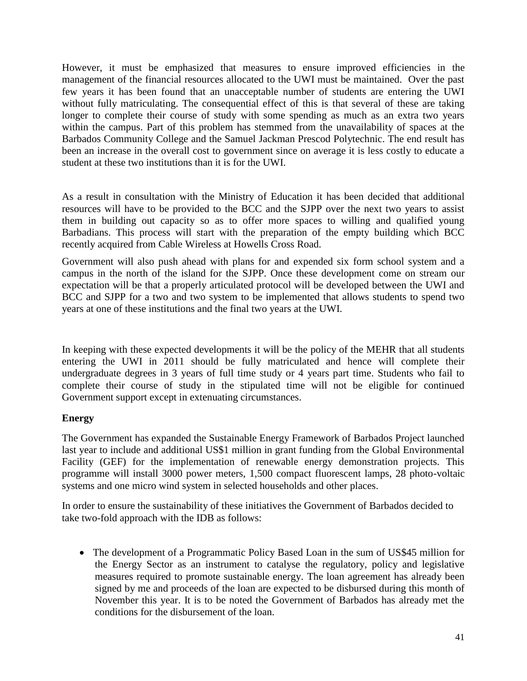However, it must be emphasized that measures to ensure improved efficiencies in the management of the financial resources allocated to the UWI must be maintained. Over the past few years it has been found that an unacceptable number of students are entering the UWI without fully matriculating. The consequential effect of this is that several of these are taking longer to complete their course of study with some spending as much as an extra two years within the campus. Part of this problem has stemmed from the unavailability of spaces at the Barbados Community College and the Samuel Jackman Prescod Polytechnic. The end result has been an increase in the overall cost to government since on average it is less costly to educate a student at these two institutions than it is for the UWI.

As a result in consultation with the Ministry of Education it has been decided that additional resources will have to be provided to the BCC and the SJPP over the next two years to assist them in building out capacity so as to offer more spaces to willing and qualified young Barbadians. This process will start with the preparation of the empty building which BCC recently acquired from Cable Wireless at Howells Cross Road.

Government will also push ahead with plans for and expended six form school system and a campus in the north of the island for the SJPP. Once these development come on stream our expectation will be that a properly articulated protocol will be developed between the UWI and BCC and SJPP for a two and two system to be implemented that allows students to spend two years at one of these institutions and the final two years at the UWI.

In keeping with these expected developments it will be the policy of the MEHR that all students entering the UWI in 2011 should be fully matriculated and hence will complete their undergraduate degrees in 3 years of full time study or 4 years part time. Students who fail to complete their course of study in the stipulated time will not be eligible for continued Government support except in extenuating circumstances.

# **Energy**

The Government has expanded the Sustainable Energy Framework of Barbados Project launched last year to include and additional US\$1 million in grant funding from the Global Environmental Facility (GEF) for the implementation of renewable energy demonstration projects. This programme will install 3000 power meters, 1,500 compact fluorescent lamps, 28 photo-voltaic systems and one micro wind system in selected households and other places.

In order to ensure the sustainability of these initiatives the Government of Barbados decided to take two-fold approach with the IDB as follows:

• The development of a Programmatic Policy Based Loan in the sum of US\$45 million for the Energy Sector as an instrument to catalyse the regulatory, policy and legislative measures required to promote sustainable energy. The loan agreement has already been signed by me and proceeds of the loan are expected to be disbursed during this month of November this year. It is to be noted the Government of Barbados has already met the conditions for the disbursement of the loan.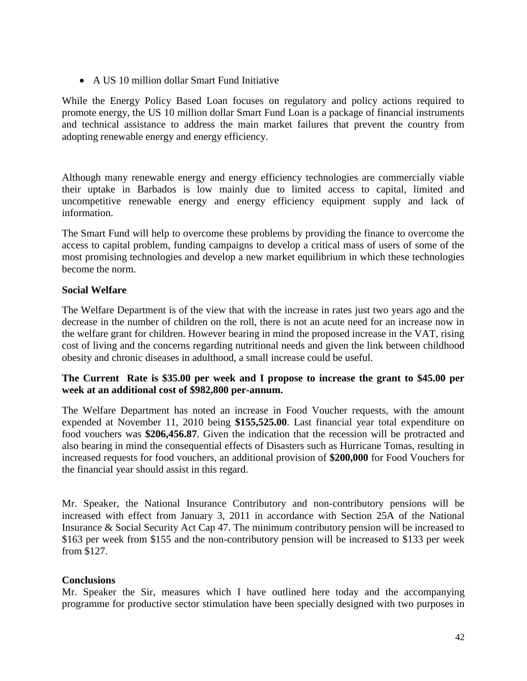A US 10 million dollar Smart Fund Initiative

While the Energy Policy Based Loan focuses on regulatory and policy actions required to promote energy, the US 10 million dollar Smart Fund Loan is a package of financial instruments and technical assistance to address the main market failures that prevent the country from adopting renewable energy and energy efficiency.

Although many renewable energy and energy efficiency technologies are commercially viable their uptake in Barbados is low mainly due to limited access to capital, limited and uncompetitive renewable energy and energy efficiency equipment supply and lack of information.

The Smart Fund will help to overcome these problems by providing the finance to overcome the access to capital problem, funding campaigns to develop a critical mass of users of some of the most promising technologies and develop a new market equilibrium in which these technologies become the norm.

# **Social Welfare**

The Welfare Department is of the view that with the increase in rates just two years ago and the decrease in the number of children on the roll, there is not an acute need for an increase now in the welfare grant for children. However bearing in mind the proposed increase in the VAT, rising cost of living and the concerns regarding nutritional needs and given the link between childhood obesity and chronic diseases in adulthood, a small increase could be useful.

# **The Current Rate is \$35.00 per week and I propose to increase the grant to \$45.00 per week at an additional cost of \$982,800 per-annum.**

The Welfare Department has noted an increase in Food Voucher requests, with the amount expended at November 11, 2010 being **\$155,525.00**. Last financial year total expenditure on food vouchers was **\$206,456.87***.* Given the indication that the recession will be protracted and also bearing in mind the consequential effects of Disasters such as Hurricane Tomas, resulting in increased requests for food vouchers, an additional provision of **\$200,000** for Food Vouchers for the financial year should assist in this regard.

Mr. Speaker, the National Insurance Contributory and non-contributory pensions will be increased with effect from January 3, 2011 in accordance with Section 25A of the National Insurance & Social Security Act Cap 47. The minimum contributory pension will be increased to \$163 per week from \$155 and the non-contributory pension will be increased to \$133 per week from \$127.

# **Conclusions**

Mr. Speaker the Sir, measures which I have outlined here today and the accompanying programme for productive sector stimulation have been specially designed with two purposes in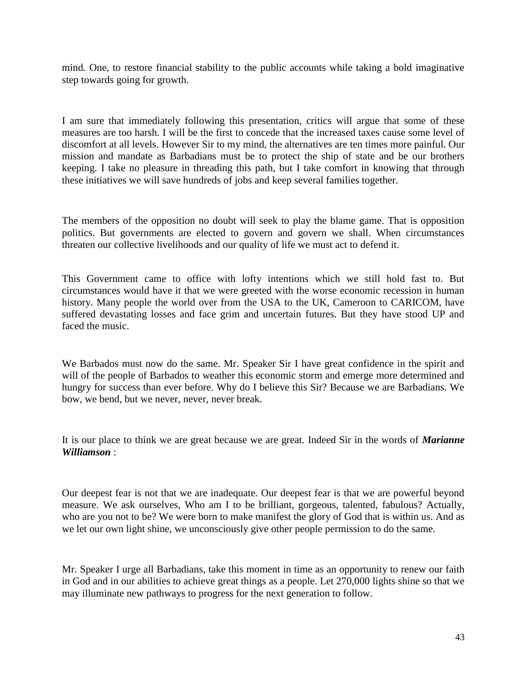mind. One, to restore financial stability to the public accounts while taking a bold imaginative step towards going for growth.

I am sure that immediately following this presentation, critics will argue that some of these measures are too harsh. I will be the first to concede that the increased taxes cause some level of discomfort at all levels. However Sir to my mind, the alternatives are ten times more painful. Our mission and mandate as Barbadians must be to protect the ship of state and be our brothers keeping. I take no pleasure in threading this path, but I take comfort in knowing that through these initiatives we will save hundreds of jobs and keep several families together.

The members of the opposition no doubt will seek to play the blame game. That is opposition politics. But governments are elected to govern and govern we shall. When circumstances threaten our collective livelihoods and our quality of life we must act to defend it.

This Government came to office with lofty intentions which we still hold fast to. But circumstances would have it that we were greeted with the worse economic recession in human history. Many people the world over from the USA to the UK, Cameroon to CARICOM, have suffered devastating losses and face grim and uncertain futures. But they have stood UP and faced the music.

We Barbados must now do the same. Mr. Speaker Sir I have great confidence in the spirit and will of the people of Barbados to weather this economic storm and emerge more determined and hungry for success than ever before. Why do I believe this Sir? Because we are Barbadians. We bow, we bend, but we never, never, never break.

It is our place to think we are great because we are great. Indeed Sir in the words of *Marianne Williamson* :

Our deepest fear is not that we are inadequate. Our deepest fear is that we are powerful beyond measure. We ask ourselves, Who am I to be brilliant, gorgeous, talented, fabulous? Actually, who are you not to be? We were born to make manifest the glory of God that is within us. And as we let our own light shine, we unconsciously give other people permission to do the same.

Mr. Speaker I urge all Barbadians, take this moment in time as an opportunity to renew our faith in God and in our abilities to achieve great things as a people. Let 270,000 lights shine so that we may illuminate new pathways to progress for the next generation to follow.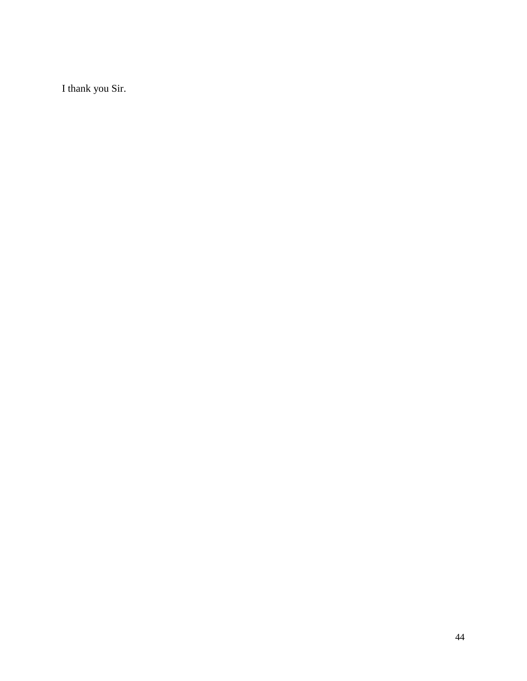I thank you Sir.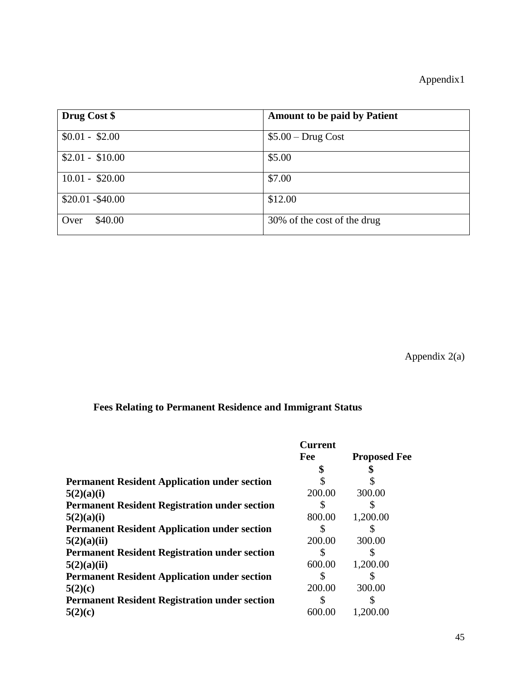| Drug Cost \$      | <b>Amount to be paid by Patient</b> |
|-------------------|-------------------------------------|
| $$0.01 - $2.00$   | $$5.00 - Drug Cost$                 |
| $$2.01 - $10.00$  | \$5.00                              |
| $10.01 - $20.00$  | \$7.00                              |
| $$20.01 - $40.00$ | \$12.00                             |
| \$40.00<br>Over   | 30% of the cost of the drug         |

Appendix 2(a)

# **Fees Relating to Permanent Residence and Immigrant Status**

|                                                      | <b>Current</b><br>Fee | <b>Proposed Fee</b> |
|------------------------------------------------------|-----------------------|---------------------|
|                                                      |                       |                     |
| <b>Permanent Resident Application under section</b>  |                       |                     |
| 5(2)(a)(i)                                           | 200.00                | 300.00              |
| <b>Permanent Resident Registration under section</b> | S                     |                     |
| 5(2)(a)(i)                                           | 800.00                | 1,200.00            |
| <b>Permanent Resident Application under section</b>  |                       |                     |
| 5(2)(a)(ii)                                          | 200.00                | 300.00              |
| <b>Permanent Resident Registration under section</b> | \$                    |                     |
| 5(2)(a)(ii)                                          | 600.00                | 1,200.00            |
| <b>Permanent Resident Application under section</b>  | S                     |                     |
| 5(2)(c)                                              | 200.00                | 300.00              |
| <b>Permanent Resident Registration under section</b> | S                     |                     |
| 5(2)(c)                                              | 600.00                | 1,200.00            |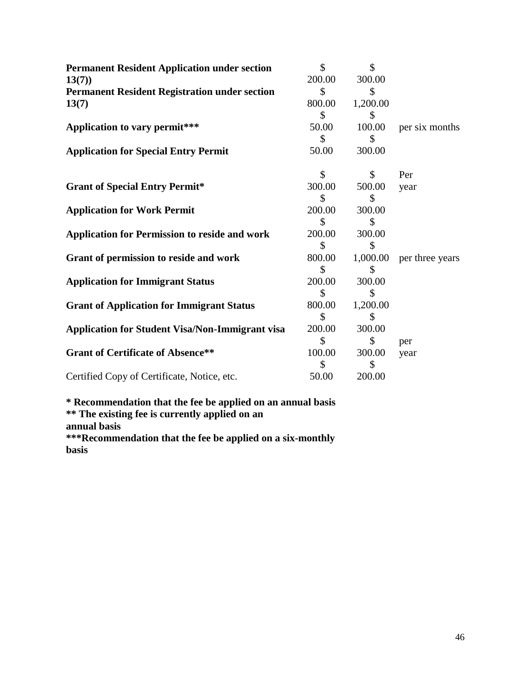| <b>Permanent Resident Application under section</b>    | $\mathbf{\hat{S}}$ | \$           |                 |
|--------------------------------------------------------|--------------------|--------------|-----------------|
| 13(7)                                                  | 200.00             | 300.00       |                 |
| <b>Permanent Resident Registration under section</b>   | \$                 |              |                 |
| 13(7)                                                  | 800.00             | 1,200.00     |                 |
|                                                        | \$                 |              |                 |
| Application to vary permit***                          | 50.00              | 100.00       | per six months  |
|                                                        | S                  | S            |                 |
| <b>Application for Special Entry Permit</b>            | 50.00              | 300.00       |                 |
|                                                        | \$                 | $\mathbb{S}$ | Per             |
| <b>Grant of Special Entry Permit*</b>                  | 300.00             | 500.00       | year            |
|                                                        | S                  | \$           |                 |
| <b>Application for Work Permit</b>                     | 200.00             | 300.00       |                 |
|                                                        | S.                 | S            |                 |
| <b>Application for Permission to reside and work</b>   | 200.00             | 300.00       |                 |
|                                                        | \$                 |              |                 |
| Grant of permission to reside and work                 | 800.00             | 1,000.00     | per three years |
|                                                        | \$                 | S            |                 |
| <b>Application for Immigrant Status</b>                | 200.00             | 300.00       |                 |
|                                                        | \$                 | \$           |                 |
| <b>Grant of Application for Immigrant Status</b>       | 800.00             | 1,200.00     |                 |
|                                                        | \$.                | S            |                 |
| <b>Application for Student Visa/Non-Immigrant visa</b> | 200.00             | 300.00       |                 |
|                                                        | \$                 | \$           | per             |
| <b>Grant of Certificate of Absence**</b>               | 100.00             | 300.00       | year            |
|                                                        | S                  | \$           |                 |
| Certified Copy of Certificate, Notice, etc.            | 50.00              | 200.00       |                 |
|                                                        |                    |              |                 |

**\* Recommendation that the fee be applied on an annual basis \*\* The existing fee is currently applied on an** 

**annual basis**

**\*\*\*Recommendation that the fee be applied on a six-monthly basis**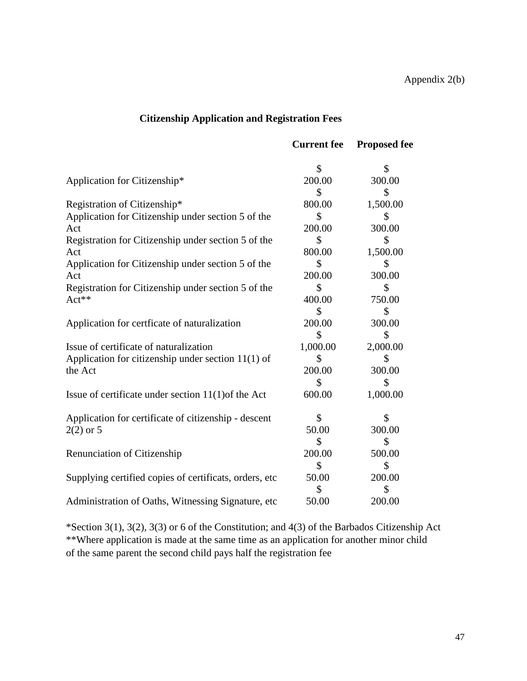# **Citizenship Application and Registration Fees**

|                                                         | <b>Current</b> fee | <b>Proposed fee</b> |
|---------------------------------------------------------|--------------------|---------------------|
|                                                         | \$                 | S                   |
| Application for Citizenship*                            | 200.00             | 300.00              |
|                                                         | \$                 | \$                  |
| Registration of Citizenship*                            | 800.00             | 1,500.00            |
| Application for Citizenship under section 5 of the      | \$                 | \$                  |
| Act                                                     | 200.00             | 300.00              |
| Registration for Citizenship under section 5 of the     | \$                 | \$                  |
| Act                                                     | 800.00             | 1,500.00            |
| Application for Citizenship under section 5 of the      | \$                 | S                   |
| Act                                                     | 200.00             | 300.00              |
| Registration for Citizenship under section 5 of the     | \$                 | \$                  |
| Act**                                                   | 400.00             | 750.00              |
|                                                         | \$                 | \$                  |
| Application for certficate of naturalization            | 200.00             | 300.00              |
|                                                         | \$                 | \$                  |
| Issue of certificate of naturalization                  | 1,000.00           | 2,000.00            |
| Application for citizenship under section $11(1)$ of    | \$                 | \$                  |
| the Act                                                 | 200.00             | 300.00              |
|                                                         | S                  | S                   |
| Issue of certificate under section $11(1)$ of the Act   | 600.00             | 1,000.00            |
| Application for certificate of citizenship - descent    | \$                 | \$                  |
| $2(2)$ or 5                                             | 50.00              | 300.00              |
|                                                         | \$                 | \$                  |
| Renunciation of Citizenship                             | 200.00             | 500.00              |
|                                                         | \$                 | \$                  |
| Supplying certified copies of certificats, orders, etc. | 50.00              | 200.00              |
|                                                         | \$                 | \$                  |
| Administration of Oaths, Witnessing Signature, etc.     | 50.00              | 200.00              |

\*Section 3(1), 3(2), 3(3) or 6 of the Constitution; and 4(3) of the Barbados Citizenship Act \*\*Where application is made at the same time as an application for another minor child of the same parent the second child pays half the registration fee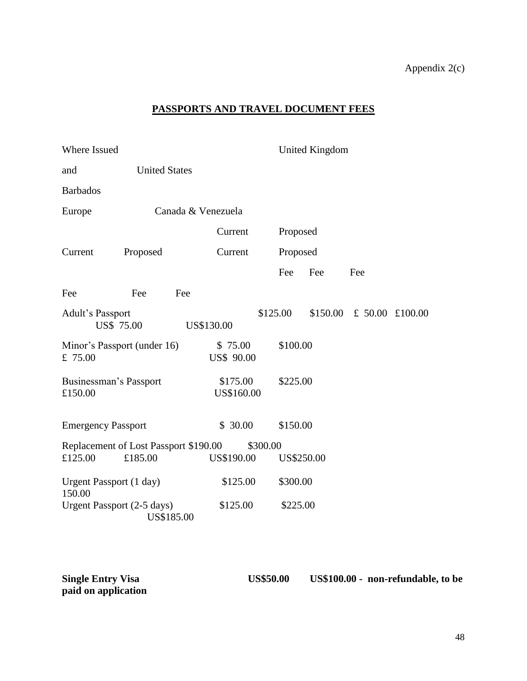# Appendix 2(c)

# **PASSPORTS AND TRAVEL DOCUMENT FEES**

| Where Issued                           |                      |     |                              |          |            | <b>United Kingdom</b> |                 |  |
|----------------------------------------|----------------------|-----|------------------------------|----------|------------|-----------------------|-----------------|--|
| and                                    | <b>United States</b> |     |                              |          |            |                       |                 |  |
| <b>Barbados</b>                        |                      |     |                              |          |            |                       |                 |  |
| Europe                                 |                      |     | Canada & Venezuela           |          |            |                       |                 |  |
|                                        |                      |     | Current                      |          | Proposed   |                       |                 |  |
| Current                                | Proposed             |     | Current                      |          | Proposed   |                       |                 |  |
|                                        |                      |     |                              |          | Fee        | Fee                   | Fee             |  |
| Fee                                    | Fee                  | Fee |                              |          |            |                       |                 |  |
| Adult's Passport<br><b>US\$ 75.00</b>  |                      |     | US\$130.00                   | \$125.00 |            | \$150.00              | £ 50.00 £100.00 |  |
| Minor's Passport (under 16)<br>£ 75.00 |                      |     | \$75.00<br><b>US\$ 90.00</b> |          | \$100.00   |                       |                 |  |
| Businessman's Passport<br>£150.00      |                      |     | \$175.00<br>US\$160.00       |          | \$225.00   |                       |                 |  |
| <b>Emergency Passport</b>              |                      |     | \$30.00                      |          | \$150.00   |                       |                 |  |
| Replacement of Lost Passport \$190.00  |                      |     |                              | \$300.00 |            |                       |                 |  |
| £125.00                                | £185.00              |     | US\$190.00                   |          | US\$250.00 |                       |                 |  |
| Urgent Passport (1 day)<br>150.00      |                      |     | \$125.00                     |          | \$300.00   |                       |                 |  |
| Urgent Passport (2-5 days)             | US\$185.00           |     | \$125.00                     |          | \$225.00   |                       |                 |  |

**Single Entry Visa US\$50.00 US\$100.00 - non-refundable, to be paid on application**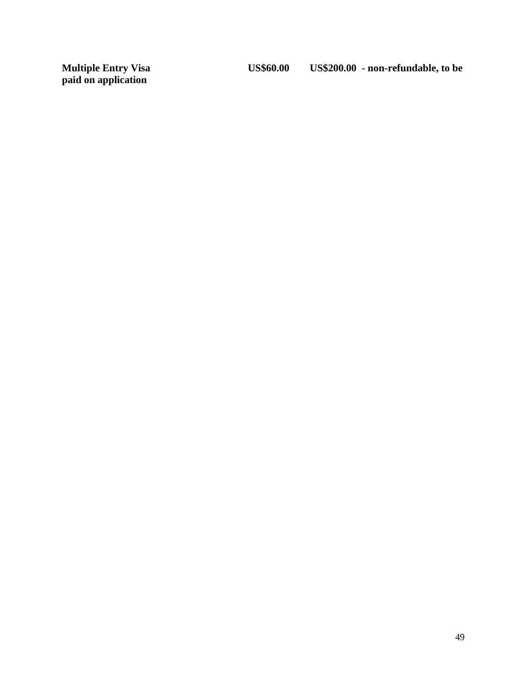**Multiple Entry Visa<br>paid on application**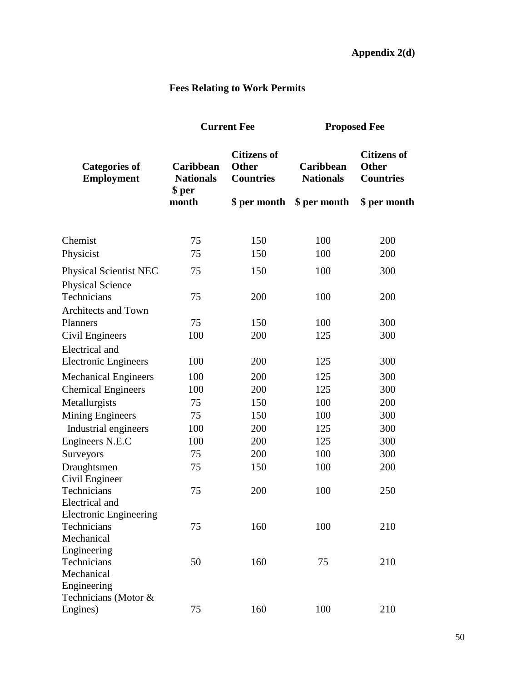# **Fees Relating to Work Permits**

|                                                          |                                         | <b>Current Fee</b>                                     | <b>Proposed Fee</b>           |                                                        |  |
|----------------------------------------------------------|-----------------------------------------|--------------------------------------------------------|-------------------------------|--------------------------------------------------------|--|
| <b>Categories of</b><br>Employment                       | Caribbean<br><b>Nationals</b><br>\$ per | <b>Citizens of</b><br><b>Other</b><br><b>Countries</b> | Caribbean<br><b>Nationals</b> | <b>Citizens of</b><br><b>Other</b><br><b>Countries</b> |  |
|                                                          | month                                   | \$ per month                                           | \$ per month                  | \$ per month                                           |  |
| Chemist                                                  | 75                                      | 150                                                    | 100                           | 200                                                    |  |
| Physicist                                                | 75                                      | 150                                                    | 100                           | 200                                                    |  |
| <b>Physical Scientist NEC</b><br><b>Physical Science</b> | 75                                      | 150                                                    | 100                           | 300                                                    |  |
| Technicians<br>Architects and Town                       | 75                                      | 200                                                    | 100                           | 200                                                    |  |
| Planners                                                 | 75                                      | 150                                                    | 100                           | 300                                                    |  |
| Civil Engineers                                          | 100                                     | 200                                                    | 125                           | 300                                                    |  |
| <b>Electrical</b> and<br><b>Electronic Engineers</b>     | 100                                     | 200                                                    | 125                           | 300                                                    |  |
| <b>Mechanical Engineers</b>                              | 100                                     | 200                                                    | 125                           | 300                                                    |  |
| <b>Chemical Engineers</b>                                | 100                                     | 200                                                    | 125                           | 300                                                    |  |
| Metallurgists                                            | 75                                      | 150                                                    | 100                           | 200                                                    |  |
| <b>Mining Engineers</b>                                  | 75                                      | 150                                                    | 100                           | 300                                                    |  |
| Industrial engineers                                     | 100                                     | 200                                                    | 125                           | 300                                                    |  |
| Engineers N.E.C                                          | 100                                     | 200                                                    | 125                           | 300                                                    |  |
| Surveyors                                                | 75                                      | 200                                                    | 100                           | 300                                                    |  |
| Draughtsmen                                              | 75                                      | 150                                                    | 100                           | 200                                                    |  |
| Civil Engineer                                           |                                         |                                                        |                               |                                                        |  |
| Technicians<br>Electrical and                            | 75                                      | 200                                                    | 100                           | 250                                                    |  |
| <b>Electronic Engineering</b>                            |                                         |                                                        |                               |                                                        |  |
| Technicians                                              | 75                                      | 160                                                    | 100                           | 210                                                    |  |
| Mechanical                                               |                                         |                                                        |                               |                                                        |  |
| Engineering                                              |                                         |                                                        |                               |                                                        |  |
| Technicians                                              | 50                                      | 160                                                    | 75                            | 210                                                    |  |
| Mechanical                                               |                                         |                                                        |                               |                                                        |  |
| Engineering                                              |                                         |                                                        |                               |                                                        |  |
| Technicians (Motor &                                     |                                         | 160                                                    | 100                           | 210                                                    |  |
| Engines)                                                 | 75                                      |                                                        |                               |                                                        |  |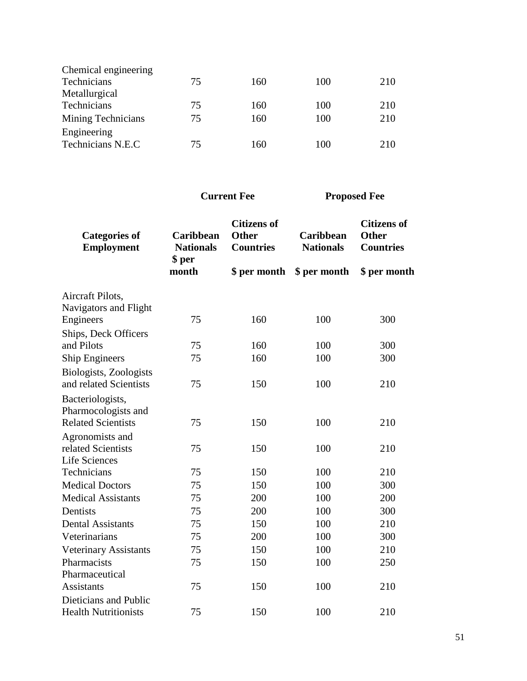| Chemical engineering      |    |     |     |     |
|---------------------------|----|-----|-----|-----|
| Technicians               | 75 | 160 | 100 | 210 |
| Metallurgical             |    |     |     |     |
| Technicians               | 75 | 160 | 100 | 210 |
| <b>Mining Technicians</b> | 75 | 160 | 100 | 210 |
| Engineering               |    |     |     |     |
| Technicians N.E.C         | 75 | 160 | 100 | 210 |
|                           |    |     |     |     |

| <b>Categories of</b><br><b>Employment</b> | Caribbean<br><b>Nationals</b><br>\$ per | <b>Citizens of</b><br><b>Other</b><br><b>Countries</b> | Caribbean<br><b>Nationals</b> | <b>Citizens of</b><br><b>Other</b><br><b>Countries</b> |
|-------------------------------------------|-----------------------------------------|--------------------------------------------------------|-------------------------------|--------------------------------------------------------|
|                                           | month                                   | \$ per month                                           | \$ per month                  | \$ per month                                           |
| Aircraft Pilots,                          |                                         |                                                        |                               |                                                        |
| Navigators and Flight                     |                                         |                                                        |                               |                                                        |
| Engineers                                 | 75                                      | 160                                                    | 100                           | 300                                                    |
| Ships, Deck Officers                      |                                         |                                                        |                               |                                                        |
| and Pilots                                | 75                                      | 160                                                    | 100                           | 300                                                    |
| <b>Ship Engineers</b>                     | 75                                      | 160                                                    | 100                           | 300                                                    |
| Biologists, Zoologists                    |                                         |                                                        |                               |                                                        |
| and related Scientists                    | 75                                      | 150                                                    | 100                           | 210                                                    |
| Bacteriologists,                          |                                         |                                                        |                               |                                                        |
| Pharmocologists and                       |                                         |                                                        |                               |                                                        |
| <b>Related Scientists</b>                 | 75                                      | 150                                                    | 100                           | 210                                                    |
| Agronomists and                           |                                         |                                                        |                               |                                                        |
| related Scientists                        | 75                                      | 150                                                    | 100                           | 210                                                    |
| <b>Life Sciences</b>                      |                                         |                                                        |                               |                                                        |
| Technicians                               | 75                                      | 150                                                    | 100                           | 210                                                    |
| <b>Medical Doctors</b>                    | 75                                      | 150                                                    | 100                           | 300                                                    |
| <b>Medical Assistants</b>                 | 75                                      | 200                                                    | 100                           | 200                                                    |
| Dentists                                  | 75                                      | 200                                                    | 100                           | 300                                                    |
| <b>Dental Assistants</b>                  | 75                                      | 150                                                    | 100                           | 210                                                    |
| Veterinarians                             | 75                                      | 200                                                    | 100                           | 300                                                    |
| <b>Veterinary Assistants</b>              | 75                                      | 150                                                    | 100                           | 210                                                    |
| Pharmacists                               | 75                                      | 150                                                    | 100                           | 250                                                    |
| Pharmaceutical                            |                                         |                                                        |                               |                                                        |
| <b>Assistants</b>                         | 75                                      | 150                                                    | 100                           | 210                                                    |
| Dieticians and Public                     |                                         |                                                        |                               |                                                        |
| <b>Health Nutritionists</b>               | 75                                      | 150                                                    | 100                           | 210                                                    |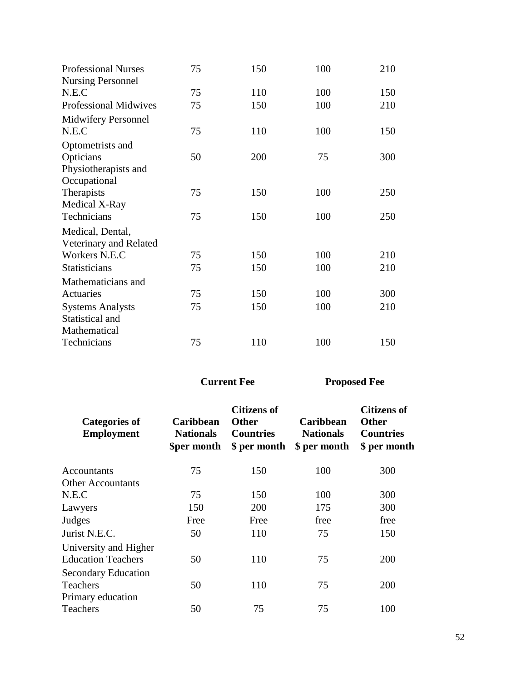| <b>Professional Nurses</b>   | 75 | 150 | 100 | 210 |
|------------------------------|----|-----|-----|-----|
| <b>Nursing Personnel</b>     |    |     |     |     |
| N.E.C                        | 75 | 110 | 100 | 150 |
| <b>Professional Midwives</b> | 75 | 150 | 100 | 210 |
| Midwifery Personnel          |    |     |     |     |
| N.E.C                        | 75 | 110 | 100 | 150 |
| Optometrists and             |    |     |     |     |
| Opticians                    | 50 | 200 | 75  | 300 |
| Physiotherapists and         |    |     |     |     |
| Occupational                 |    |     |     |     |
| Therapists                   | 75 | 150 | 100 | 250 |
| Medical X-Ray                |    |     |     |     |
| Technicians                  | 75 | 150 | 100 | 250 |
| Medical, Dental,             |    |     |     |     |
| Veterinary and Related       |    |     |     |     |
| Workers N.E.C                | 75 | 150 | 100 | 210 |
| <b>Statisticians</b>         | 75 | 150 | 100 | 210 |
| Mathematicians and           |    |     |     |     |
| Actuaries                    | 75 | 150 | 100 | 300 |
| <b>Systems Analysts</b>      | 75 | 150 | 100 | 210 |
| Statistical and              |    |     |     |     |
| Mathematical                 |    |     |     |     |
| Technicians                  | 75 | 110 | 100 | 150 |

| <b>Categories of</b><br><b>Employment</b>          | <b>Caribbean</b><br><b>Nationals</b><br><b>Sper month</b> | <b>Citizens of</b><br><b>Other</b><br><b>Countries</b><br>\$ per month | <b>Caribbean</b><br><b>Nationals</b><br>\$ per month | <b>Citizens of</b><br><b>Other</b><br><b>Countries</b><br>\$ per month |
|----------------------------------------------------|-----------------------------------------------------------|------------------------------------------------------------------------|------------------------------------------------------|------------------------------------------------------------------------|
| Accountants                                        | 75                                                        | 150                                                                    | 100                                                  | 300                                                                    |
| <b>Other Accountants</b>                           |                                                           |                                                                        |                                                      |                                                                        |
| N.E.C                                              | 75                                                        | 150                                                                    | 100                                                  | 300                                                                    |
| Lawyers                                            | 150                                                       | <b>200</b>                                                             | 175                                                  | 300                                                                    |
| Judges                                             | Free                                                      | Free                                                                   | free                                                 | free                                                                   |
| Jurist N.E.C.                                      | 50                                                        | 110                                                                    | 75                                                   | 150                                                                    |
| University and Higher<br><b>Education Teachers</b> | 50                                                        | 110                                                                    | 75                                                   | 200                                                                    |
| <b>Secondary Education</b><br><b>Teachers</b>      | 50                                                        | 110                                                                    | 75                                                   | 200                                                                    |
| Primary education<br><b>Teachers</b>               | 50                                                        | 75                                                                     | 75                                                   | 100                                                                    |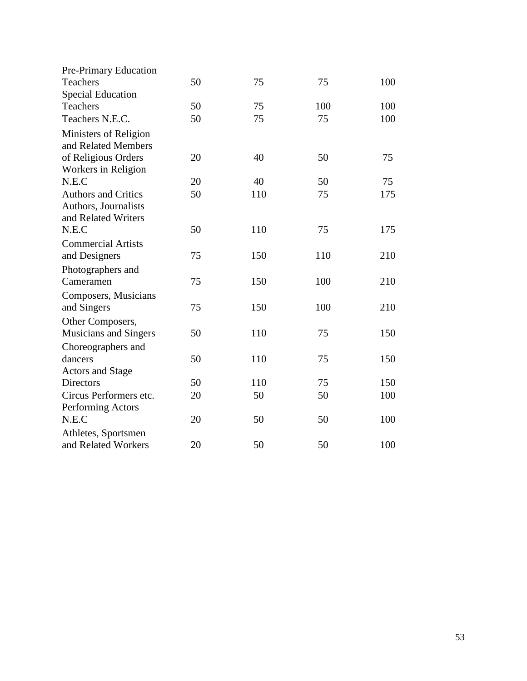| Pre-Primary Education                                                     |    |     |     |     |
|---------------------------------------------------------------------------|----|-----|-----|-----|
| Teachers                                                                  | 50 | 75  | 75  | 100 |
| <b>Special Education</b>                                                  |    |     |     |     |
| Teachers                                                                  | 50 | 75  | 100 | 100 |
| Teachers N.E.C.                                                           | 50 | 75  | 75  | 100 |
| Ministers of Religion<br>and Related Members                              |    |     |     |     |
| of Religious Orders<br>Workers in Religion                                | 20 | 40  | 50  | 75  |
| N.E.C                                                                     | 20 | 40  | 50  | 75  |
| <b>Authors and Critics</b><br>Authors, Journalists<br>and Related Writers | 50 | 110 | 75  | 175 |
| N.E.C                                                                     | 50 | 110 | 75  | 175 |
| <b>Commercial Artists</b>                                                 |    |     |     |     |
| and Designers                                                             | 75 | 150 | 110 | 210 |
| Photographers and                                                         |    |     |     |     |
| Cameramen                                                                 | 75 | 150 | 100 | 210 |
| Composers, Musicians                                                      |    |     |     |     |
| and Singers                                                               | 75 | 150 | 100 | 210 |
| Other Composers,                                                          |    |     |     |     |
| Musicians and Singers                                                     | 50 | 110 | 75  | 150 |
| Choreographers and                                                        |    |     |     |     |
| dancers                                                                   | 50 | 110 | 75  | 150 |
| <b>Actors and Stage</b>                                                   |    |     |     |     |
| <b>Directors</b>                                                          | 50 | 110 | 75  | 150 |
| Circus Performers etc.                                                    | 20 | 50  | 50  | 100 |
| Performing Actors                                                         |    |     |     |     |
| N.E.C                                                                     | 20 | 50  | 50  | 100 |
| Athletes, Sportsmen                                                       |    |     |     |     |
| and Related Workers                                                       | 20 | 50  | 50  | 100 |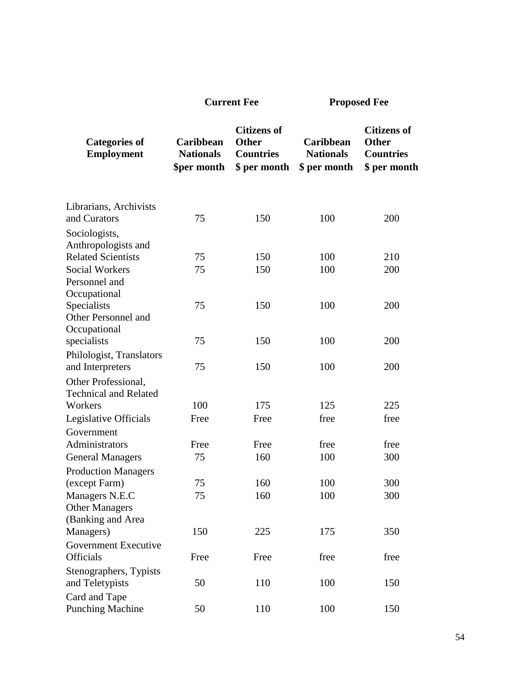| <b>Current Fee</b> |  |
|--------------------|--|
|--------------------|--|

**Proposed Fee** 

| <b>Categories of</b><br><b>Employment</b> | Caribbean<br><b>Nationals</b><br>\$per month | <b>Citizens of</b><br><b>Other</b><br><b>Countries</b><br>\$ per month | Caribbean<br><b>Nationals</b><br>\$ per month | <b>Citizens of</b><br><b>Other</b><br><b>Countries</b><br>\$ per month |
|-------------------------------------------|----------------------------------------------|------------------------------------------------------------------------|-----------------------------------------------|------------------------------------------------------------------------|
| Librarians, Archivists<br>and Curators    | 75                                           | 150                                                                    | 100                                           | 200                                                                    |
|                                           |                                              |                                                                        |                                               |                                                                        |
| Sociologists,<br>Anthropologists and      |                                              |                                                                        |                                               |                                                                        |
| <b>Related Scientists</b>                 | 75                                           | 150                                                                    | 100                                           | 210                                                                    |
| <b>Social Workers</b>                     | 75                                           | 150                                                                    | 100                                           | 200                                                                    |
| Personnel and                             |                                              |                                                                        |                                               |                                                                        |
| Occupational                              |                                              |                                                                        |                                               |                                                                        |
| Specialists                               | 75                                           | 150                                                                    | 100                                           | 200                                                                    |
| Other Personnel and                       |                                              |                                                                        |                                               |                                                                        |
| Occupational                              |                                              |                                                                        |                                               |                                                                        |
| specialists                               | 75                                           | 150                                                                    | 100                                           | 200                                                                    |
| Philologist, Translators                  |                                              |                                                                        |                                               |                                                                        |
| and Interpreters                          | 75                                           | 150                                                                    | 100                                           | 200                                                                    |
| Other Professional,                       |                                              |                                                                        |                                               |                                                                        |
| <b>Technical and Related</b>              |                                              |                                                                        |                                               |                                                                        |
| Workers                                   | 100                                          | 175                                                                    | 125                                           | 225                                                                    |
| Legislative Officials                     | Free                                         | Free                                                                   | free                                          | free                                                                   |
| Government                                |                                              |                                                                        |                                               |                                                                        |
| Administrators                            | Free                                         | Free                                                                   | free                                          | free                                                                   |
| <b>General Managers</b>                   | 75                                           | 160                                                                    | 100                                           | 300                                                                    |
| <b>Production Managers</b>                |                                              |                                                                        |                                               |                                                                        |
| (except Farm)                             | 75                                           | 160                                                                    | 100                                           | 300                                                                    |
| Managers N.E.C                            | 75                                           | 160                                                                    | 100                                           | 300                                                                    |
| <b>Other Managers</b>                     |                                              |                                                                        |                                               |                                                                        |
| (Banking and Area<br>Managers)            | 150                                          | 225                                                                    | 175                                           | 350                                                                    |
| <b>Government Executive</b>               |                                              |                                                                        |                                               |                                                                        |
| <b>Officials</b>                          | Free                                         | Free                                                                   | free                                          | free                                                                   |
|                                           |                                              |                                                                        |                                               |                                                                        |
| Stenographers, Typists<br>and Teletypists | 50                                           | 110                                                                    | 100                                           | 150                                                                    |
| Card and Tape                             |                                              |                                                                        |                                               |                                                                        |
| <b>Punching Machine</b>                   | 50                                           | 110                                                                    | 100                                           | 150                                                                    |
|                                           |                                              |                                                                        |                                               |                                                                        |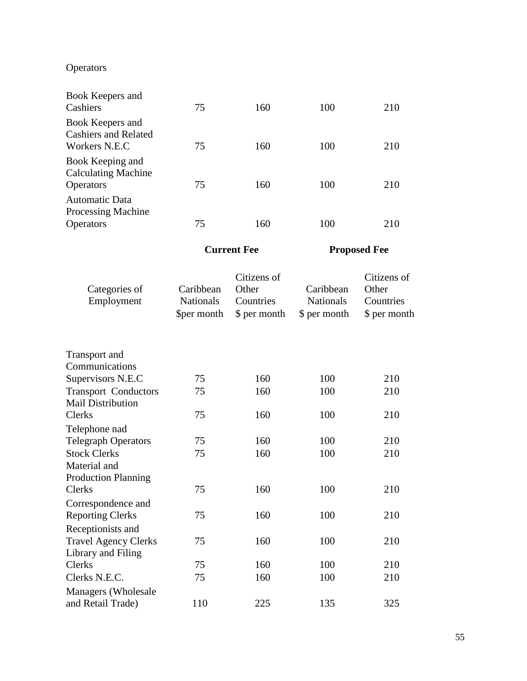# Operators

| Book Keepers and<br>Cashiers                                         | 75 | 160 | 100 | 210 |
|----------------------------------------------------------------------|----|-----|-----|-----|
| Book Keepers and                                                     |    |     |     |     |
| <b>Cashiers and Related</b><br>Workers N.E.C                         | 75 | 160 | 100 | 210 |
| Book Keeping and                                                     |    |     |     |     |
| <b>Operators</b>                                                     | 75 | 160 | 100 | 210 |
| Automatic Data                                                       |    |     |     |     |
|                                                                      |    |     |     |     |
| <b>Calculating Machine</b><br>Processing Machine<br><b>Operators</b> | 75 | 160 | 100 | 210 |

| Categories of<br>Employment | Caribbean<br><b>Nationals</b><br>\$per month | Citizens of<br>Other<br>Countries<br>\$ per month | Caribbean<br><b>Nationals</b><br>\$ per month | Citizens of<br>Other<br>Countries<br>\$ per month |
|-----------------------------|----------------------------------------------|---------------------------------------------------|-----------------------------------------------|---------------------------------------------------|
| <b>Transport</b> and        |                                              |                                                   |                                               |                                                   |
| Communications              |                                              |                                                   |                                               |                                                   |
| Supervisors N.E.C           | 75                                           | 160                                               | 100                                           | 210                                               |
| <b>Transport Conductors</b> | 75                                           | 160                                               | 100                                           | 210                                               |
| <b>Mail Distribution</b>    |                                              |                                                   |                                               |                                                   |
| Clerks                      | 75                                           | 160                                               | 100                                           | 210                                               |
| Telephone nad               |                                              |                                                   |                                               |                                                   |
| <b>Telegraph Operators</b>  | 75                                           | 160                                               | 100                                           | 210                                               |
| <b>Stock Clerks</b>         | 75                                           | 160                                               | 100                                           | 210                                               |
| Material and                |                                              |                                                   |                                               |                                                   |
| <b>Production Planning</b>  |                                              |                                                   |                                               |                                                   |
| <b>Clerks</b>               | 75                                           | 160                                               | 100                                           | 210                                               |
| Correspondence and          |                                              |                                                   |                                               |                                                   |
| <b>Reporting Clerks</b>     | 75                                           | 160                                               | 100                                           | 210                                               |
| Receptionists and           |                                              |                                                   |                                               |                                                   |
| <b>Travel Agency Clerks</b> | 75                                           | 160                                               | 100                                           | 210                                               |
| Library and Filing          |                                              |                                                   |                                               |                                                   |
| <b>Clerks</b>               | 75                                           | 160                                               | 100                                           | 210                                               |
| Clerks N.E.C.               | 75                                           | 160                                               | 100                                           | 210                                               |
| Managers (Wholesale         |                                              |                                                   |                                               |                                                   |
| and Retail Trade)           | 110                                          | 225                                               | 135                                           | 325                                               |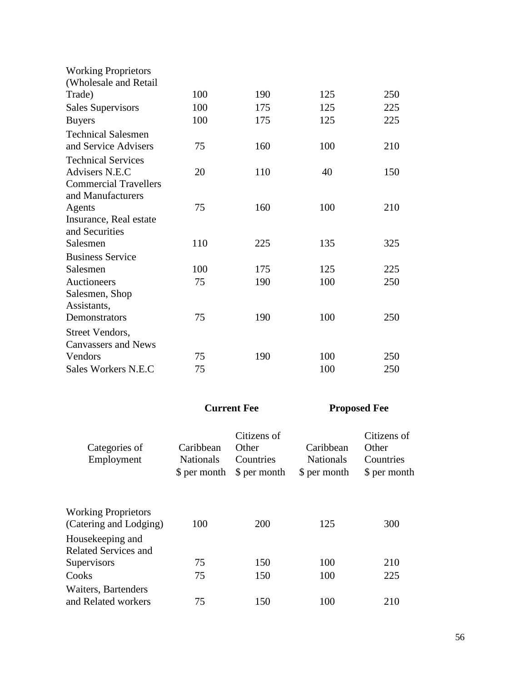| <b>Working Proprietors</b>   |     |     |     |     |
|------------------------------|-----|-----|-----|-----|
| (Wholesale and Retail        |     |     |     |     |
| Trade)                       | 100 | 190 | 125 | 250 |
| <b>Sales Supervisors</b>     | 100 | 175 | 125 | 225 |
| <b>Buyers</b>                | 100 | 175 | 125 | 225 |
| <b>Technical Salesmen</b>    |     |     |     |     |
| and Service Advisers         | 75  | 160 | 100 | 210 |
| <b>Technical Services</b>    |     |     |     |     |
| Advisers N.E.C               | 20  | 110 | 40  | 150 |
| <b>Commercial Travellers</b> |     |     |     |     |
| and Manufacturers            |     |     |     |     |
| Agents                       | 75  | 160 | 100 | 210 |
| Insurance, Real estate       |     |     |     |     |
| and Securities               |     |     |     |     |
| Salesmen                     | 110 | 225 | 135 | 325 |
| <b>Business Service</b>      |     |     |     |     |
| Salesmen                     | 100 | 175 | 125 | 225 |
| Auctioneers                  | 75  | 190 | 100 | 250 |
| Salesmen, Shop               |     |     |     |     |
| Assistants,                  |     |     |     |     |
| Demonstrators                | 75  | 190 | 100 | 250 |
| Street Vendors,              |     |     |     |     |
| <b>Canvassers and News</b>   |     |     |     |     |
| Vendors                      | 75  | 190 | 100 | 250 |
| Sales Workers N.E.C          | 75  |     | 100 | 250 |

| Categories of<br>Employment                          | Caribbean<br><b>Nationals</b><br>\$ per month | Citizens of<br>Other<br>Countries<br>\$ per month | Caribbean<br><b>Nationals</b><br>\$ per month | Citizens of<br>Other<br>Countries<br>\$ per month |
|------------------------------------------------------|-----------------------------------------------|---------------------------------------------------|-----------------------------------------------|---------------------------------------------------|
| <b>Working Proprietors</b><br>(Catering and Lodging) | 100                                           | 200                                               | 125                                           | 300                                               |
| Housekeeping and<br><b>Related Services and</b>      |                                               |                                                   |                                               |                                                   |
| Supervisors                                          | 75                                            | 150                                               | 100                                           | 210                                               |
| Cooks                                                | 75                                            | 150                                               | 100                                           | 225                                               |
| Waiters, Bartenders<br>and Related workers           | 75                                            | 150                                               | 100                                           | 210                                               |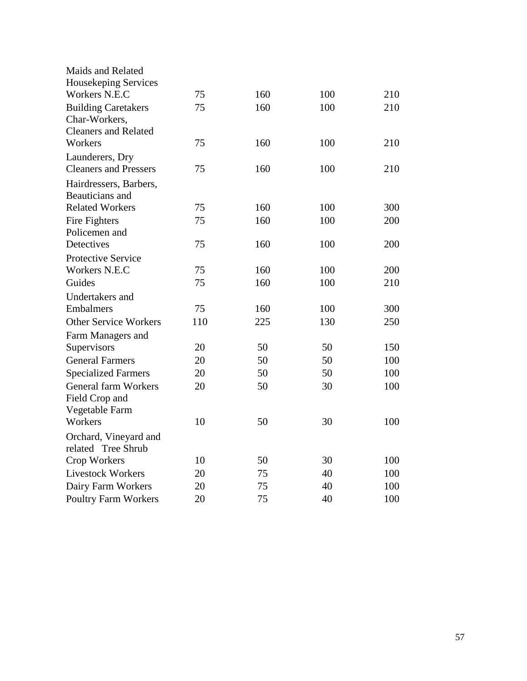| Maids and Related            |     |     |     |     |
|------------------------------|-----|-----|-----|-----|
| Housekeping Services         |     |     |     |     |
| Workers N.E.C                | 75  | 160 | 100 | 210 |
| <b>Building Caretakers</b>   | 75  | 160 | 100 | 210 |
| Char-Workers,                |     |     |     |     |
| <b>Cleaners and Related</b>  |     |     |     |     |
| Workers                      | 75  | 160 | 100 | 210 |
| Launderers, Dry              |     |     |     |     |
| <b>Cleaners and Pressers</b> | 75  | 160 | 100 | 210 |
| Hairdressers, Barbers,       |     |     |     |     |
| Beauticians and              |     |     |     |     |
| <b>Related Workers</b>       | 75  | 160 | 100 | 300 |
| Fire Fighters                | 75  | 160 | 100 | 200 |
| Policemen and                |     |     |     |     |
| Detectives                   | 75  | 160 | 100 | 200 |
| <b>Protective Service</b>    |     |     |     |     |
| Workers N.E.C                | 75  | 160 | 100 | 200 |
| Guides                       | 75  | 160 | 100 | 210 |
| Undertakers and              |     |     |     |     |
| Embalmers                    | 75  | 160 | 100 | 300 |
| <b>Other Service Workers</b> | 110 | 225 | 130 | 250 |
| Farm Managers and            |     |     |     |     |
| Supervisors                  | 20  | 50  | 50  | 150 |
| <b>General Farmers</b>       | 20  | 50  | 50  | 100 |
| <b>Specialized Farmers</b>   | 20  | 50  | 50  | 100 |
| <b>General farm Workers</b>  | 20  | 50  | 30  | 100 |
| Field Crop and               |     |     |     |     |
| Vegetable Farm               |     |     |     |     |
| Workers                      | 10  | 50  | 30  | 100 |
| Orchard, Vineyard and        |     |     |     |     |
| related Tree Shrub           |     |     |     |     |
| Crop Workers                 | 10  | 50  | 30  | 100 |
| <b>Livestock Workers</b>     | 20  | 75  | 40  | 100 |
| Dairy Farm Workers           | 20  | 75  | 40  | 100 |
| <b>Poultry Farm Workers</b>  | 20  | 75  | 40  | 100 |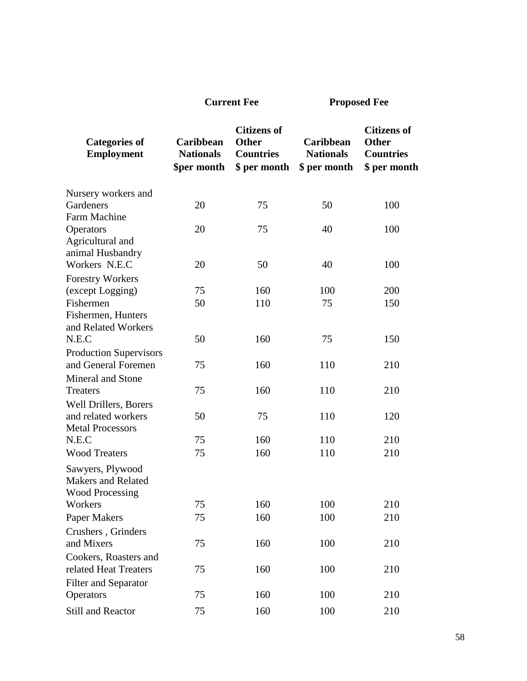| <b>Categories of</b><br><b>Employment</b>                               | Caribbean<br><b>Nationals</b><br>\$per month | <b>Citizens of</b><br><b>Other</b><br><b>Countries</b><br>\$ per month | Caribbean<br><b>Nationals</b><br>\$ per month | <b>Citizens of</b><br><b>Other</b><br><b>Countries</b><br>\$ per month |
|-------------------------------------------------------------------------|----------------------------------------------|------------------------------------------------------------------------|-----------------------------------------------|------------------------------------------------------------------------|
| Nursery workers and                                                     |                                              |                                                                        |                                               |                                                                        |
| Gardeners                                                               | 20                                           | 75                                                                     | 50                                            | 100                                                                    |
| <b>Farm Machine</b>                                                     |                                              |                                                                        |                                               |                                                                        |
| Operators<br>Agricultural and<br>animal Husbandry                       | 20                                           | 75                                                                     | 40                                            | 100                                                                    |
| Workers N.E.C                                                           | 20                                           | 50                                                                     | 40                                            | 100                                                                    |
| <b>Forestry Workers</b>                                                 |                                              |                                                                        |                                               |                                                                        |
| (except Logging)                                                        | 75                                           | 160                                                                    | 100                                           | 200                                                                    |
| Fishermen                                                               | 50                                           | 110                                                                    | 75                                            | 150                                                                    |
| Fishermen, Hunters<br>and Related Workers                               |                                              |                                                                        |                                               |                                                                        |
| N.E.C                                                                   | 50                                           | 160                                                                    | 75                                            | 150                                                                    |
| <b>Production Supervisors</b><br>and General Foremen                    | 75                                           | 160                                                                    | 110                                           | 210                                                                    |
| Mineral and Stone                                                       |                                              |                                                                        |                                               |                                                                        |
| <b>Treaters</b>                                                         | 75                                           | 160                                                                    | 110                                           | 210                                                                    |
| Well Drillers, Borers                                                   |                                              |                                                                        |                                               |                                                                        |
| and related workers                                                     | 50                                           | 75                                                                     | 110                                           | 120                                                                    |
| <b>Metal Processors</b><br>N.E.C                                        | 75                                           | 160                                                                    | 110                                           | 210                                                                    |
| <b>Wood Treaters</b>                                                    | 75                                           | 160                                                                    | 110                                           | 210                                                                    |
|                                                                         |                                              |                                                                        |                                               |                                                                        |
| Sawyers, Plywood<br><b>Makers and Related</b><br><b>Wood Processing</b> |                                              |                                                                        |                                               |                                                                        |
| Workers                                                                 | 75                                           | 160                                                                    | 100                                           | 210                                                                    |
| Paper Makers                                                            | 75                                           | 160                                                                    | 100                                           | 210                                                                    |
| Crushers, Grinders<br>and Mixers                                        | 75                                           | 160                                                                    | 100                                           | 210                                                                    |
| Cookers, Roasters and                                                   |                                              |                                                                        |                                               |                                                                        |
| related Heat Treaters                                                   | 75                                           | 160                                                                    | 100                                           | 210                                                                    |
| <b>Filter and Separator</b><br>Operators                                | 75                                           | 160                                                                    | 100                                           | 210                                                                    |

Still and Reactor 75 160 100 210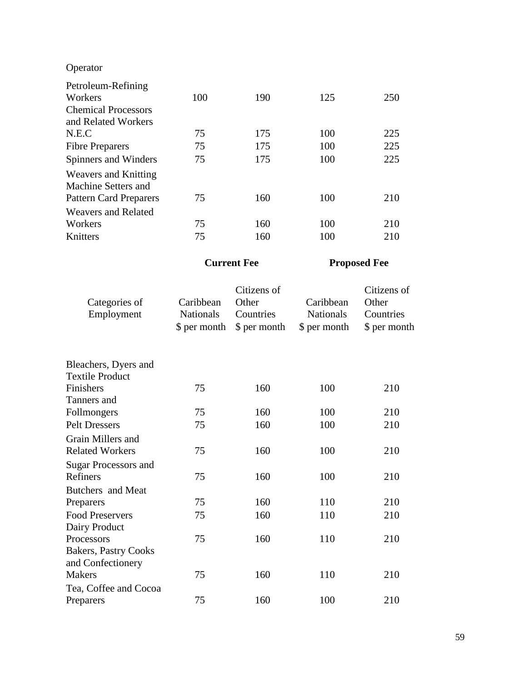# Operator

| Petroleum-Refining            |     |     |     |     |
|-------------------------------|-----|-----|-----|-----|
| Workers                       | 100 | 190 | 125 | 250 |
| <b>Chemical Processors</b>    |     |     |     |     |
| and Related Workers           |     |     |     |     |
| N.E.C                         | 75  | 175 | 100 | 225 |
| <b>Fibre Preparers</b>        | 75  | 175 | 100 | 225 |
| Spinners and Winders          | 75  | 175 | 100 | 225 |
| <b>Weavers and Knitting</b>   |     |     |     |     |
| Machine Setters and           |     |     |     |     |
| <b>Pattern Card Preparers</b> | 75  | 160 | 100 | 210 |
| <b>Weavers and Related</b>    |     |     |     |     |
| Workers                       | 75  | 160 | 100 | 210 |
| Knitters                      | 75  | 160 | 100 | 210 |

| Categories of<br>Employment | Caribbean<br><b>Nationals</b><br>\$ per month | Citizens of<br>Other<br>Countries<br>\$ per month | Caribbean<br><b>Nationals</b><br>\$ per month | Citizens of<br>Other<br>Countries<br>\$ per month |
|-----------------------------|-----------------------------------------------|---------------------------------------------------|-----------------------------------------------|---------------------------------------------------|
| Bleachers, Dyers and        |                                               |                                                   |                                               |                                                   |
| <b>Textile Product</b>      |                                               |                                                   |                                               |                                                   |
| Finishers                   | 75                                            | 160                                               | 100                                           | 210                                               |
| Tanners and                 |                                               |                                                   |                                               |                                                   |
| Follmongers                 | 75                                            | 160                                               | 100                                           | 210                                               |
| <b>Pelt Dressers</b>        | 75                                            | 160                                               | 100                                           | 210                                               |
| Grain Millers and           |                                               |                                                   |                                               |                                                   |
| <b>Related Workers</b>      | 75                                            | 160                                               | 100                                           | 210                                               |
| <b>Sugar Processors and</b> |                                               |                                                   |                                               |                                                   |
| Refiners                    | 75                                            | 160                                               | 100                                           | 210                                               |
| Butchers and Meat           |                                               |                                                   |                                               |                                                   |
| Preparers                   | 75                                            | 160                                               | 110                                           | 210                                               |
| <b>Food Preservers</b>      | 75                                            | 160                                               | 110                                           | 210                                               |
| Dairy Product               |                                               |                                                   |                                               |                                                   |
| Processors                  | 75                                            | 160                                               | 110                                           | 210                                               |
| <b>Bakers, Pastry Cooks</b> |                                               |                                                   |                                               |                                                   |
| and Confectionery           |                                               |                                                   |                                               |                                                   |
| <b>Makers</b>               | 75                                            | 160                                               | 110                                           | 210                                               |
| Tea, Coffee and Cocoa       |                                               |                                                   |                                               |                                                   |
| Preparers                   | 75                                            | 160                                               | 100                                           | 210                                               |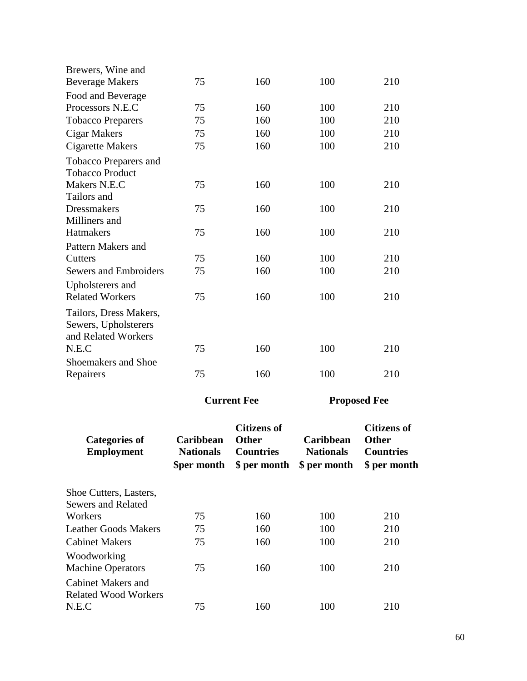| Brewers, Wine and<br><b>Beverage Makers</b>                                    | 75                                           | 160                                                                    | 100                                                  | 210                                                                    |
|--------------------------------------------------------------------------------|----------------------------------------------|------------------------------------------------------------------------|------------------------------------------------------|------------------------------------------------------------------------|
| Food and Beverage                                                              |                                              |                                                                        |                                                      |                                                                        |
| Processors N.E.C                                                               | 75                                           | 160                                                                    | 100                                                  | 210                                                                    |
| <b>Tobacco Preparers</b>                                                       | 75                                           | 160                                                                    | 100                                                  | 210                                                                    |
| Cigar Makers                                                                   | 75                                           | 160                                                                    | 100                                                  | 210                                                                    |
| <b>Cigarette Makers</b>                                                        | 75                                           | 160                                                                    | 100                                                  | 210                                                                    |
| Tobacco Preparers and<br><b>Tobacco Product</b>                                |                                              |                                                                        |                                                      |                                                                        |
| Makers N.E.C<br>Tailors and                                                    | 75                                           | 160                                                                    | 100                                                  | 210                                                                    |
| <b>Dressmakers</b><br>Milliners and                                            | 75                                           | 160                                                                    | 100                                                  | 210                                                                    |
| Hatmakers                                                                      | 75                                           | 160                                                                    | 100                                                  | 210                                                                    |
| Pattern Makers and<br>Cutters                                                  | 75                                           | 160                                                                    | 100                                                  | 210                                                                    |
| <b>Sewers and Embroiders</b>                                                   | 75                                           | 160                                                                    | 100                                                  | 210                                                                    |
| Upholsterers and<br><b>Related Workers</b>                                     | 75                                           | 160                                                                    | 100                                                  | 210                                                                    |
| Tailors, Dress Makers,<br>Sewers, Upholsterers<br>and Related Workers<br>N.E.C | 75                                           | 160                                                                    | 100                                                  | 210                                                                    |
| <b>Shoemakers and Shoe</b><br>Repairers                                        | 75                                           | 160                                                                    | 100                                                  | 210                                                                    |
|                                                                                |                                              | <b>Current Fee</b>                                                     |                                                      | <b>Proposed Fee</b>                                                    |
| <b>Categories of</b><br><b>Employment</b>                                      | Caribbean<br><b>Nationals</b><br>\$per month | <b>Citizens of</b><br><b>Other</b><br><b>Countries</b><br>\$ per month | <b>Caribbean</b><br><b>Nationals</b><br>\$ per month | <b>Citizens of</b><br><b>Other</b><br><b>Countries</b><br>\$ per month |
| Shoe Cutters, Lasters,<br><b>Sewers and Related</b>                            |                                              |                                                                        |                                                      |                                                                        |
| Workers                                                                        | 75                                           | 160                                                                    | 100                                                  | 210                                                                    |
| <b>Leather Goods Makers</b>                                                    | 75                                           | 160                                                                    | 100                                                  | 210                                                                    |
| <b>Cabinet Makers</b>                                                          | 75                                           | 160                                                                    | 100                                                  | 210                                                                    |
| Woodworking<br><b>Machine Operators</b>                                        | 75                                           | 160                                                                    | 100                                                  | 210                                                                    |
| <b>Cabinet Makers and</b><br><b>Related Wood Workers</b><br>N.E.C              | 75                                           | 160                                                                    | 100                                                  | 210                                                                    |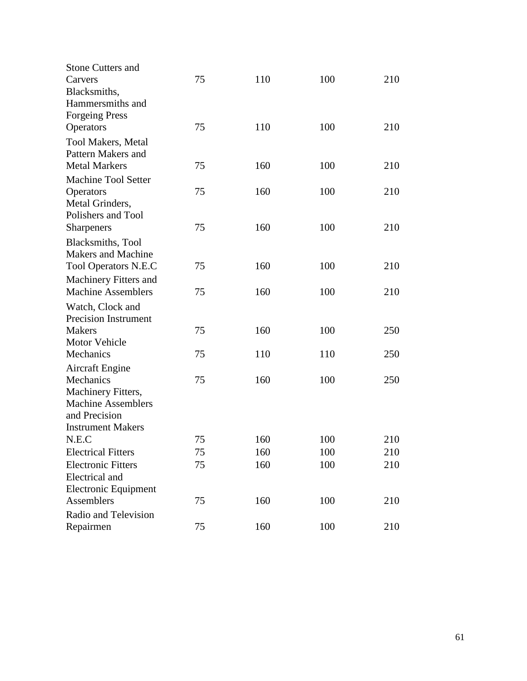| <b>Stone Cutters and</b>                           |    |     |     |     |
|----------------------------------------------------|----|-----|-----|-----|
| Carvers                                            | 75 | 110 | 100 | 210 |
| Blacksmiths,                                       |    |     |     |     |
| Hammersmiths and                                   |    |     |     |     |
| <b>Forgeing Press</b>                              |    |     |     |     |
| Operators                                          | 75 | 110 | 100 | 210 |
| <b>Tool Makers, Metal</b>                          |    |     |     |     |
| Pattern Makers and                                 |    |     |     |     |
| <b>Metal Markers</b>                               | 75 | 160 | 100 | 210 |
| <b>Machine Tool Setter</b>                         |    |     |     |     |
| Operators                                          | 75 | 160 | 100 | 210 |
| Metal Grinders,                                    |    |     |     |     |
| Polishers and Tool                                 |    |     |     |     |
| <b>Sharpeners</b>                                  | 75 | 160 | 100 | 210 |
| Blacksmiths, Tool                                  |    |     |     |     |
| <b>Makers and Machine</b>                          |    |     |     |     |
| <b>Tool Operators N.E.C</b>                        | 75 | 160 | 100 | 210 |
|                                                    |    |     |     |     |
| Machinery Fitters and<br><b>Machine Assemblers</b> | 75 | 160 | 100 | 210 |
|                                                    |    |     |     |     |
| Watch, Clock and                                   |    |     |     |     |
| <b>Precision Instrument</b>                        |    |     |     |     |
| <b>Makers</b>                                      | 75 | 160 | 100 | 250 |
| Motor Vehicle                                      |    |     |     |     |
| Mechanics                                          | 75 | 110 | 110 | 250 |
| <b>Aircraft Engine</b>                             |    |     |     |     |
| Mechanics                                          | 75 | 160 | 100 | 250 |
| Machinery Fitters,                                 |    |     |     |     |
| <b>Machine Assemblers</b>                          |    |     |     |     |
| and Precision                                      |    |     |     |     |
| <b>Instrument Makers</b>                           |    |     |     |     |
| N.E.C                                              | 75 | 160 | 100 | 210 |
| <b>Electrical Fitters</b>                          | 75 | 160 | 100 | 210 |
| <b>Electronic Fitters</b>                          | 75 | 160 | 100 | 210 |
| Electrical and                                     |    |     |     |     |
| <b>Electronic Equipment</b>                        |    |     |     |     |
| Assemblers                                         | 75 | 160 | 100 | 210 |
| Radio and Television                               |    |     |     |     |
| Repairmen                                          | 75 | 160 | 100 | 210 |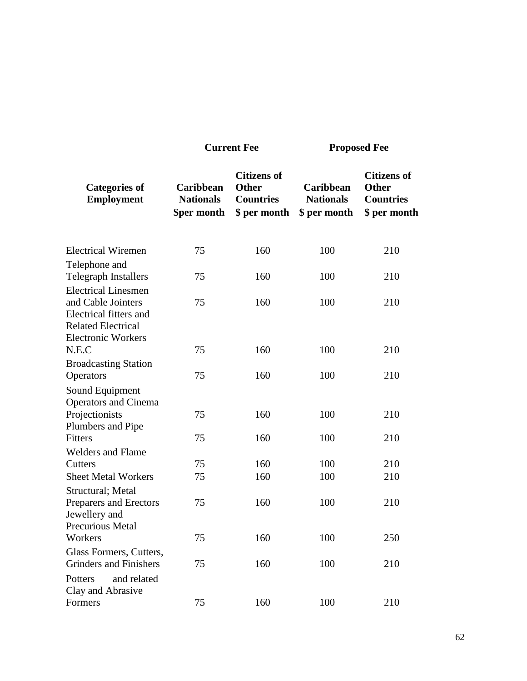**Proposed Fee** 

| <b>Categories of</b><br><b>Employment</b>                                 | Caribbean<br><b>Nationals</b><br>\$per month | <b>Citizens of</b><br><b>Other</b><br><b>Countries</b><br>\$ per month | <b>Caribbean</b><br><b>Nationals</b><br>\$ per month | <b>Citizens of</b><br><b>Other</b><br><b>Countries</b><br>\$ per month |
|---------------------------------------------------------------------------|----------------------------------------------|------------------------------------------------------------------------|------------------------------------------------------|------------------------------------------------------------------------|
| <b>Electrical Wiremen</b>                                                 | 75                                           | 160                                                                    | 100                                                  | 210                                                                    |
| Telephone and<br><b>Telegraph Installers</b>                              | 75                                           | 160                                                                    | 100                                                  | 210                                                                    |
| <b>Electrical Linesmen</b>                                                |                                              |                                                                        |                                                      |                                                                        |
| and Cable Jointers<br>Electrical fitters and<br><b>Related Electrical</b> | 75                                           | 160                                                                    | 100                                                  | 210                                                                    |
| <b>Electronic Workers</b>                                                 |                                              |                                                                        |                                                      |                                                                        |
| N.E.C                                                                     | 75                                           | 160                                                                    | 100                                                  | 210                                                                    |
| <b>Broadcasting Station</b><br>Operators                                  | 75                                           | 160                                                                    | 100                                                  | 210                                                                    |
| Sound Equipment                                                           |                                              |                                                                        |                                                      |                                                                        |
| <b>Operators and Cinema</b><br>Projectionists<br>Plumbers and Pipe        | 75                                           | 160                                                                    | 100                                                  | 210                                                                    |
| Fitters                                                                   | 75                                           | 160                                                                    | 100                                                  | 210                                                                    |
| <b>Welders and Flame</b>                                                  |                                              |                                                                        |                                                      |                                                                        |
| Cutters                                                                   | 75                                           | 160                                                                    | 100                                                  | 210                                                                    |
| <b>Sheet Metal Workers</b>                                                | 75                                           | 160                                                                    | 100                                                  | 210                                                                    |
| Structural; Metal<br>Preparers and Erectors<br>Jewellery and              | 75                                           | 160                                                                    | 100                                                  | 210                                                                    |
| Precurious Metal                                                          |                                              |                                                                        |                                                      |                                                                        |
| Workers                                                                   | 75                                           | 160                                                                    | 100                                                  | 250                                                                    |
| Glass Formers, Cutters,<br><b>Grinders</b> and Finishers                  | 75                                           | 160                                                                    | 100                                                  | 210                                                                    |
| Potters<br>and related<br>Clay and Abrasive                               |                                              |                                                                        |                                                      |                                                                        |
| Formers                                                                   | 75                                           | 160                                                                    | 100                                                  | 210                                                                    |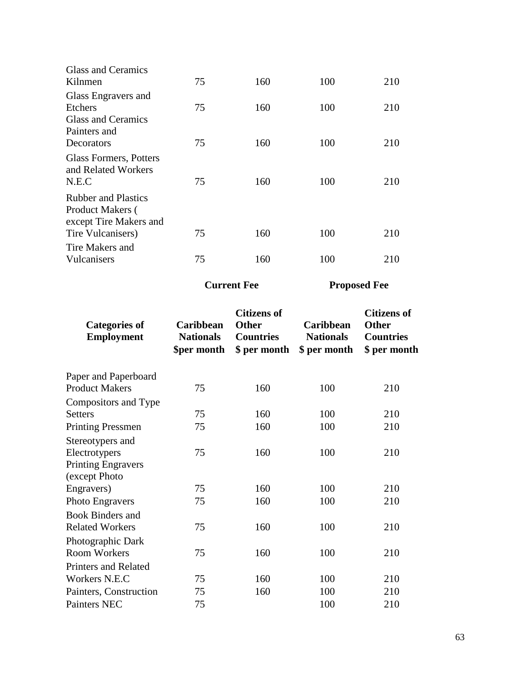| <b>Glass and Ceramics</b>  |    |     |     |     |
|----------------------------|----|-----|-----|-----|
| Kilnmen                    | 75 | 160 | 100 | 210 |
| Glass Engravers and        |    |     |     |     |
| <b>Etchers</b>             | 75 | 160 | 100 | 210 |
| Glass and Ceramics         |    |     |     |     |
| Painters and               |    |     |     |     |
| Decorators                 | 75 | 160 | 100 | 210 |
| Glass Formers, Potters     |    |     |     |     |
| and Related Workers        |    |     |     |     |
| N.E.C                      | 75 | 160 | 100 | 210 |
| <b>Rubber and Plastics</b> |    |     |     |     |
| <b>Product Makers</b> (    |    |     |     |     |
| except Tire Makers and     |    |     |     |     |
| Tire Vulcanisers)          | 75 | 160 | 100 | 210 |
| Tire Makers and            |    |     |     |     |
| Vulcanisers                | 75 | 160 | 100 | 210 |
|                            |    |     |     |     |

| <b>Categories of</b><br><b>Employment</b> | Caribbean<br><b>Nationals</b><br>\$per month | <b>Citizens of</b><br><b>Other</b><br><b>Countries</b><br>\$ per month | Caribbean<br><b>Nationals</b><br>\$ per month | <b>Citizens of</b><br><b>Other</b><br><b>Countries</b><br>\$ per month |
|-------------------------------------------|----------------------------------------------|------------------------------------------------------------------------|-----------------------------------------------|------------------------------------------------------------------------|
| Paper and Paperboard                      |                                              |                                                                        |                                               |                                                                        |
| <b>Product Makers</b>                     | 75                                           | 160                                                                    | 100                                           | 210                                                                    |
| Compositors and Type                      |                                              |                                                                        |                                               |                                                                        |
| <b>Setters</b>                            | 75                                           | 160                                                                    | 100                                           | 210                                                                    |
| <b>Printing Pressmen</b>                  | 75                                           | 160                                                                    | 100                                           | 210                                                                    |
| Stereotypers and                          |                                              |                                                                        |                                               |                                                                        |
| Electrotypers                             | 75                                           | 160                                                                    | 100                                           | 210                                                                    |
| <b>Printing Engravers</b>                 |                                              |                                                                        |                                               |                                                                        |
| (except Photo                             |                                              |                                                                        |                                               |                                                                        |
| Engravers)                                | 75                                           | 160                                                                    | 100                                           | 210                                                                    |
| <b>Photo Engravers</b>                    | 75                                           | 160                                                                    | 100                                           | 210                                                                    |
| <b>Book Binders and</b>                   |                                              |                                                                        |                                               |                                                                        |
| <b>Related Workers</b>                    | 75                                           | 160                                                                    | 100                                           | 210                                                                    |
| Photographic Dark                         |                                              |                                                                        |                                               |                                                                        |
| <b>Room Workers</b>                       | 75                                           | 160                                                                    | 100                                           | 210                                                                    |
| <b>Printers and Related</b>               |                                              |                                                                        |                                               |                                                                        |
| Workers N.E.C                             | 75                                           | 160                                                                    | 100                                           | 210                                                                    |
| Painters, Construction                    | 75                                           | 160                                                                    | 100                                           | 210                                                                    |
| <b>Painters NEC</b>                       | 75                                           |                                                                        | 100                                           | 210                                                                    |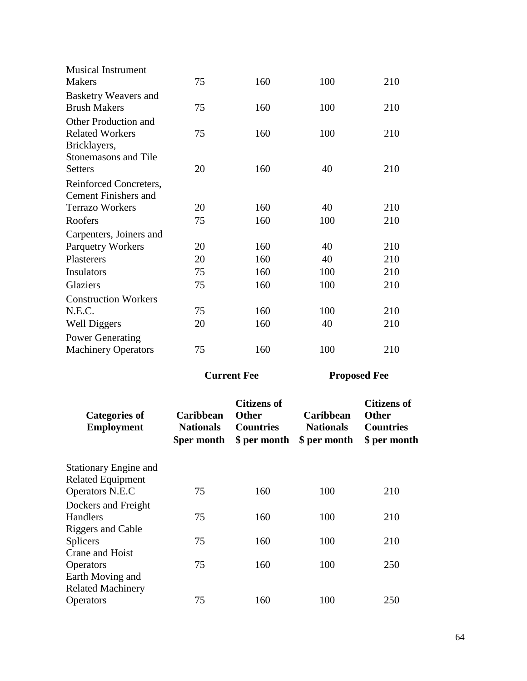| <b>Musical Instrument</b><br><b>Makers</b>               | 75                                           | 160                                                                    | 100                                           | 210                                                                    |
|----------------------------------------------------------|----------------------------------------------|------------------------------------------------------------------------|-----------------------------------------------|------------------------------------------------------------------------|
| <b>Basketry Weavers and</b>                              |                                              |                                                                        |                                               |                                                                        |
| <b>Brush Makers</b>                                      | 75                                           | 160                                                                    | 100                                           | 210                                                                    |
| Other Production and                                     |                                              |                                                                        |                                               |                                                                        |
| <b>Related Workers</b>                                   | 75                                           | 160                                                                    | 100                                           | 210                                                                    |
| Bricklayers,                                             |                                              |                                                                        |                                               |                                                                        |
| <b>Stonemasons and Tile</b>                              |                                              |                                                                        |                                               |                                                                        |
| <b>Setters</b>                                           | 20                                           | 160                                                                    | 40                                            | 210                                                                    |
| Reinforced Concreters,                                   |                                              |                                                                        |                                               |                                                                        |
| <b>Cement Finishers and</b>                              |                                              |                                                                        |                                               |                                                                        |
| <b>Terrazo Workers</b>                                   | 20                                           | 160                                                                    | 40                                            | 210                                                                    |
| Roofers                                                  | 75                                           | 160                                                                    | 100                                           | 210                                                                    |
| Carpenters, Joiners and                                  |                                              |                                                                        |                                               |                                                                        |
| <b>Parquetry Workers</b>                                 | 20                                           | 160                                                                    | 40                                            | 210                                                                    |
| <b>Plasterers</b>                                        | 20                                           | 160                                                                    | 40                                            | 210                                                                    |
| Insulators                                               | 75                                           | 160                                                                    | 100                                           | 210                                                                    |
| Glaziers                                                 | 75                                           | 160                                                                    | 100                                           | 210                                                                    |
| <b>Construction Workers</b>                              |                                              |                                                                        |                                               |                                                                        |
| N.E.C.                                                   | 75                                           | 160                                                                    | 100                                           | 210                                                                    |
| <b>Well Diggers</b>                                      | 20                                           | 160                                                                    | 40                                            | 210                                                                    |
| <b>Power Generating</b>                                  |                                              |                                                                        |                                               |                                                                        |
| <b>Machinery Operators</b>                               | 75                                           | 160                                                                    | 100                                           | 210                                                                    |
|                                                          | <b>Current Fee</b>                           |                                                                        | <b>Proposed Fee</b>                           |                                                                        |
| <b>Categories of</b><br><b>Employment</b>                | Caribbean<br><b>Nationals</b><br>\$per month | <b>Citizens of</b><br><b>Other</b><br><b>Countries</b><br>\$ per month | Caribbean<br><b>Nationals</b><br>\$ per month | <b>Citizens of</b><br><b>Other</b><br><b>Countries</b><br>\$ per month |
| <b>Stationary Engine and</b><br><b>Related Equipment</b> |                                              |                                                                        |                                               |                                                                        |
| Operators N.E.C                                          | 75                                           | 160                                                                    | 100                                           | 210                                                                    |
| Dockers and Freight                                      |                                              |                                                                        |                                               |                                                                        |
| Handlers                                                 | 75                                           | 160                                                                    | 100                                           | 210                                                                    |
| <b>Riggers and Cable</b><br>Splicers                     | 75                                           | 160                                                                    | 100                                           | 210                                                                    |
| Crane and Hoist                                          |                                              |                                                                        |                                               |                                                                        |
| Operators<br>Earth Moving and                            | 75                                           | 160                                                                    | 100                                           | 250                                                                    |

Operators 75 160 100 250

Related Machinery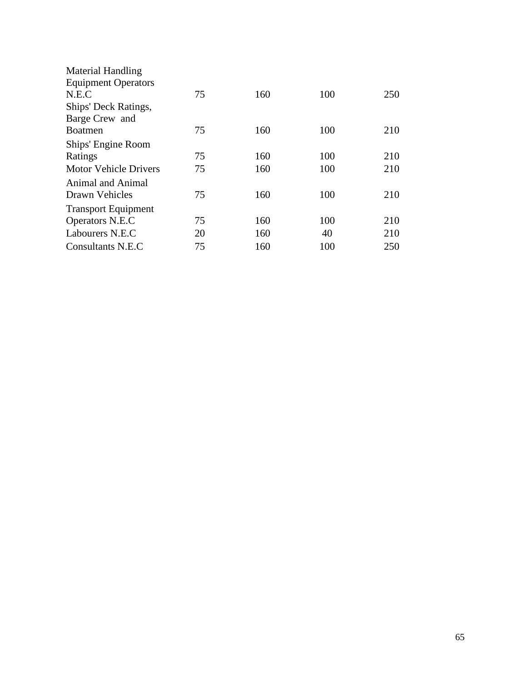| 75 | 160 | 100 | 250 |
|----|-----|-----|-----|
|    |     |     |     |
|    |     |     |     |
| 75 | 160 | 100 | 210 |
|    |     |     |     |
| 75 | 160 | 100 | 210 |
| 75 | 160 | 100 | 210 |
|    |     |     |     |
| 75 | 160 | 100 | 210 |
|    |     |     |     |
| 75 | 160 | 100 | 210 |
| 20 | 160 | 40  | 210 |
| 75 | 160 | 100 | 250 |
|    |     |     |     |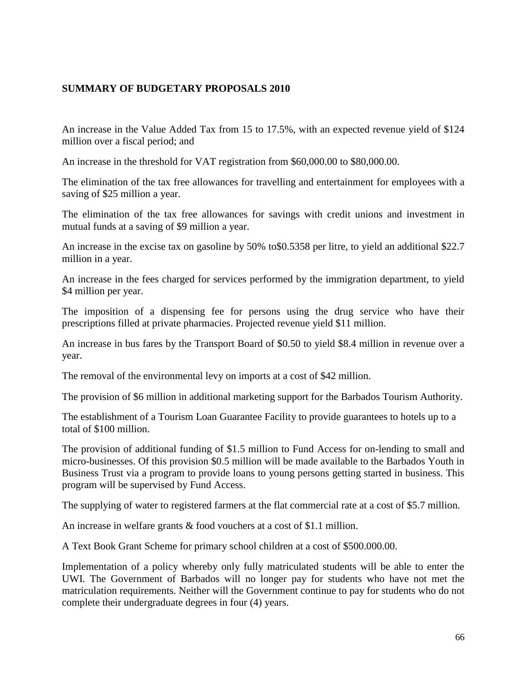## **SUMMARY OF BUDGETARY PROPOSALS 2010**

An increase in the Value Added Tax from 15 to 17.5%, with an expected revenue yield of \$124 million over a fiscal period; and

An increase in the threshold for VAT registration from \$60,000.00 to \$80,000.00.

The elimination of the tax free allowances for travelling and entertainment for employees with a saving of \$25 million a year.

The elimination of the tax free allowances for savings with credit unions and investment in mutual funds at a saving of \$9 million a year.

An increase in the excise tax on gasoline by 50% to\$0.5358 per litre, to yield an additional \$22.7 million in a year.

An increase in the fees charged for services performed by the immigration department, to yield \$4 million per year.

The imposition of a dispensing fee for persons using the drug service who have their prescriptions filled at private pharmacies. Projected revenue yield \$11 million.

An increase in bus fares by the Transport Board of \$0.50 to yield \$8.4 million in revenue over a year.

The removal of the environmental levy on imports at a cost of \$42 million.

The provision of \$6 million in additional marketing support for the Barbados Tourism Authority.

The establishment of a Tourism Loan Guarantee Facility to provide guarantees to hotels up to a total of \$100 million.

The provision of additional funding of \$1.5 million to Fund Access for on-lending to small and micro-businesses. Of this provision \$0.5 million will be made available to the Barbados Youth in Business Trust via a program to provide loans to young persons getting started in business. This program will be supervised by Fund Access.

The supplying of water to registered farmers at the flat commercial rate at a cost of \$5.7 million.

An increase in welfare grants & food vouchers at a cost of \$1.1 million.

A Text Book Grant Scheme for primary school children at a cost of \$500.000.00.

Implementation of a policy whereby only fully matriculated students will be able to enter the UWI. The Government of Barbados will no longer pay for students who have not met the matriculation requirements. Neither will the Government continue to pay for students who do not complete their undergraduate degrees in four (4) years.